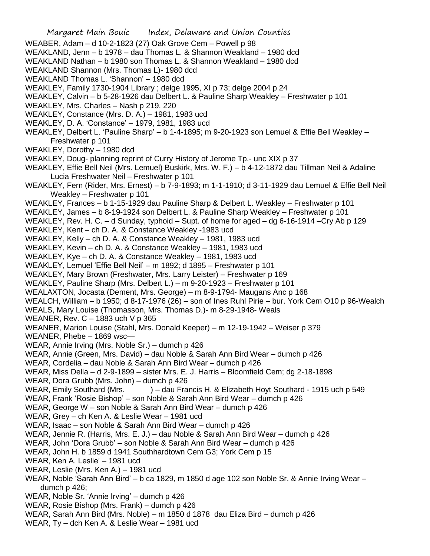Margaret Main Bouic Index, Delaware and Union Counties WEABER, Adam – d 10-2-1823 (27) Oak Grove Cem – Powell p 98 WEAKLAND, Jenn – b 1978 – dau Thomas L. & Shannon Weakland – 1980 dcd WEAKLAND Nathan – b 1980 son Thomas L. & Shannon Weakland – 1980 dcd WEAKLAND Shannon (Mrs. Thomas L)- 1980 dcd WEAKLAND Thomas L. 'Shannon' – 1980 dcd WEAKLEY, Family 1730-1904 Library ; delge 1995, XI p 73; delge 2004 p 24 WEAKLEY, Calvin – b 5-28-1926 dau Delbert L. & Pauline Sharp Weakley – Freshwater p 101 WEAKLEY, Mrs. Charles – Nash p 219, 220 WEAKLEY, Constance (Mrs. D. A.) – 1981, 1983 ucd WEAKLEY, D. A. 'Constance' – 1979, 1981, 1983 ucd WEAKLEY, Delbert L. 'Pauline Sharp' – b 1-4-1895; m 9-20-1923 son Lemuel & Effie Bell Weakley – Freshwater p 101 WEAKLEY, Dorothy – 1980 dcd WEAKLEY, Doug- planning reprint of Curry History of Jerome Tp.- unc XIX p 37 WEAKLEY, Effie Bell Neil (Mrs. Lemuel) Buskirk, Mrs. W. F.) – b 4-12-1872 dau Tillman Neil & Adaline Lucia Freshwater Neil – Freshwater p 101 WEAKLEY, Fern (Rider, Mrs. Ernest) – b 7-9-1893; m 1-1-1910; d 3-11-1929 dau Lemuel & Effie Bell Neil Weakley – Freshwater p 101 WEAKLEY, Frances – b 1-15-1929 dau Pauline Sharp & Delbert L. Weakley – Freshwater p 101 WEAKLEY, James – b 8-19-1924 son Delbert L. & Pauline Sharp Weakley – Freshwater p 101 WEAKLEY, Rev. H. C. – d Sunday, typhoid – Supt. of home for aged – dg 6-16-1914 –Cry Ab p 129 WEAKLEY, Kent – ch D. A. & Constance Weakley -1983 ucd WEAKLEY, Kelly – ch D. A. & Constance Weakley – 1981, 1983 ucd WEAKLEY, Kevin – ch D. A. & Constance Weakley – 1981, 1983 ucd WEAKLEY, Kye – ch D. A. & Constance Weakley – 1981, 1983 ucd WEAKLEY, Lemuel 'Effie Bell Neil' – m 1892; d 1895 – Freshwater p 101 WEAKLEY, Mary Brown (Freshwater, Mrs. Larry Leister) – Freshwater p 169 WEAKLEY, Pauline Sharp (Mrs. Delbert L.) – m 9-20-1923 – Freshwater p 101 WEALAXTON, Jocasta (Dement, Mrs. George) – m 8-9-1794- Maugans Anc p 168 WEALCH, William – b 1950; d 8-17-1976 (26) – son of Ines Ruhl Pirie – bur. York Cem O10 p 96-Wealch WEALS, Mary Louise (Thomasson, Mrs. Thomas D.)- m 8-29-1948- Weals WEANER, Rev. C – 1883 uch V p 365 WEANER, Marion Louise (Stahl, Mrs. Donald Keeper) – m 12-19-1942 – Weiser p 379 WEANER, Phebe – 1869 wsc— WEAR, Annie Irving (Mrs. Noble Sr.) – dumch p 426 WEAR, Annie (Green, Mrs. David) – dau Noble & Sarah Ann Bird Wear – dumch p 426 WEAR, Cordelia – dau Noble & Sarah Ann Bird Wear – dumch p 426 WEAR, Miss Della – d 2-9-1899 – sister Mrs. E. J. Harris – Bloomfield Cem; dg 2-18-1898 WEAR, Dora Grubb (Mrs. John) – dumch p 426 WEAR, Emily Southard (Mrs. ) – dau Francis H. & Elizabeth Hoyt Southard - 1915 uch p 549 WEAR, Frank 'Rosie Bishop' – son Noble & Sarah Ann Bird Wear – dumch p 426 WEAR, George W – son Noble & Sarah Ann Bird Wear – dumch p 426 WEAR, Grey – ch Ken A. & Leslie Wear – 1981 ucd WEAR, Isaac – son Noble & Sarah Ann Bird Wear – dumch p 426 WEAR, Jennie R. (Harris, Mrs. E. J.) – dau Noble & Sarah Ann Bird Wear – dumch p 426 WEAR, John 'Dora Grubb' – son Noble & Sarah Ann Bird Wear – dumch p 426 WEAR, John H. b 1859 d 1941 Southhardtown Cem G3; York Cem p 15 WEAR, Ken A. Leslie' – 1981 ucd WEAR, Leslie (Mrs. Ken A.) – 1981 ucd WEAR, Noble 'Sarah Ann Bird' – b ca 1829, m 1850 d age 102 son Noble Sr. & Annie Irving Wear – dumch p 426; WEAR, Noble Sr. 'Annie Irving' – dumch p 426 WEAR, Rosie Bishop (Mrs. Frank) – dumch p 426 WEAR, Sarah Ann Bird (Mrs. Noble) – m 1850 d 1878 dau Eliza Bird – dumch p 426 WEAR, Ty – dch Ken A. & Leslie Wear – 1981 ucd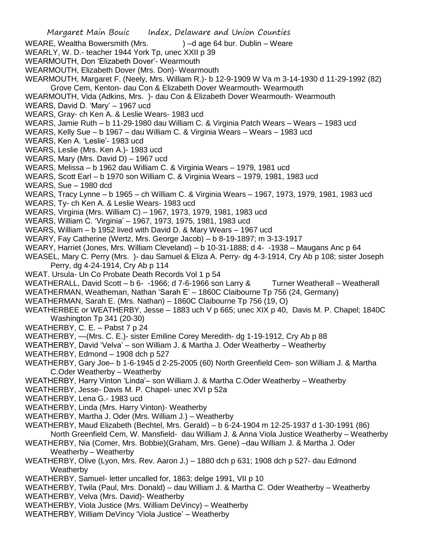- Margaret Main Bouic Index, Delaware and Union Counties WEARE, Wealtha Bowersmith (Mrs.  $\qquad \qquad$ ) –d age 64 bur. Dublin – Weare WEARLY, W. D.- teacher 1944 York Tp, unec XXII p 39 WEARMOUTH, Don 'Elizabeth Dover'- Wearmouth WEARMOUTH, Elizabeth Dover (Mrs. Don)- Wearmouth WEARMOUTH, Margaret F. (Neely, Mrs. William R.)- b 12-9-1909 W Va m 3-14-1930 d 11-29-1992 (82) Grove Cem, Kenton- dau Con & Elizabeth Dover Wearmouth- Wearmouth WEARMOUTH, Vida (Adkins, Mrs. )- dau Con & Elizabeth Dover Wearmouth- Wearmouth WEARS, David D. 'Mary' – 1967 ucd WEARS, Gray- ch Ken A. & Leslie Wears- 1983 ucd WEARS, Jamie Ruth – b 11-29-1980 dau William C. & Virginia Patch Wears – Wears – 1983 ucd WEARS, Kelly Sue – b 1967 – dau William C. & Virginia Wears – Wears – 1983 ucd WEARS, Ken A. 'Leslie'- 1983 ucd WEARS, Leslie (Mrs. Ken A.)- 1983 ucd WEARS, Mary (Mrs. David D) – 1967 ucd WEARS, Melissa – b 1962 dau William C. & Virginia Wears – 1979, 1981 ucd WEARS, Scott Earl – b 1970 son William C. & Virginia Wears – 1979, 1981, 1983 ucd WEARS, Sue – 1980 dcd WEARS, Tracy Lynne – b 1965 – ch William C. & Virginia Wears – 1967, 1973, 1979, 1981, 1983 ucd WEARS, Ty- ch Ken A. & Leslie Wears- 1983 ucd WEARS, Virginia (Mrs. William C) – 1967, 1973, 1979, 1981, 1983 ucd WEARS, William C. 'Virginia' – 1967, 1973, 1975, 1981, 1983 ucd WEARS, William – b 1952 lived with David D. & Mary Wears – 1967 ucd WEARY, Fay Catherine (Wertz, Mrs. George Jacob) – b 8-19-1897; m 3-13-1917 WEARY, Harriet (Jones, Mrs. William Cleveland) – b 10-31-1888; d 4- -1938 – Maugans Anc p 64 WEASEL, Mary C. Perry (Mrs. )- dau Samuel & Eliza A. Perry- dg 4-3-1914, Cry Ab p 108; sister Joseph Perry, dg 4-24-1914, Cry Ab p 114 WEAT. Ursula- Un Co Probate Death Records Vol 1 p 54 WEATHERALL, David Scott – b 6- -1966; d 7-6-1966 son Larry & Turner Weatherall – Weatherall WEATHERMAN, Weatheman, Nathan 'Sarah E' – 1860C Claibourne Tp 756 (24, Germany) WEATHERMAN, Sarah E. (Mrs. Nathan) – 1860C Claibourne Tp 756 (19, O) WEATHERBEE or WEATHERBY, Jesse – 1883 uch V p 665; unec XIX p 40, Davis M. P. Chapel; 1840C Washington Tp 341 (20-30) WEATHERBY, C. E. – Pabst 7 p 24 WEATHERBY, —(Mrs. C. E.)- sister Emiline Corey Meredith- dg 1-19-1912, Cry Ab p 88 WEATHERBY, David 'Velva' – son William J. & Martha J. Oder Weatherby – Weatherby WEATHERBY, Edmond – 1908 dch p 527 WEATHERBY, Gary Joe– b 1-6-1945 d 2-25-2005 (60) North Greenfield Cem- son William J. & Martha C.Oder Weatherby – Weatherby WEATHERBY, Harry Vinton 'Linda'– son William J. & Martha C.Oder Weatherby – Weatherby WEATHERBY, Jesse- Davis M. P. Chapel- unec XVI p 52a WEATHERBY, Lena G.- 1983 ucd WEATHERBY, Linda (Mrs. Harry Vinton)- Weatherby WEATHERBY, Martha J. Oder (Mrs. William J.) – Weatherby WEATHERBY, Maud Elizabeth (Bechtel, Mrs. Gerald) – b 6-24-1904 m 12-25-1937 d 1-30-1991 (86) North Greenfield Cem, W. Mansfield- dau William J. & Anna Viola Justice Weatherby – Weatherby WEATHERBY, Nia (Comer, Mrs. Bobbie)(Graham, Mrs. Gene) –dau William J. & Martha J. Oder Weatherby – Weatherby WEATHERBY, Olive (Lyon, Mrs. Rev. Aaron J.) – 1880 dch p 631; 1908 dch p 527- dau Edmond Weatherby WEATHERBY, Samuel- letter uncalled for, 1863; delge 1991, VII p 10 WEATHERBY, Twila (Paul, Mrs. Donald) – dau William J. & Martha C. Oder Weatherby – Weatherby
- WEATHERBY, Velva (Mrs. David)- Weatherby
- WEATHERBY, Viola Justice (Mrs. William DeVincy) Weatherby
- WEATHERBY, William DeVincy 'Viola Justice' Weatherby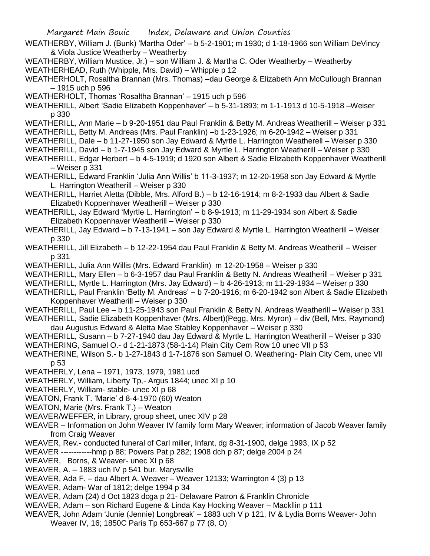- WEATHERBY, William J. (Bunk) 'Martha Oder' b 5-2-1901; m 1930; d 1-18-1966 son William DeVincy & Viola Justice Weatherby – Weatherby
- WEATHERBY, William Mustice, Jr.) son William J. & Martha C. Oder Weatherby Weatherby WEATHERHEAD, Ruth (Whipple, Mrs. David) – Whipple p 12
- WEATHERHOLT, Rosaltha Brannan (Mrs. Thomas) –dau George & Elizabeth Ann McCullough Brannan – 1915 uch p 596
- WEATHERHOLT, Thomas 'Rosaltha Brannan' 1915 uch p 596
- WEATHERILL, Albert 'Sadie Elizabeth Koppenhaver' b 5-31-1893; m 1-1-1913 d 10-5-1918 –Weiser p 330
- WEATHERILL, Ann Marie b 9-20-1951 dau Paul Franklin & Betty M. Andreas Weatherill Weiser p 331
- WEATHERILL, Betty M. Andreas (Mrs. Paul Franklin) –b 1-23-1926; m 6-20-1942 Weiser p 331
- WEATHERILL, Dale b 11-27-1950 son Jay Edward & Myrtle L. Harrington Weatherell Weiser p 330
- WEATHERILL, David b 1-7-1945 son Jay Edward & Myrtle L. Harrington Weatherill Weiser p 330
- WEATHERILL, Edgar Herbert b 4-5-1919; d 1920 son Albert & Sadie Elizabeth Koppenhaver Weatherill – Weiser p 331
- WEATHERILL, Edward Franklin 'Julia Ann Willis' b 11-3-1937; m 12-20-1958 son Jay Edward & Myrtle L. Harrington Weatherill – Weiser p 330
- WEATHERILL, Harriet Aletta (Dibble, Mrs. Alford B.) b 12-16-1914; m 8-2-1933 dau Albert & Sadie Elizabeth Koppenhaver Weatherill – Weiser p 330
- WEATHERILL, Jay Edward 'Myrtle L. Harrington' b 8-9-1913; m 11-29-1934 son Albert & Sadie Elizabeth Koppenhaver Weatherill – Weiser p 330
- WEATHERILL, Jay Edward b 7-13-1941 son Jay Edward & Myrtle L. Harrington Weatherill Weiser p 330
- WEATHERILL, Jill Elizabeth b 12-22-1954 dau Paul Franklin & Betty M. Andreas Weatherill Weiser p 331
- WEATHERILL, Julia Ann Willis (Mrs. Edward Franklin) m 12-20-1958 Weiser p 330
- WEATHERILL, Mary Ellen b 6-3-1957 dau Paul Franklin & Betty N. Andreas Weatherill Weiser p 331
- WEATHERILL, Myrtle L. Harrington (Mrs. Jay Edward) b 4-26-1913; m 11-29-1934 Weiser p 330
- WEATHERILL, Paul Franklin 'Betty M. Andreas' b 7-20-1916; m 6-20-1942 son Albert & Sadie Elizabeth Koppenhaver Weatherill – Weiser p 330
- WEATHERILL, Paul Lee b 11-25-1943 son Paul Franklin & Betty N. Andreas Weatherill Weiser p 331
- WEATHERILL, Sadie Elizabeth Koppenhaver (Mrs. Albert)(Pegg, Mrs. Myron) div (Bell, Mrs. Raymond) dau Augustus Edward & Aletta Mae Stabley Koppenhaver – Weiser p 330
- WEATHERILL, Susann b 7-27-1940 dau Jay Edward & Myrtle L. Harrington Weatherill Weiser p 330 WEATHERING, Samuel O.- d 1-21-1873 (58-1-14) Plain City Cem Row 10 unec VII p 53
- WEATHERINE, Wilson S.- b 1-27-1843 d 1-7-1876 son Samuel O. Weathering- Plain City Cem, unec VII p 53
- WEATHERLY, Lena 1971, 1973, 1979, 1981 ucd
- WEATHERLY, William, Liberty Tp,- Argus 1844; unec XI p 10
- WEATHERLY, William- stable- unec XI p 68
- WEATON, Frank T. 'Marie' d 8-4-1970 (60) Weaton
- WEATON, Marie (Mrs. Frank T.) Weaton
- WEAVER/WEFFER, in Library, group sheet, unec XIV p 28
- WEAVER Information on John Weaver IV family form Mary Weaver; information of Jacob Weaver family from Craig Weaver
- WEAVER, Rev.- conducted funeral of Carl miller, Infant, dg 8-31-1900, delge 1993, IX p 52
- WEAVER ------------hmp p 88; Powers Pat p 282; 1908 dch p 87; delge 2004 p 24
- WEAVER, Borns, & Weaver- unec XI p 68
- WEAVER, A. 1883 uch IV p 541 bur. Marysville
- WEAVER, Ada F. dau Albert A. Weaver Weaver 12133; Warrington 4 (3) p 13
- WEAVER, Adam- War of 1812; delge 1994 p 34
- WEAVER, Adam (24) d Oct 1823 dcga p 21- Delaware Patron & Franklin Chronicle
- WEAVER, Adam son Richard Eugene & Linda Kay Hocking Weaver Mackllin p 111
- WEAVER, John Adam 'Junie (Jennie) Longbreak' 1883 uch V p 121, IV & Lydia Borns Weaver- John Weaver IV, 16; 1850C Paris Tp 653-667 p 77 (8, O)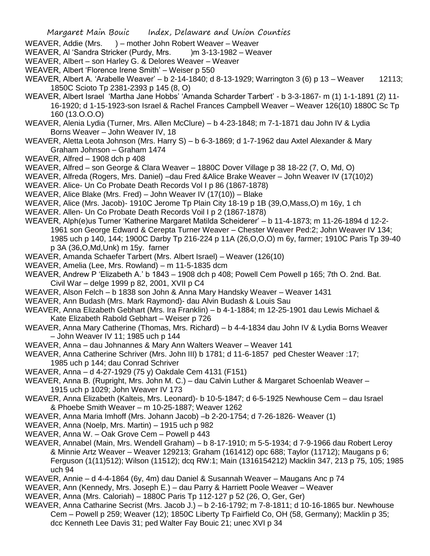- WEAVER, Addie (Mrs. ) mother John Robert Weaver Weaver
- WEAVER, AI 'Sandra Stricker (Purdy, Mrs. )m 3-13-1982 Weaver
- WEAVER, Albert son Harley G. & Delores Weaver Weaver
- WEAVER, Albert 'Florence Irene Smith' Weiser p 550
- WEAVER, Albert A. 'Arabelle Weaver' b 2-14-1840; d 8-13-1929; Warrington 3 (6) p 13 Weaver 12113; 1850C Scioto Tp 2381-2393 p 145 (8, O)
- WEAVER, Albert Israel 'Martha Jane Hobbs' 'Amanda Scharder Tarbert' b 3-3-1867- m (1) 1-1-1891 (2) 11- 16-1920; d 1-15-1923-son Israel & Rachel Frances Campbell Weaver – Weaver 126(10) 1880C Sc Tp 160 (13.O.O.O)
- WEAVER, Alenia Lydia (Turner, Mrs. Allen McClure) b 4-23-1848; m 7-1-1871 dau John IV & Lydia Borns Weaver – John Weaver IV, 18
- WEAVER, Aletta Leota Johnson (Mrs. Harry S) b 6-3-1869; d 1-7-1962 dau Axtel Alexander & Mary Graham Johnson – Graham 1474
- WEAVER, Alfred 1908 dch p 408
- WEAVER, Alfred son George & Clara Weaver 1880C Dover Village p 38 18-22 (7, O, Md, O)
- WEAVER, Alfreda (Rogers, Mrs. Daniel) –dau Fred &Alice Brake Weaver John Weaver IV (17(10)2)
- WEAVER. Alice- Un Co Probate Death Records Vol I p 86 (1867-1878)
- WEAVER, Alice Blake (Mrs. Fred) John Weaver IV (17(10)) Blake
- WEAVER, Alice (Mrs. Jacob)- 1910C Jerome Tp Plain City 18-19 p 1B (39,O,Mass,O) m 16y, 1 ch
- WEAVER. Allen- Un Co Probate Death Records Voil I p 2 (1867-1878)
- WEAVER, Alph(e)us Turner 'Katherine Margaret Matilda Scheiderer' b 11-4-1873; m 11-26-1894 d 12-2- 1961 son George Edward & Cerepta Turner Weaver – Chester Weaver Ped:2; John Weaver IV 134; 1985 uch p 140, 144; 1900C Darby Tp 216-224 p 11A (26,O,O,O) m 6y, farmer; 1910C Paris Tp 39-40 p 3A (36,O,Md,Unk) m 15y. farner
- WEAVER, Amanda Schaefer Tarbert (Mrs. Albert Israel) Weaver (126(10)
- WEAVER, Amelia (Lee, Mrs. Rowland) m 11-5-1835 dcm
- WEAVER, Andrew P 'Elizabeth A.' b 1843 1908 dch p 408; Powell Cem Powell p 165; 7th O. 2nd. Bat. Civil War – delge 1999 p 82, 2001, XVII p C4
- WEAVER, Alson Felch b 1838 son John & Anna Mary Handsky Weaver Weaver 1431
- WEAVER, Ann Budash (Mrs. Mark Raymond)- dau Alvin Budash & Louis Sau
- WEAVER, Anna Elizabeth Gebhart (Mrs. Ira Franklin) b 4-1-1884; m 12-25-1901 dau Lewis Michael & Kate Elizabeth Rabold Gebhart – Weiser p 726
- WEAVER, Anna Mary Catherine (Thomas, Mrs. Richard) b 4-4-1834 dau John IV & Lydia Borns Weaver – John Weaver IV 11; 1985 uch p 144
- WEAVER, Anna dau Johnannes & Mary Ann Walters Weaver Weaver 141
- WEAVER, Anna Catherine Schriver (Mrs. John III) b 1781; d 11-6-1857 ped Chester Weaver :17; 1985 uch p 144; dau Conrad Schriver
- WEAVER, Anna d 4-27-1929 (75 y) Oakdale Cem 4131 (F151)
- WEAVER, Anna B. (Rupright, Mrs. John M. C.) dau Calvin Luther & Margaret Schoenlab Weaver 1915 uch p 1029; John Weaver IV 173
- WEAVER, Anna Elizabeth (Kalteis, Mrs. Leonard)- b 10-5-1847; d 6-5-1925 Newhouse Cem dau Israel & Phoebe Smith Weaver – m 10-25-1887; Weaver 1262
- WEAVER, Anna Maria Imhoff (Mrs. Johann Jacob) –b 2-20-1754; d 7-26-1826- Weaver (1)

WEAVER, Anna (Noelp, Mrs. Martin) – 1915 uch p 982

- WEAVER, Anna W. Oak Grove Cem Powell p 443
- WEAVER, Annabel (Main, Mrs. Wendell Graham) b 8-17-1910; m 5-5-1934; d 7-9-1966 dau Robert Leroy & Minnie Artz Weaver – Weaver 129213; Graham (161412) opc 688; Taylor (11712); Maugans p 6; Ferguson (1(11)512); Wilson (11512); dcq RW:1; Main (1316154212) Macklin 347, 213 p 75, 105; 1985 uch 94
- WEAVER, Annie d 4-4-1864 (6y, 4m) dau Daniel & Susannah Weaver Maugans Anc p 74
- WEAVER, Ann (Kennedy, Mrs. Joseph E.) dau Parry & Harriett Poole Weaver Weaver
- WEAVER, Anna (Mrs. Caloriah) 1880C Paris Tp 112-127 p 52 (26, O, Ger, Ger)
- WEAVER, Anna Catharine Secrist (Mrs. Jacob J.) b 2-16-1792; m 7-8-1811; d 10-16-1865 bur. Newhouse Cem – Powell p 259; Weaver (12); 1850C Liberty Tp Fairfield Co, OH (58, Germany); Macklin p 35; dcc Kenneth Lee Davis 31; ped Walter Fay Bouic 21; unec XVI p 34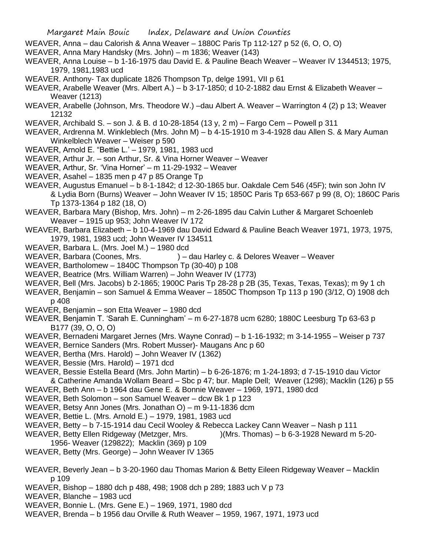- Margaret Main Bouic Index, Delaware and Union Counties WEAVER, Anna – dau Calorish & Anna Weaver – 1880C Paris Tp 112-127 p 52 (6, O, O, O) WEAVER, Anna Mary Handsky (Mrs. John) – m 1836; Weaver (143) WEAVER, Anna Louise – b 1-16-1975 dau David E. & Pauline Beach Weaver – Weaver IV 1344513; 1975, 1979, 1981,1983 ucd WEAVER. Anthony- Tax duplicate 1826 Thompson Tp, delge 1991, VII p 61 WEAVER, Arabelle Weaver (Mrs. Albert A.) – b 3-17-1850; d 10-2-1882 dau Ernst & Elizabeth Weaver – Weaver (1213) WEAVER, Arabelle (Johnson, Mrs. Theodore W.) –dau Albert A. Weaver – Warrington 4 (2) p 13; Weaver 12132 WEAVER, Archibald S. – son J. & B. d 10-28-1854 (13 y, 2 m) – Fargo Cem – Powell p 311 WEAVER, Ardrenna M. Winkleblech (Mrs. John M) – b 4-15-1910 m 3-4-1928 dau Allen S. & Mary Auman
- Winkelblech Weaver Weiser p 590
- WEAVER, Arnold E. "Bettie L.' 1979, 1981, 1983 ucd
- WEAVER, Arthur Jr. son Arthur, Sr. & Vina Horner Weaver Weaver
- WEAVER, Arthur, Sr. 'Vina Horner' m 11-29-1932 Weaver
- WEAVER, Asahel 1835 men p 47 p 85 Orange Tp
- WEAVER, Augustus Emanuel b 8-1-1842; d 12-30-1865 bur. Oakdale Cem 546 (45F); twin son John IV & Lydia Born (Burns) Weaver – John Weaver IV 15; 1850C Paris Tp 653-667 p 99 (8, O); 1860C Paris Tp 1373-1364 p 182 (18, O)
- WEAVER, Barbara Mary (Bishop, Mrs. John) m 2-26-1895 dau Calvin Luther & Margaret Schoenleb Weaver – 1915 up 953; John Weaver IV 172
- WEAVER, Barbara Elizabeth b 10-4-1969 dau David Edward & Pauline Beach Weaver 1971, 1973, 1975, 1979, 1981, 1983 ucd; John Weaver IV 134511
- WEAVER, Barbara L. (Mrs. Joel M.) 1980 dcd
- WEAVER, Barbara (Coones, Mrs. ) dau Harley c. & Delores Weaver Weaver
- WEAVER, Bartholomew 1840C Thompson Tp (30-40) p 108
- WEAVER, Beatrice (Mrs. William Warren) John Weaver IV (1773)
- WEAVER, Bell (Mrs. Jacobs) b 2-1865; 1900C Paris Tp 28-28 p 2B (35, Texas, Texas, Texas); m 9y 1 ch
- WEAVER, Benjamin son Samuel & Emma Weaver 1850C Thompson Tp 113 p 190 (3/12, O) 1908 dch p 408
- WEAVER, Benjamin son Etta Weaver 1980 dcd
- WEAVER, Benjamin T. 'Sarah E. Cunningham' m 6-27-1878 ucm 6280; 1880C Leesburg Tp 63-63 p B177 (39, O, O, O)
- WEAVER, Bernadeni Margaret Jernes (Mrs. Wayne Conrad) b 1-16-1932; m 3-14-1955 Weiser p 737
- WEAVER, Bernice Sanders (Mrs. Robert Musser)- Maugans Anc p 60
- WEAVER, Bertha (Mrs. Harold) John Weaver IV (1362)
- WEAVER, Bessie (Mrs. Harold) 1971 dcd
- WEAVER, Bessie Estella Beard (Mrs. John Martin) b 6-26-1876; m 1-24-1893; d 7-15-1910 dau Victor & Catherine Amanda Wollam Beard – Sbc p 47; bur. Maple Dell; Weaver (1298); Macklin (126) p 55
- WEAVER, Beth Ann b 1964 dau Gene E. & Bonnie Weaver 1969, 1971, 1980 dcd
- WEAVER, Beth Solomon son Samuel Weaver dcw Bk 1 p 123
- WEAVER, Betsy Ann Jones (Mrs. Jonathan O) m 9-11-1836 dcm
- WEAVER, Bettie L. (Mrs. Arnold E.) 1979, 1981, 1983 ucd
- WEAVER, Betty b 7-15-1914 dau Cecil Wooley & Rebecca Lackey Cann Weaver Nash p 111
- WEAVER, Betty Ellen Ridgeway (Metzger, Mrs. )(Mrs. Thomas) b 6-3-1928 Neward m 5-20-
- 1956- Weaver (129822); Macklin (369) p 109
- WEAVER, Betty (Mrs. George) John Weaver IV 1365
- WEAVER, Beverly Jean b 3-20-1960 dau Thomas Marion & Betty Eileen Ridgeway Weaver Macklin p 109
- WEAVER, Bishop 1880 dch p 488, 498; 1908 dch p 289; 1883 uch V p 73
- WEAVER, Blanche 1983 ucd
- WEAVER, Bonnie L. (Mrs. Gene E.) 1969, 1971, 1980 dcd
- WEAVER, Brenda b 1956 dau Orville & Ruth Weaver 1959, 1967, 1971, 1973 ucd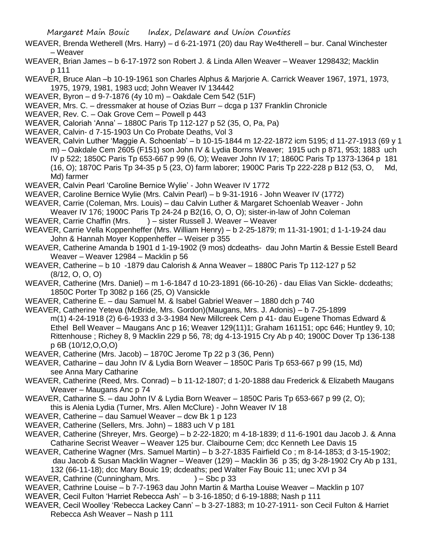- WEAVER, Brenda Wetherell (Mrs. Harry) d 6-21-1971 (20) dau Ray We4therell bur. Canal Winchester – Weaver
- WEAVER, Brian James b 6-17-1972 son Robert J. & Linda Allen Weaver Weaver 1298432; Macklin p 111
- WEAVER, Bruce Alan –b 10-19-1961 son Charles Alphus & Marjorie A. Carrick Weaver 1967, 1971, 1973, 1975, 1979, 1981, 1983 ucd; John Weaver IV 134442
- WEAVER, Byron d 9-7-1876 (4y 10 m) Oakdale Cem 542 (51F)
- WEAVER, Mrs. C. dressmaker at house of Ozias Burr dcga p 137 Franklin Chronicle
- WEAVER, Rev. C. Oak Grove Cem Powell p 443
- WEAVER, Caloriah 'Anna' 1880C Paris Tp 112-127 p 52 (35, O, Pa, Pa)
- WEAVER, Calvin- d 7-15-1903 Un Co Probate Deaths, Vol 3
- WEAVER, Calvin Luther 'Maggie A. Schoenlab' b 10-15-1844 m 12-22-1872 icm 5195; d 11-27-1913 (69 y 1 m) – Oakdale Cem 2605 (F151) son John IV & Lydia Borns Weaver; 1915 uch p 871, 953; 1883 uch IV p 522; 1850C Paris Tp 653-667 p 99 (6, O); Weaver John IV 17; 1860C Paris Tp 1373-1364 p 181 (16, O); 1870C Paris Tp 34-35 p 5 (23, O) farm laborer; 1900C Paris Tp 222-228 p B12 (53, O, Md, Md) farmer
- WEAVER, Calvin Pearl 'Caroline Bernice Wylie' John Weaver IV 1772
- WEAVER, Caroline Bernice Wylie (Mrs. Calvin Pearl) b 9-31-1916 John Weaver IV (1772)
- WEAVER, Carrie (Coleman, Mrs. Louis) dau Calvin Luther & Margaret Schoenlab Weaver John
- Weaver IV 176; 1900C Paris Tp 24-24 p B2(16, O, O, O); sister-in-law of John Coleman
- WEAVER, Carrie Chaffin (Mrs. ) sister Russell J. Weaver Weaver
- WEAVER, Carrie Vella Koppenheffer (Mrs. William Henry) b 2-25-1879; m 11-31-1901; d 1-1-19-24 dau John & Hannah Moyer Koppenheffer – Weiser p 355
- WEAVER, Catherine Amanda b 1901 d 1-19-1902 (9 mos) dcdeaths- dau John Martin & Bessie Estell Beard Weaver – Weaver 12984 – Macklin p 56
- WEAVER, Catherine b 10 -1879 dau Calorish & Anna Weaver 1880C Paris Tp 112-127 p 52 (8/12, O, O, O)
- WEAVER, Catherine (Mrs. Daniel) m 1-6-1847 d 10-23-1891 (66-10-26) dau Elias Van Sickle- dcdeaths; 1850C Porter Tp 3082 p 166 (25, O) Vansickle
- WEAVER, Catherine E. dau Samuel M. & Isabel Gabriel Weaver 1880 dch p 740
- WEAVER, Catherine Yeteva (McBride, Mrs. Gordon)(Maugans, Mrs. J. Adonis) b 7-25-1899 m(1) 4-24-1918 (2) 6-6-1933 d 3-3-1984 New Millcreek Cem p 41- dau Eugene Thomas Edward & Ethel Bell Weaver – Maugans Anc p 16; Weaver 129(11)1; Graham 161151; opc 646; Huntley 9, 10; Rittenhouse ; Richey 8, 9 Macklin 229 p 56, 78; dg 4-13-1915 Cry Ab p 40; 1900C Dover Tp 136-138 p 6B (10/12,O,O,O)
- WEAVER, Catherine (Mrs. Jacob) 1870C Jerome Tp 22 p 3 (36, Penn)
- WEAVER, Catharine dau John IV & Lydia Born Weaver 1850C Paris Tp 653-667 p 99 (15, Md) see Anna Mary Catharine
- WEAVER, Catherine (Reed, Mrs. Conrad) b 11-12-1807; d 1-20-1888 dau Frederick & Elizabeth Maugans Weaver – Maugans Anc p 74
- WEAVER, Catharine S. dau John IV & Lydia Born Weaver 1850C Paris Tp 653-667 p 99 (2, O); this is Alenia Lydia (Turner, Mrs. Allen McClure) - John Weaver IV 18
- WEAVER, Catherine dau Samuel Weaver dcw Bk 1 p 123
- WEAVER, Catherine (Sellers, Mrs. John) 1883 uch V p 181
- WEAVER, Catherine (Shreyer, Mrs. George) b 2-22-1820; m 4-18-1839; d 11-6-1901 dau Jacob J. & Anna Catharine Secrist Weaver – Weaver 125 bur. Claibourne Cem; dcc Kenneth Lee Davis 15
- WEAVER, Catherine Wagner (Mrs. Samuel Martin) b 3-27-1835 Fairfield Co ; m 8-14-1853; d 3-15-1902; dau Jacob & Susan Macklin Wagner – Weaver (129) – Macklin 36 p 35; dg 3-28-1902 Cry Ab p 131,

132 (66-11-18); dcc Mary Bouic 19; dcdeaths; ped Walter Fay Bouic 11; unec XVI p 34

- WEAVER, Cathrine (Cunningham, Mrs. ) Sbc p 33
- WEAVER, Cathrine Louise b 7-7-1963 dau John Martin & Martha Louise Weaver Macklin p 107
- WEAVER, Cecil Fulton 'Harriet Rebecca Ash' b 3-16-1850; d 6-19-1888; Nash p 111
- WEAVER, Cecil Woolley 'Rebecca Lackey Cann' b 3-27-1883; m 10-27-1911- son Cecil Fulton & Harriet Rebecca Ash Weaver – Nash p 111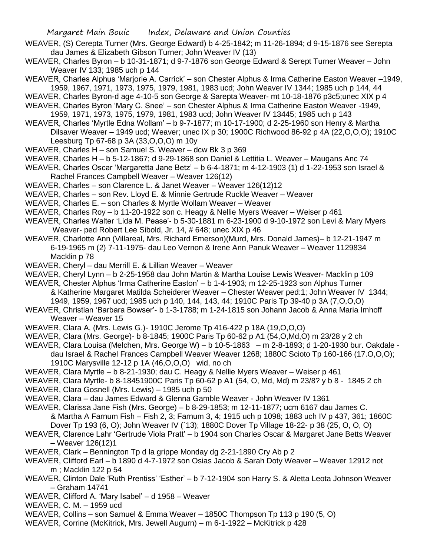- WEAVER, (S) Cerepta Turner (Mrs. George Edward) b 4-25-1842; m 11-26-1894; d 9-15-1876 see Serepta dau James & Elizabeth Gibson Turner; John Weaver IV (13)
- WEAVER, Charles Byron b 10-31-1871; d 9-7-1876 son George Edward & Serept Turner Weaver John Weaver IV 133; 1985 uch p 144
- WEAVER, Charles Alphus 'Marjorie A. Carrick' son Chester Alphus & Irma Catherine Easton Weaver –1949, 1959, 1967, 1971, 1973, 1975, 1979, 1981, 1983 ucd; John Weaver IV 1344; 1985 uch p 144, 44
- WEAVER, Charles Byron-d age 4-10-5 son George & Sarepta Weaver- mt 10-18-1876 p3c5;unec XIX p 4

WEAVER, Charles Byron 'Mary C. Snee' – son Chester Alphus & Irma Catherine Easton Weaver -1949,

1959, 1971, 1973, 1975, 1979, 1981, 1983 ucd; John Weaver IV 13445; 1985 uch p 143

WEAVER, Charles 'Myrtle Edna Wollam' – b 9-7-1877; m 10-17-1900; d 2-25-1960 son Henry & Martha Dilsaver Weaver – 1949 ucd; Weaver; unec IX p 30; 1900C Richwood 86-92 p 4A (22,O,O,O); 1910C Leesburg Tp 67-68 p 3A (33,O,O,O) m 10y

- WEAVER, Charles H son Samuel S. Weaver dcw Bk 3 p 369
- WEAVER, Charles H b 5-12-1867; d 9-29-1868 son Daniel & Lettitia L. Weaver Maugans Anc 74
- WEAVER, Charles Oscar 'Margaretta Jane Betz' b 6-4-1871; m 4-12-1903 (1) d 1-22-1953 son Israel & Rachel Frances Campbell Weaver – Weaver 126(12)
- WEAVER, Charles son Clarence L. & Janet Weaver Weaver 126(12)12
- WEAVER, Charles son Rev. Lloyd E. & Minnie Gertrude Ruckle Weaver Weaver
- WEAVER, Charles E. son Charles & Myrtle Wollam Weaver Weaver
- WEAVER, Charles Roy b 11-20-1922 son c. Heagy & Nellie Myers Weaver Weiser p 461
- WEAVER, Charles Walter 'Lida M. Pease'- b 5-30-1881 m 6-23-1900 d 9-10-1972 son Levi & Mary Myers Weaver- ped Robert Lee Sibold, Jr. 14, # 648; unec XIX p 46
- WEAVER, Charlotte Ann (Villareal, Mrs. Richard Emerson)(Murd, Mrs. Donald James)– b 12-21-1947 m 6-19-1965 m (2) 7-11-1975- dau Leo Vernon & Irene Ann Panuk Weaver – Weaver 1129834 Macklin p 78
- WEAVER, Cheryl dau Merrill E. & Lillian Weaver Weaver
- WEAVER, Cheryl Lynn b 2-25-1958 dau John Martin & Martha Louise Lewis Weaver- Macklin p 109
- WEAVER, Chester Alphus 'Irma Catherine Easton' b 1-4-1903; m 12-25-1923 son Alphus Turner & Katherine Margaret Matilda Scheiderer Weaver – Chester Weaver ped:1; John Weaver IV 1344; 1949, 1959, 1967 ucd; 1985 uch p 140, 144, 143, 44; 1910C Paris Tp 39-40 p 3A (7,O,O,O)
- WEAVER, Christian 'Barbara Bowser'- b 1-3-1788; m 1-24-1815 son Johann Jacob & Anna Maria Imhoff Weaver – Weaver 15
- WEAVER, Clara A, (Mrs. Lewis G.)- 1910C Jerome Tp 416-422 p 18A (19,O,O,O)
- WEAVER, Clara (Mrs. George)- b 8-1845; 1900C Paris Tp 60-62 p A1 (54,O,Md,O) m 23/28 y 2 ch
- WEAVER, Clara Louisa (Melchen, Mrs. George W) b 10-5-1863 m 2-8-1893; d 1-20-1930 bur. Oakdale dau Israel & Rachel Frances Campbell Weaver Weaver 1268; 1880C Scioto Tp 160-166 (17.O,O,O); 1910C Marysville 12-12 p 1A (46,O,O,O) wid, no ch
- WEAVER, Clara Myrtle b 8-21-1930; dau C. Heagy & Nellie Myers Weaver Weiser p 461
- WEAVER, Clara Myrtle- b 8-18451900C Paris Tp 60-62 p A1 (54, O, Md, Md) m 23/8? y b 8 1845 2 ch
- WEAVER, Clara Gosnell (Mrs. Lewis) 1985 uch p 50
- WEAVER, Clara dau James Edward & Glenna Gamble Weaver John Weaver IV 1361
- WEAVER, Clarissa Jane Fish (Mrs. George) b 8-29-1853; m 12-11-1877; ucm 6167 dau James C. & Martha A Farnum Fish – Fish 2, 3; Farnum 3, 4; 1915 uch p 1098; 1883 uch IV p 437, 361; 1860C Dover Tp 193 (6, O); John Weaver IV (`13); 1880C Dover Tp Village 18-22- p 38 (25, O, O, O) WEAVER, Clarence Lahr 'Gertrude Viola Pratt' – b 1904 son Charles Oscar & Margaret Jane Betts Weaver
- Weaver 126(12)1
- WEAVER, Clark Bennington Tp d la grippe Monday dg 2-21-1890 Cry Ab p 2
- WEAVER, Clifford Earl b 1890 d 4-7-1972 son Osias Jacob & Sarah Doty Weaver Weaver 12912 not m ; Macklin 122 p 54
- WEAVER, Clinton Dale 'Ruth Prentiss' 'Esther' b 7-12-1904 son Harry S. & Aletta Leota Johnson Weaver – Graham 14741
- WEAVER, Clifford A. 'Mary Isabel' d 1958 Weaver
- WEAVER, C. M. 1959 ucd
- WEAVER, Collins son Samuel & Emma Weaver 1850C Thompson Tp 113 p 190 (5, O)
- WEAVER, Corrine (McKitrick, Mrs. Jewell Augurn) m 6-1-1922 McKitrick p 428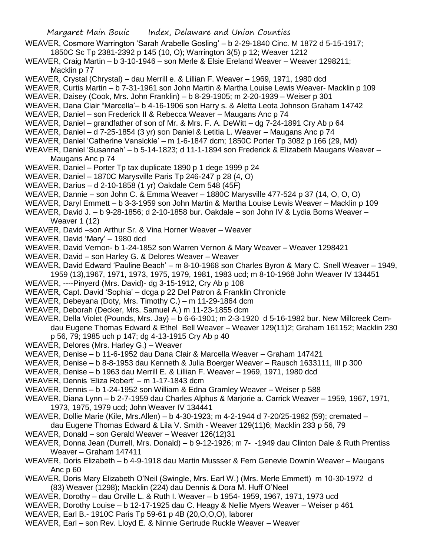- WEAVER, Cosmore Warrington 'Sarah Arabelle Gosling' b 2-29-1840 Cinc. M 1872 d 5-15-1917;
	- 1850C Sc Tp 2381-2392 p 145 (10, O); Warrington 3(5) p 12; Weaver 1212
- WEAVER, Craig Martin b 3-10-1946 son Merle & Elsie Ereland Weaver Weaver 1298211; Macklin p 77
- WEAVER, Crystal (Chrystal) dau Merrill e. & Lillian F. Weaver 1969, 1971, 1980 dcd
- WEAVER, Curtis Martin b 7-31-1961 son John Martin & Martha Louise Lewis Weaver- Macklin p 109
- WEAVER, Daisey (Cook, Mrs. John Franklin) b 8-29-1905; m 2-20-1939 Weiser p 301
- WEAVER, Dana Clair "Marcella'– b 4-16-1906 son Harry s. & Aletta Leota Johnson Graham 14742
- WEAVER, Daniel son Frederick II & Rebecca Weaver Maugans Anc p 74
- WEAVER, Daniel grandfather of son of Mr. & Mrs. F. A. DeWitt dg 7-24-1891 Cry Ab p 64
- WEAVER, Daniel d 7-25-1854 (3 yr) son Daniel & Letitia L. Weaver Maugans Anc p 74
- WEAVER, Daniel 'Catherine Vansickle' m 1-6-1847 dcm; 1850C Porter Tp 3082 p 166 (29, Md)
- WEAVER, Daniel 'Susannah' b 5-14-1823; d 11-1-1894 son Frederick & Elizabeth Maugans Weaver Maugans Anc p 74
- WEAVER, Daniel Porter Tp tax duplicate 1890 p 1 dege 1999 p 24
- WEAVER, Daniel 1870C Marysville Paris Tp 246-247 p 28 (4, O)
- WEAVER, Darius d 2-10-1858 (1 yr) Oakdale Cem 548 (45F)
- WEAVER, Dannie son John C. & Emma Weaver 1880C Marysville 477-524 p 37 (14, O, O, O)
- WEAVER, Daryl Emmett b 3-3-1959 son John Martin & Martha Louise Lewis Weaver Macklin p 109
- WEAVER, David J. b 9-28-1856; d 2-10-1858 bur. Oakdale son John IV & Lydia Borns Weaver Weaver 1 (12)
- WEAVER, David –son Arthur Sr. & Vina Horner Weaver Weaver
- WEAVER, David 'Mary' 1980 dcd
- WEAVER, David Vernon- b 1-24-1852 son Warren Vernon & Mary Weaver Weaver 1298421
- WEAVER, David son Harley G. & Delores Weaver Weaver
- WEAVER, David Edward 'Pauline Beach' m 8-10-1968 son Charles Byron & Mary C. Snell Weaver 1949, 1959 (13),1967, 1971, 1973, 1975, 1979, 1981, 1983 ucd; m 8-10-1968 John Weaver IV 134451
- WEAVER, ----Pinyerd (Mrs. David)- dg 3-15-1912, Cry Ab p 108
- WEAVER, Capt. David 'Sophia' dcga p 22 Del Patron & Franklin Chronicle
- WEAVER, Debeyana (Doty, Mrs. Timothy C.) m 11-29-1864 dcm
- WEAVER, Deborah (Decker, Mrs. Samuel A.) m 11-23-1855 dcm
- WEAVER, Della Violet (Pounds, Mrs. Jay) b 6-6-1901; m 2-3-1920 d 5-16-1982 bur. New Millcreek Cemdau Eugene Thomas Edward & Ethel Bell Weaver – Weaver 129(11)2; Graham 161152; Macklin 230 p 56, 79; 1985 uch p 147; dg 4-13-1915 Cry Ab p 40
- WEAVER, Delores (Mrs. Harley G.) Weaver
- WEAVER, Denise b 11-6-1952 dau Dana Clair & Marcella Weaver Graham 147421
- WEAVER, Denise b 8-8-1953 dau Kenneth & Julia Boerger Weaver Rausch 1633111, III p 300
- WEAVER, Denise b 1963 dau Merrill E. & Lillian F. Weaver 1969, 1971, 1980 dcd
- WEAVER, Dennis 'Eliza Robert' m 1-17-1843 dcm
- WEAVER, Dennis b 1-24-1952 son William & Edna Gramley Weaver Weiser p 588
- WEAVER, Diana Lynn b 2-7-1959 dau Charles Alphus & Marjorie a. Carrick Weaver 1959, 1967, 1971, 1973, 1975, 1979 ucd; John Weaver IV 134441
- WEAVER, Dollie Marie (Kile, Mrs.Allen) b 4-30-1923; m 4-2-1944 d 7-20/25-1982 (59); cremated –
- dau Eugene Thomas Edward & Lila V. Smith Weaver 129(11)6; Macklin 233 p 56, 79
- WEAVER, Donald son Gerald Weaver Weaver 126(12)31
- WEAVER, Donna Jean (Durrell, Mrs. Donald) b 9-12-1926; m 7- -1949 dau Clinton Dale & Ruth Prentiss Weaver – Graham 147411
- WEAVER, Doris Elizabeth b 4-9-1918 dau Martin Mussser & Fern Genevie Downin Weaver Maugans Anc p 60
- WEAVER, Doris Mary Elizabeth O'Neil (Swingle, Mrs. Earl W.) (Mrs. Merle Emmett) m 10-30-1972 d (83) Weaver (1298); Macklin (224) dau Dennis & Dora M. Huff O'Neel
- WEAVER, Dorothy dau Orville L. & Ruth I. Weaver b 1954- 1959, 1967, 1971, 1973 ucd
- WEAVER, Dorothy Louise b 12-17-1925 dau C. Heagy & Nellie Myers Weaver Weiser p 461
- WEAVER, Earl B.- 1910C Paris Tp 59-61 p 4B (20,O,O,O), laborer
- WEAVER, Earl son Rev. Lloyd E. & Ninnie Gertrude Ruckle Weaver Weaver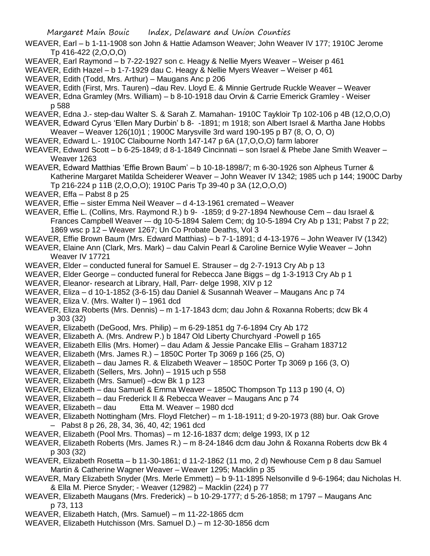WEAVER, Earl – b 1-11-1908 son John & Hattie Adamson Weaver; John Weaver IV 177; 1910C Jerome Tp 416-422 (2,O,O,O)

- WEAVER, Earl Raymond b 7-22-1927 son c. Heagy & Nellie Myers Weaver Weiser p 461
- WEAVER, Edith Hazel b 1-7-1929 dau C. Heagy & Nellie Myers Weaver Weiser p 461

WEAVER, Edith (Todd, Mrs. Arthur) – Maugans Anc p 206

WEAVER, Edith (First, Mrs. Tauren) –dau Rev. Lloyd E. & Minnie Gertrude Ruckle Weaver – Weaver

WEAVER, Edna Gramley (Mrs. William) – b 8-10-1918 dau Orvin & Carrie Emerick Gramley - Weiser p 588

WEAVER, Edna J.- step-dau Walter S. & Sarah Z. Mamahan- 1910C Taykloir Tp 102-106 p 4B (12,O,O,O)

WEAVER, Edward Cyrus 'Ellen Mary Durbin' b 8- -1891; m 1918; son Albert Israel & Martha Jane Hobbs

- Weaver Weaver 126(10)1 ; 1900C Marysville 3rd ward 190-195 p B7 (8, O, O, O)
- WEAVER, Edward L.- 1910C Claibourne North 147-147 p 6A (17,O,O,O) farm laborer

WEAVER, Edward Scott – b 6-25-1849; d 8-1-1849 Cincinnati – son Israel & Phebe Jane Smith Weaver – Weaver 1263

WEAVER, Edward Matthias 'Effie Brown Baum' – b 10-18-1898/7; m 6-30-1926 son Alpheus Turner & Katherine Margaret Matilda Scheiderer Weaver – John Weaver IV 1342; 1985 uch p 144; 1900C Darby Tp 216-224 p 11B (2,O,O,O); 1910C Paris Tp 39-40 p 3A (12,O,O,O)

WEAVER, Effa – Pabst 8 p 25

WEAVER, Effie – sister Emma Neil Weaver – d 4-13-1961 cremated – Weaver

WEAVER, Effie L. (Collins, Mrs. Raymond R.) b 9- -1859; d 9-27-1894 Newhouse Cem – dau Israel & Frances Campbell Weaver -– dg 10-5-1894 Salem Cem; dg 10-5-1894 Cry Ab p 131; Pabst 7 p 22; 1869 wsc p 12 – Weaver 1267; Un Co Probate Deaths, Vol 3

WEAVER, Effie Brown Baum (Mrs. Edward Matthias) – b 7-1-1891; d 4-13-1976 – John Weaver IV (1342)

WEAVER, Elaine Ann (Clark, Mrs. Mark) – dau Calvin Pearl & Caroline Bernice Wylie Weaver – John Weaver IV 17721

WEAVER, Elder – conducted funeral for Samuel E. Strauser – dg 2-7-1913 Cry Ab p 13

WEAVER, Elder George – conducted funeral for Rebecca Jane Biggs – dg 1-3-1913 Cry Ab p 1

WEAVER, Eleanor- research at Library, Hall, Parr- delge 1998, XIV p 12

WEAVER, Eliza – d 10-1-1852 (3-6-15) dau Daniel & Susannah Weaver – Maugans Anc p 74

WEAVER, Eliza V. (Mrs. Walter I) – 1961 dcd

WEAVER, Eliza Roberts (Mrs. Dennis) – m 1-17-1843 dcm; dau John & Roxanna Roberts; dcw Bk 4 p 303 (32)

WEAVER, Elizabeth (DeGood, Mrs. Philip) – m 6-29-1851 dg 7-6-1894 Cry Ab 172

WEAVER, Elizabeth A. (Mrs. Andrew P.) b 1847 Old Liberty Churchyard -Powell p 165

- WEAVER, Elizabeth Ellis (Mrs. Homer) dau Adam & Jessie Pancake Ellis Graham 183712
- WEAVER, Elizabeth (Mrs. James R.) 1850C Porter Tp 3069 p 166 (25, O)
- WEAVER, Elizabeth dau James R. & Elizabeth Weaver 1850C Porter Tp 3069 p 166 (3, O)
- WEAVER, Elizabeth (Sellers, Mrs. John) 1915 uch p 558
- WEAVER, Elizabeth (Mrs. Samuel) –dcw Bk 1 p 123
- WEAVER, Elizabeth dau Samuel & Emma Weaver 1850C Thompson Tp 113 p 190 (4, O)
- WEAVER, Elizabeth dau Frederick II & Rebecca Weaver Maugans Anc p 74
- WEAVER, Elizabeth dau Etta M. Weaver 1980 dcd
- WEAVER, Elizabeth Nottingham (Mrs. Floyd Fletcher) m 1-18-1911; d 9-20-1973 (88) bur. Oak Grove – Pabst 8 p 26, 28, 34, 36, 40, 42; 1961 dcd
- WEAVER, Elizabeth (Pool Mrs. Thomas) m 12-16-1837 dcm; delge 1993, IX p 12
- WEAVER, Elizabeth Roberts (Mrs. James R.) m 8-24-1846 dcm dau John & Roxanna Roberts dcw Bk 4 p 303 (32)
- WEAVER, Elizabeth Rosetta b 11-30-1861; d 11-2-1862 (11 mo, 2 d) Newhouse Cem p 8 dau Samuel Martin & Catherine Wagner Weaver – Weaver 1295; Macklin p 35
- WEAVER, Mary Elizabeth Snyder (Mrs. Merle Emmett) b 9-11-1895 Nelsonville d 9-6-1964; dau Nicholas H. & Ella M. Pierce Snyder; - Weaver (12982) – Macklin (224) p 77
- WEAVER, Elizabeth Maugans (Mrs. Frederick) b 10-29-1777; d 5-26-1858; m 1797 Maugans Anc p 73, 113
- WEAVER, Elizabeth Hatch, (Mrs. Samuel) m 11-22-1865 dcm
- WEAVER, Elizabeth Hutchisson (Mrs. Samuel D.) m 12-30-1856 dcm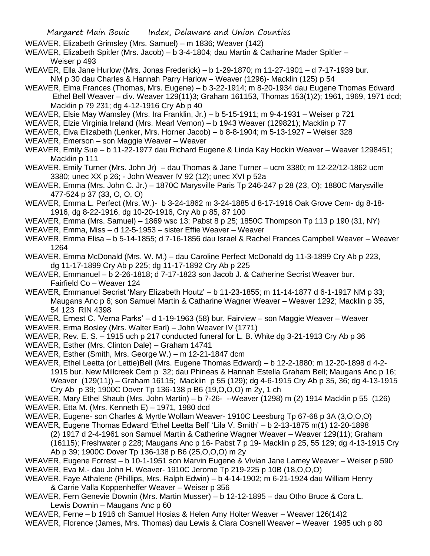- WEAVER, Elizabeth Grimsley (Mrs. Samuel) m 1836; Weaver (142)
- WEAVER, Elizabeth Spitler (Mrs. Jacob) b 3-4-1804; dau Martin & Catharine Mader Spitler Weiser p 493
- WEAVER, Ella Jane Hurlow (Mrs. Jonas Frederick) b 1-29-1870; m 11-27-1901 d 7-17-1939 bur. NM p 30 dau Charles & Hannah Parry Harlow – Weaver (1296)- Macklin (125) p 54
- WEAVER, Elma Frances (Thomas, Mrs. Eugene) b 3-22-1914; m 8-20-1934 dau Eugene Thomas Edward Ethel Bell Weaver – div. Weaver 129(11)3; Graham 161153, Thomas 153(1)2); 1961, 1969, 1971 dcd; Macklin p 79 231; dg 4-12-1916 Cry Ab p 40
- WEAVER, Elsie May Wamsley (Mrs. Ira Franklin, Jr.) b 5-15-1911; m 9-4-1931 Weiser p 721
- WEAVER, Elzie Virginia Ireland (Mrs. Mearl Vernon) b 1943 Weaver (129821); Macklin p 77
- WEAVER, Elva Elizabeth (Lenker, Mrs. Horner Jacob) b 8-8-1904; m 5-13-1927 Weiser 328
- WEAVER, Emerson son Maggie Weaver Weaver
- WEAVER, Emily Sue b 11-22-1977 dau Richard Eugene & Linda Kay Hockin Weaver Weaver 1298451; Macklin p 111
- WEAVER, Emily Turner (Mrs. John Jr) dau Thomas & Jane Turner ucm 3380; m 12-22/12-1862 ucm 3380; unec XX p 26; - John Weaver IV 92 (12); unec XVI p 52a
- WEAVER, Emma (Mrs. John C. Jr.) 1870C Marysville Paris Tp 246-247 p 28 (23, O); 1880C Marysville 477-524 p 37 (33, O, O, O)
- WEAVER, Emma L. Perfect (Mrs. W.)- b 3-24-1862 m 3-24-1885 d 8-17-1916 Oak Grove Cem- dg 8-18- 1916, dg 8-22-1916, dg 10-20-1916, Cry Ab p 85, 87 100
- WEAVER, Emma (Mrs. Samuel) 1869 wsc 13; Pabst 8 p 25; 1850C Thompson Tp 113 p 190 (31, NY)
- WEAVER, Emma, Miss d 12-5-1953 sister Effie Weaver Weaver
- WEAVER, Emma Elisa b 5-14-1855; d 7-16-1856 dau Israel & Rachel Frances Campbell Weaver Weaver 1264
- WEAVER, Emma McDonald (Mrs. W. M.) dau Caroline Perfect McDonald dg 11-3-1899 Cry Ab p 223, dg 11-17-1899 Cry Ab p 225; dg 11-17-1892 Cry Ab p 225
- WEAVER, Emmanuel b 2-26-1818; d 7-17-1823 son Jacob J. & Catherine Secrist Weaver bur. Fairfield Co – Weaver 124
- WEAVER, Emmanuel Secrist 'Mary Elizabeth Houtz' b 11-23-1855; m 11-14-1877 d 6-1-1917 NM p 33; Maugans Anc p 6; son Samuel Martin & Catharine Wagner Weaver – Weaver 1292; Macklin p 35, 54 123 RIN 4398
- WEAVER, Ernest C. 'Verna Parks' d 1-19-1963 (58) bur. Fairview son Maggie Weaver Weaver
- WEAVER, Erma Bosley (Mrs. Walter Earl) John Weaver IV (1771)
- WEAVER, Rev. E. S. 1915 uch p 217 conducted funeral for L. B. White dg 3-21-1913 Cry Ab p 36
- WEAVER, Esther (Mrs. Clinton Dale) Graham 14741
- WEAVER, Esther (Smith, Mrs. George W.) m 12-21-1847 dcm
- WEAVER, Ethel Leetta (or Lettie)Bell (Mrs. Eugene Thomas Edward) b 12-2-1880; m 12-20-1898 d 4-2- 1915 bur. New Millcreek Cem p 32; dau Phineas & Hannah Estella Graham Bell; Maugans Anc p 16; Weaver (129(11)) – Graham 16115; Macklin p 55 (129); dg 4-6-1915 Cry Ab p 35, 36; dg 4-13-1915 Cry Ab p 39; 1900C Dover Tp 136-138 p B6 (19,O,O,O) m 2y, 1 ch
- WEAVER, Mary Ethel Shaub (Mrs. John Martin) b 7-26- --Weaver (1298) m (2) 1914 Macklin p 55 (126) WEAVER, Etta M. (Mrs. Kenneth E) – 1971, 1980 dcd
- WEAVER, Eugene- son Charles & Myrtle Wollam Weaver- 1910C Leesburg Tp 67-68 p 3A (3,O,O,O)
- WEAVER, Eugene Thomas Edward 'Ethel Leetta Bell' 'Lila V. Smith' b 2-13-1875 m(1) 12-20-1898
	- (2) 1917 d 2-4-1961 son Samuel Martin & Catherine Wagner Weaver Weaver 129(11); Graham
	- (16115); Freshwater p 228; Maugans Anc p 16- Pabst 7 p 19- Macklin p 25, 55 129; dg 4-13-1915 Cry Ab p 39; 1900C Dover Tp 136-138 p B6 (25,O,O,O) m 2y
- WEAVER, Eugene Forrest b 10-1-1951 son Marvin Eugene & Vivian Jane Lamey Weaver Weiser p 590 WEAVER, Eva M.- dau John H. Weaver- 1910C Jerome Tp 219-225 p 10B (18,O,O,O)
- WEAVER, Faye Athalene (Phillips, Mrs. Ralph Edwin) b 4-14-1902; m 6-21-1924 dau William Henry & Carrie Valla Koppenheffer Weaver – Weiser p 356
- WEAVER, Fern Genevie Downin (Mrs. Martin Musser) b 12-12-1895 dau Otho Bruce & Cora L. Lewis Downin – Maugans Anc p 60
- WEAVER, Ferne b 1916 ch Samuel Hosias & Helen Amy Holter Weaver Weaver 126(14)2 WEAVER, Florence (James, Mrs. Thomas) dau Lewis & Clara Cosnell Weaver – Weaver 1985 uch p 80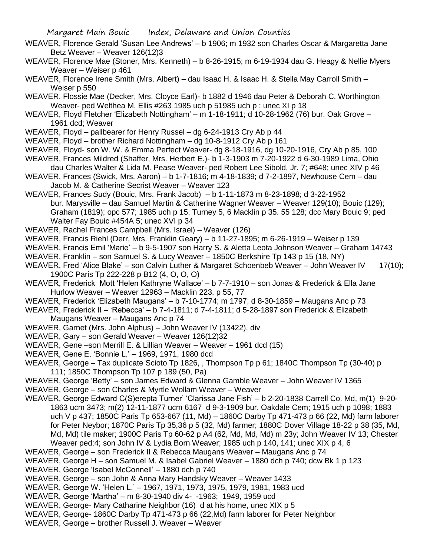- WEAVER, Florence Gerald 'Susan Lee Andrews' b 1906; m 1932 son Charles Oscar & Margaretta Jane Betz Weaver – Weaver 126(12)3
- WEAVER, Florence Mae (Stoner, Mrs. Kenneth) b 8-26-1915; m 6-19-1934 dau G. Heagy & Nellie Myers Weaver – Weiser p 461
- WEAVER, Florence Irene Smith (Mrs. Albert) dau Isaac H. & Isaac H. & Stella May Carroll Smith Weiser p 550
- WEAVER. Flossie Mae (Decker, Mrs. Cloyce Earl)- b 1882 d 1946 dau Peter & Deborah C. Worthington Weaver- ped Welthea M. Ellis #263 1985 uch p 51985 uch p ; unec XI p 18
- WEAVER, Floyd Fletcher 'Elizabeth Nottingham' m 1-18-1911; d 10-28-1962 (76) bur. Oak Grove 1961 dcd; Weaver
- WEAVER, Floyd pallbearer for Henry Russel dg 6-24-1913 Cry Ab p 44
- WEAVER, Floyd brother Richard Nottingham dg 10-8-1912 Cry Ab p 161
- WEAVER, Floyd- son W. W. & Emma Perfect Weaver- dg 8-18-1916, dg 10-20-1916, Cry Ab p 85, 100
- WEAVER, Frances Mildred (Shaffer, Mrs. Herbert E.)- b 1-3-1903 m 7-20-1922 d 6-30-1989 Lima, Ohio dau Charles Walter & Lida M. Pease Weaver- ped Robert Lee Sibold, Jr. 7; #648; unec XIV p 46
- WEAVER, Frances (Swick, Mrs. Aaron) b 1-7-1816; m 4-18-1839; d 7-2-1897, Newhouse Cem dau Jacob M. & Catherine Secrist Weaver – Weaver 123
- WEAVER, Frances Sudy (Bouic, Mrs. Frank Jacob) b 1-11-1873 m 8-23-1898; d 3-22-1952 bur. Marysville – dau Samuel Martin & Catherine Wagner Weaver – Weaver 129(10); Bouic (129); Graham (1819); opc 577; 1985 uch p 15; Turney 5, 6 Macklin p 35. 55 128; dcc Mary Bouic 9; ped Walter Fay Bouic #454A 5; unec XVI p 34
- WEAVER, Rachel Frances Campbell (Mrs. Israel) Weaver (126)
- WEAVER, Francis Riehl (Derr, Mrs. Franklin Geary) b 11-27-1895; m 6-26-1919 Weiser p 139
- WEAVER, Francis Emil 'Marie' b 9-5-1907 son Harry S. & Aletta Leota Johnson Weaver Graham 14743 WEAVER, Franklin – son Samuel S. & Lucy Weaver – 1850C Berkshire Tp 143 p 15 (18, NY)
- WEAVER, Fred 'Alice Blake' son Calvin Luther & Margaret Schoenbeb Weaver John Weaver IV 17(10); 1900C Paris Tp 222-228 p B12 (4, O, O, O)
- WEAVER, Frederick Mott 'Helen Kathryne Wallace' b 7-7-1910 son Jonas & Frederick & Ella Jane Hurlow Weaver – Weaver 12963 – Macklin 223, p 55, 77
- WEAVER, Frederick 'Elizabeth Maugans' b 7-10-1774; m 1797; d 8-30-1859 Maugans Anc p 73
- WEAVER, Frederick II 'Rebecca' b 7-4-1811; d 7-4-1811; d 5-28-1897 son Frederick & Elizabeth Maugans Weaver – Maugans Anc p 74
- WEAVER, Garnet (Mrs. John Alphus) John Weaver IV (13422), div
- WEAVER, Gary son Gerald Weaver Weaver 126(12)32
- WEAVER, Gene –son Merrill E. & Lillian Weaver Weaver 1961 dcd (15)
- WEAVER, Gene E. 'Bonnie L.' 1969, 1971, 1980 dcd
- WEAVER, George Tax duplicate Scioto Tp 1826, , Thompson Tp p 61; 1840C Thompson Tp (30-40) p 111; 1850C Thompson Tp 107 p 189 (50, Pa)
- WEAVER, George 'Betty' son James Edward & Glenna Gamble Weaver John Weaver IV 1365
- WEAVER, George son Charles & Myrtle Wollam Weaver Weaver
- WEAVER, George Edward C(S)erepta Turner' 'Clarissa Jane Fish' b 2-20-1838 Carrell Co. Md, m(1) 9-20- 1863 ucm 3473; m(2) 12-11-1877 ucm 6167 d 9-3-1909 bur. Oakdale Cem; 1915 uch p 1098; 1883 uch V p 437; 1850C Paris Tp 653-667 (11, Md) – 1860C Darby Tp 471-473 p 66 (22, Md) farm laborer for Peter Neybor; 1870C Paris Tp 35,36 p 5 (32, Md) farmer; 1880C Dover Village 18-22 p 38 (35, Md, Md, Md) tile maker; 1900C Paris Tp 60-62 p A4 (62, Md, Md, Md) m 23y; John Weaver IV 13; Chester Weaver ped:4; son John IV & Lydia Born Weaver; 1985 uch p 140, 141; unec XIX p 4, 6
- WEAVER, George son Frederick II & Rebecca Maugans Weaver Maugans Anc p 74
- WEAVER, George H son Samuel M. & Isabel Gabriel Weaver 1880 dch p 740; dcw Bk 1 p 123
- WEAVER, George 'Isabel McConnell' 1880 dch p 740
- WEAVER, George son John & Anna Mary Handsky Weaver Weaver 1433
- WEAVER, George W. 'Helen L.' 1967, 1971, 1973, 1975, 1979, 1981, 1983 ucd
- WEAVER, George 'Martha' m 8-30-1940 div 4- -1963; 1949, 1959 ucd
- WEAVER, George- Mary Catharine Neighbor (16) d at his home, unec XIX p 5
- WEAVER, George- 1860C Darby Tp 471-473 p 66 (22,Md) farm laborer for Peter Neighbor
- WEAVER, George brother Russell J. Weaver Weaver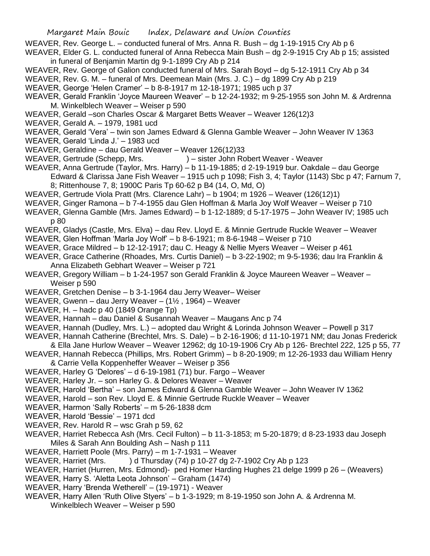- WEAVER, Rev. George L. conducted funeral of Mrs. Anna R. Bush dg 1-19-1915 Cry Ab p 6
- WEAVER, Elder G. L. conducted funeral of Anna Rebecca Main Bush dg 2-9-1915 Cry Ab p 15; assisted in funeral of Benjamin Martin dg 9-1-1899 Cry Ab p 214
- WEAVER, Rev. George of Galion conducted funeral of Mrs. Sarah Boyd dg 5-12-1911 Cry Ab p 34
- WEAVER, Rev. G. M. funeral of Mrs. Deemean Main (Mrs. J. C.) dg 1899 Cry Ab p 219
- WEAVER, George 'Helen Cramer' b 8-8-1917 m 12-18-1971; 1985 uch p 37
- WEAVER, Gerald Franklin 'Joyce Maureen Weaver' b 12-24-1932; m 9-25-1955 son John M. & Ardrenna M. Winkelblech Weaver – Weiser p 590
- WEAVER, Gerald –son Charles Oscar & Margaret Betts Weaver Weaver 126(12)3
- WEAVER, Gerald A. 1979, 1981 ucd
- WEAVER, Gerald 'Vera' twin son James Edward & Glenna Gamble Weaver John Weaver IV 1363
- WEAVER, Gerald 'Linda J.' 1983 ucd
- WEAVER, Geraldine dau Gerald Weaver Weaver 126(12)33
- WEAVER, Gertrude (Schepp, Mrs. ) sister John Robert Weaver Weaver
- WEAVER, Anna Gertrude (Taylor, Mrs. Harry) b 11-19-1885; d 2-19-1919 bur. Oakdale dau George Edward & Clarissa Jane Fish Weaver – 1915 uch p 1098; Fish 3, 4; Taylor (1143) Sbc p 47; Farnum 7, 8; Rittenhouse 7, 8; 1900C Paris Tp 60-62 p B4 (14, O, Md, O)
- WEAVER, Gertrude Viola Pratt (Mrs. Clarence Lahr) b 1904; m 1926 Weaver (126(12)1)
- WEAVER, Ginger Ramona b 7-4-1955 dau Glen Hoffman & Marla Joy Wolf Weaver Weiser p 710
- WEAVER, Glenna Gamble (Mrs. James Edward) b 1-12-1889; d 5-17-1975 John Weaver IV; 1985 uch p 80
- WEAVER, Gladys (Castle, Mrs. Elva) dau Rev. Lloyd E. & Minnie Gertrude Ruckle Weaver Weaver
- WEAVER, Glen Hoffman 'Marla Joy Wolf' b 8-6-1921; m 8-6-1948 Weiser p 710
- WEAVER, Grace Mildred b 12-12-1917; dau C. Heagy & Nellie Myers Weaver Weiser p 461
- WEAVER, Grace Catherine (Rhoades, Mrs. Curtis Daniel) b 3-22-1902; m 9-5-1936; dau Ira Franklin & Anna Elizabeth Gebhart Weaver – Weiser p 721
- WEAVER, Gregory William b 1-24-1957 son Gerald Franklin & Joyce Maureen Weaver Weaver Weiser p 590
- WEAVER, Gretchen Denise b 3-1-1964 dau Jerry Weaver– Weiser
- WEAVER, Gwenn dau Jerry Weaver (1½ , 1964) Weaver
- WEAVER, H. hadc p 40 (1849 Orange Tp)
- WEAVER, Hannah dau Daniel & Susannah Weaver Maugans Anc p 74
- WEAVER, Hannah (Dudley, Mrs. L.) adopted dau Wright & Lorinda Johnson Weaver Powell p 317
- WEAVER, Hannah Catherine (Brechtel, Mrs. S. Dale) b 2-16-1906; d 11-10-1971 NM; dau Jonas Frederick
- & Ella Jane Hurlow Weaver Weaver 12962; dg 10-19-1906 Cry Ab p 126- Brechtel 222, 125 p 55, 77
- WEAVER, Hannah Rebecca (Phillips, Mrs. Robert Grimm) b 8-20-1909; m 12-26-1933 dau William Henry & Carrie Vella Koppenheffer Weaver – Weiser p 356
- WEAVER, Harley G 'Delores' d 6-19-1981 (71) bur. Fargo Weaver
- WEAVER, Harley Jr. son Harley G. & Delores Weaver Weaver
- WEAVER, Harold 'Bertha' son James Edward & Glenna Gamble Weaver John Weaver IV 1362
- WEAVER, Harold son Rev. Lloyd E. & Minnie Gertrude Ruckle Weaver Weaver
- WEAVER, Harmon 'Sally Roberts' m 5-26-1838 dcm
- WEAVER, Harold 'Bessie' 1971 dcd
- WEAVER, Rev. Harold R wsc Grah p 59, 62
- WEAVER, Harriet Rebecca Ash (Mrs. Cecil Fulton) b 11-3-1853; m 5-20-1879; d 8-23-1933 dau Joseph Miles & Sarah Ann Boulding Ash – Nash p 111
- WEAVER, Harriett Poole (Mrs. Parry) m 1-7-1931 Weaver
- WEAVER, Harriet (Mrs. ) d Thursday (74) p 10-27 dg 2-7-1902 Cry Ab p 123
- WEAVER, Harriet (Hurren, Mrs. Edmond)- ped Homer Harding Hughes 21 delge 1999 p 26 (Weavers)
- WEAVER, Harry S. 'Aletta Leota Johnson' Graham (1474)
- WEAVER, Harry 'Brenda Wetherell' (19-1971) Weaver
- WEAVER, Harry Allen 'Ruth Olive Styers' b 1-3-1929; m 8-19-1950 son John A. & Ardrenna M. Winkelblech Weaver – Weiser p 590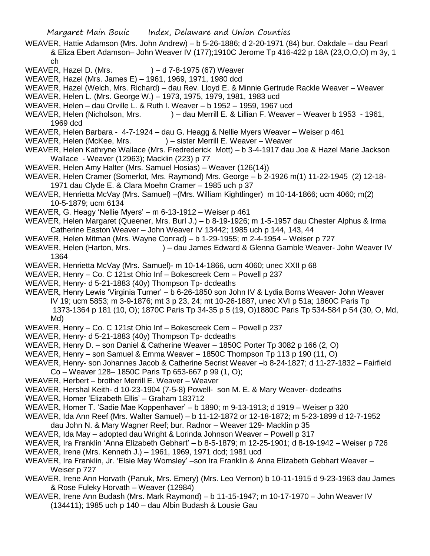WEAVER, Hattie Adamson (Mrs. John Andrew) – b 5-26-1886; d 2-20-1971 (84) bur. Oakdale – dau Pearl & Eliza Ebert Adamson– John Weaver IV (177);1910C Jerome Tp 416-422 p 18A (23,O,O,O) m 3y, 1 ch

- WEAVER, Hazel D. (Mrs.  $) d$  7-8-1975 (67) Weaver
- WEAVER, Hazel (Mrs. James E) 1961, 1969, 1971, 1980 dcd
- WEAVER, Hazel (Welch, Mrs. Richard) dau Rev. Lloyd E. & Minnie Gertrude Rackle Weaver Weaver
- WEAVER, Helen L. (Mrs. George W.) 1973, 1975, 1979, 1981, 1983 ucd
- WEAVER, Helen dau Orville L. & Ruth I. Weaver b 1952 1959, 1967 ucd
- WEAVER, Helen (Nicholson, Mrs. ) dau Merrill E. & Lillian F. Weaver Weaver b 1953 1961, 1969 dcd
- WEAVER, Helen Barbara 4-7-1924 dau G. Heagg & Nellie Myers Weaver Weiser p 461
- WEAVER, Helen (McKee, Mrs. ) sister Merrill E. Weaver Weaver
- WEAVER, Helen Kathryne Wallace (Mrs. Fredrederick Mott) b 3-4-1917 dau Joe & Hazel Marie Jackson Wallace - Weaver (12963); Macklin (223) p 77
- WEAVER, Helen Amy Halter (Mrs. Samuel Hosias) Weaver (126(14))
- WEAVER, Helen Cramer (Somerlot, Mrs. Raymond) Mrs. George b 2-1926 m(1) 11-22-1945 (2) 12-18- 1971 dau Clyde E. & Clara Moehn Cramer – 1985 uch p 37
- WEAVER, Henrietta McVay (Mrs. Samuel) –(Mrs. William Kightlinger) m 10-14-1866; ucm 4060; m(2) 10-5-1879; ucm 6134
- WEAVER, G. Heagy 'Nellie Myers' m 6-13-1912 Weiser p 461
- WEAVER, Helen Margaret (Queener, Mrs. Burl J.) b 8-19-1926; m 1-5-1957 dau Chester Alphus & Irma Catherine Easton Weaver – John Weaver IV 13442; 1985 uch p 144, 143, 44
- WEAVER, Helen Mitman (Mrs. Wayne Conrad) b 1-29-1955; m 2-4-1954 Weiser p 727
- WEAVER, Helen (Harton, Mrs. ) dau James Edward & Glenna Gamble Weaver- John Weaver IV 1364
- WEAVER, Henrietta McVay (Mrs. Samuel)- m 10-14-1866, ucm 4060; unec XXII p 68
- WEAVER, Henry Co. C 121st Ohio Inf Bokescreek Cem Powell p 237
- WEAVER, Henry- d 5-21-1883 (40y) Thompson Tp- dcdeaths
- WEAVER, Henry Lewis 'Virginia Turner' b 6-26-1850 son John IV & Lydia Borns Weaver- John Weaver IV 19; ucm 5853; m 3-9-1876; mt 3 p 23, 24; mt 10-26-1887, unec XVI p 51a; 1860C Paris Tp 1373-1364 p 181 (10, O); 1870C Paris Tp 34-35 p 5 (19, O)1880C Paris Tp 534-584 p 54 (30, O, Md, Md)
- WEAVER, Henry Co. C 121st Ohio Inf Bokescreek Cem Powell p 237
- WEAVER, Henry- d 5-21-1883 (40y) Thompson Tp- dcdeaths
- WEAVER, Henry D. son Daniel & Catherine Weaver 1850C Porter Tp 3082 p 166 (2, O)
- WEAVER, Henry son Samuel & Emma Weaver 1850C Thompson Tp 113 p 190 (11, O)
- WEAVER, Henry- son Johannes Jacob & Catherine Secrist Weaver –b 8-24-1827; d 11-27-1832 Fairfield Co – Weaver 128– 1850C Paris Tp 653-667 p 99 (1, O);
- WEAVER, Herbert brother Merrill E. Weaver Weaver
- WEAVER, Hershal Keith- d 10-23-1904 (7-5-8) Powell- son M. E. & Mary Weaver- dcdeaths
- WEAVER, Homer 'Elizabeth Ellis' Graham 183712
- WEAVER, Homer T. 'Sadie Mae Koppenhaver' b 1890; m 9-13-1913; d 1919 Weiser p 320
- WEAVER, Ida Ann Reef (Mrs. Walter Samuel) b 11-12-1872 or 12-18-1872; m 5-23-1899 d 12-7-1952
- dau John N. & Mary Wagner Reef; bur. Radnor Weaver 129- Macklin p 35
- WEAVER, Ida May adopted dau Wright & Lorinda Johnson Weaver Powell p 317
- WEAVER, Ira Franklin 'Anna Elizabeth Gebhart' b 8-5-1879; m 12-25-1901; d 8-19-1942 Weiser p 726
- WEAVER, Irene (Mrs. Kenneth J.) 1961, 1969, 1971 dcd; 1981 ucd
- WEAVER, Ira Franklin, Jr. 'Elsie May Womsley' –son Ira Franklin & Anna Elizabeth Gebhart Weaver Weiser p 727
- WEAVER, Irene Ann Horvath (Panuk, Mrs. Emery) (Mrs. Leo Vernon) b 10-11-1915 d 9-23-1963 dau James & Rose Fuleky Horvath – Weaver (12984)
- WEAVER, Irene Ann Budash (Mrs. Mark Raymond) b 11-15-1947; m 10-17-1970 John Weaver IV (134411); 1985 uch p 140 – dau Albin Budash & Lousie Gau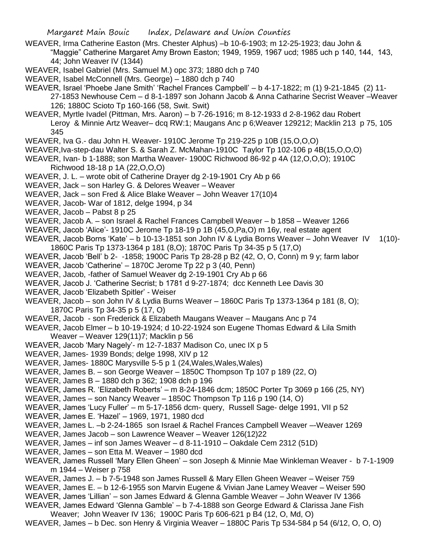WEAVER, Irma Catherine Easton (Mrs. Chester Alphus) –b 10-6-1903; m 12-25-1923; dau John & "Maggie" Catherine Margaret Amy Brown Easton; 1949, 1959, 1967 ucd; 1985 uch p 140, 144, 143, 44; John Weaver IV (1344)

WEAVER, Isabel Gabriel (Mrs. Samuel M.) opc 373; 1880 dch p 740

- WEAVER, Isabel McConnell (Mrs. George) 1880 dch p 740
- WEAVER, Israel 'Phoebe Jane Smith' 'Rachel Frances Campbell' b 4-17-1822; m (1) 9-21-1845 (2) 11-
	- 27-1853 Newhouse Cem d 8-1-1897 son Johann Jacob & Anna Catharine Secrist Weaver –Weaver 126; 1880C Scioto Tp 160-166 (58, Swit. Swit)
- WEAVER, Myrtle Ivadel (Pittman, Mrs. Aaron) b 7-26-1916; m 8-12-1933 d 2-8-1962 dau Robert Leroy & Minnie Artz Weaver– dcq RW:1; Maugans Anc p 6;Weaver 129212; Macklin 213 p 75, 105 345
- WEAVER, Iva G.- dau John H. Weaver- 1910C Jerome Tp 219-225 p 10B (15,O,O,O)
- WEAVER,Iva-step-dau Walter S. & Sarah Z. McMahan-1910C Taylor Tp 102-106 p 4B(15,O,O,O)
- WEAVER, Ivan- b 1-1888; son Martha Weaver- 1900C Richwood 86-92 p 4A (12,O,O,O); 1910C Richwood 18-18 p 1A (22,O,O,O)
- WEAVER, J. L. wrote obit of Catherine Drayer dg 2-19-1901 Cry Ab p 66
- WEAVER, Jack son Harley G. & Delores Weaver Weaver
- WEAVER, Jack son Fred & Alice Blake Weaver John Weaver 17(10)4
- WEAVER, Jacob- War of 1812, delge 1994, p 34
- WEAVER, Jacob Pabst 8 p 25
- WEAVER, Jacob A. son Israel & Rachel Frances Campbell Weaver b 1858 Weaver 1266
- WEAVER, Jacob 'Alice'- 1910C Jerome Tp 18-19 p 1B (45,O,Pa,O) m 16y, real estate agent
- WEAVER, Jacob Borns 'Kate' b 10-13-1851 son John IV & Lydia Borns Weaver John Weaver IV 1(10)-1860C Paris Tp 1373-1364 p 181 (8,O); 1870C Paris Tp 34-35 p 5 (17,O)
- WEAVER, Jacob 'Bell' b 2- -1858; 1900C Paris Tp 28-28 p B2 (42, O, O, Conn) m 9 y; farm labor
- WEAVER, Jacob 'Catherine' 1870C Jerome Tp 22 p 3 (40, Penn)
- WEAVER, Jacob, -father of Samuel Weaver dg 2-19-1901 Cry Ab p 66
- WEAVER, Jacob J. 'Catherine Secrist; b 1781 d 9-27-1874; dcc Kenneth Lee Davis 30
- WEAVER, Jacob 'Elizabeth Spitler' Weiser
- WEAVER, Jacob son John IV & Lydia Burns Weaver 1860C Paris Tp 1373-1364 p 181 (8, O); 1870C Paris Tp 34-35 p 5 (17, O)
- WEAVER, Jacob son Frederick & Elizabeth Maugans Weaver Maugans Anc p 74
- WEAVER, Jacob Elmer b 10-19-1924; d 10-22-1924 son Eugene Thomas Edward & Lila Smith Weaver – Weaver 129(11)7; Macklin p 56
- WEAVER, Jacob 'Mary Nagely'- m 12-7-1837 Madison Co, unec IX p 5
- WEAVER, James- 1939 Bonds; delge 1998, XIV p 12
- WEAVER, James- 1880C Marysville 5-5 p 1 (24, Wales, Wales, Wales)
- WEAVER, James B. son George Weaver 1850C Thompson Tp 107 p 189 (22, O)
- WEAVER, James B 1880 dch p 362; 1908 dch p 196
- WEAVER, James R. 'Elizabeth Roberts' m 8-24-1846 dcm; 1850C Porter Tp 3069 p 166 (25, NY)
- WEAVER, James son Nancy Weaver 1850C Thompson Tp 116 p 190 (14, O)
- WEAVER, James 'Lucy Fuller' m 5-17-1856 dcm- query, Russell Sage- delge 1991, VII p 52
- WEAVER, James E. 'Hazel' 1969, 1971, 1980 dcd
- WEAVER, James L. –b 2-24-1865 son Israel & Rachel Frances Campbell Weaver –-Weaver 1269
- WEAVER, James Jacob son Lawrence Weaver Weaver 126(12)22
- WEAVER, James inf son James Weaver d 8-11-1910 Oakdale Cem 2312 (51D)
- WEAVER, James son Etta M. Weaver 1980 dcd
- WEAVER, James Russell 'Mary Ellen Gheen' son Joseph & Minnie Mae Winkleman Weaver b 7-1-1909 m 1944 – Weiser p 758
- WEAVER, James J. b 7-5-1948 son James Russell & Mary Ellen Gheen Weaver Weiser 759
- WEAVER, James E. b 12-6-1955 son Marvin Eugene & Vivian Jane Lamey Weaver Weiser 590
- WEAVER, James 'Lillian' son James Edward & Glenna Gamble Weaver John Weaver IV 1366
- WEAVER, James Edward 'Glenna Gamble' b 7-4-1888 son George Edward & Clarissa Jane Fish Weaver; John Weaver IV 136; 1900C Paris Tp 606-621 p B4 (12, O, Md, O)
- WEAVER, James b Dec. son Henry & Virginia Weaver 1880C Paris Tp 534-584 p 54 (6/12, O, O, O)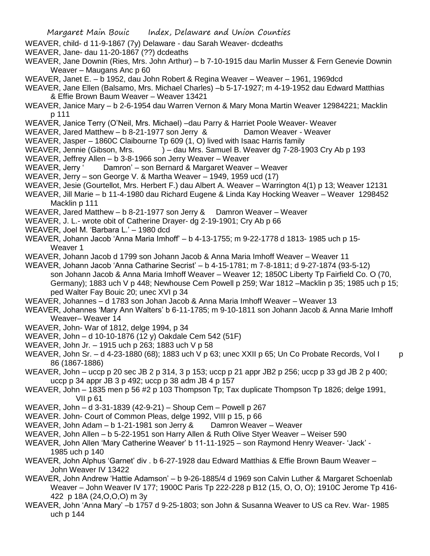- Margaret Main Bouic Index, Delaware and Union Counties
- WEAVER, child- d 11-9-1867 (7y) Delaware dau Sarah Weaver- dcdeaths
- WEAVER, Jane- dau 11-20-1867 (??) dcdeaths
- WEAVER, Jane Downin (Ries, Mrs. John Arthur) b 7-10-1915 dau Marlin Musser & Fern Genevie Downin Weaver – Maugans Anc p 60
- WEAVER, Janet E. b 1952, dau John Robert & Regina Weaver Weaver 1961, 1969dcd
- WEAVER, Jane Ellen (Balsamo, Mrs. Michael Charles) –b 5-17-1927; m 4-19-1952 dau Edward Matthias & Effie Brown Baum Weaver – Weaver 13421
- WEAVER, Janice Mary b 2-6-1954 dau Warren Vernon & Mary Mona Martin Weaver 12984221; Macklin p 111
- WEAVER, Janice Terry (O'Neil, Mrs. Michael) –dau Parry & Harriet Poole Weaver- Weaver
- WEAVER, Jared Matthew b 8-21-1977 son Jerry & Damon Weaver Weaver
- WEAVER, Jasper 1860C Claibourne Tp 609 (1, O) lived with Isaac Harris family
- WEAVER, Jennie (Gibson, Mrs. ) dau Mrs. Samuel B. Weaver dg 7-28-1903 Cry Ab p 193
- WEAVER, Jeffrey Allen b 3-8-1966 son Jerry Weaver Weaver
- WEAVER, Jerry ' Damron' son Bernard & Margaret Weaver Weaver
- WEAVER, Jerry son George V. & Martha Weaver 1949, 1959 ucd (17)
- WEAVER, Jesie (Gourtellot, Mrs. Herbert F.) dau Albert A. Weaver Warrington 4(1) p 13; Weaver 12131
- WEAVER, Jill Marie b 11-4-1980 dau Richard Eugene & Linda Kay Hocking Weaver Weaver 1298452 Macklin p 111
- WEAVER, Jared Matthew b 8-21-1977 son Jerry & Damron Weaver Weaver
- WEAVER, J. L.- wrote obit of Catherine Drayer- dg 2-19-1901; Cry Ab p 66
- WEAVER, Joel M. 'Barbara L.' 1980 dcd
- WEAVER, Johann Jacob 'Anna Maria Imhoff' b 4-13-1755; m 9-22-1778 d 1813- 1985 uch p 15- Weaver 1
- WEAVER, Johann Jacob d 1799 son Johann Jacob & Anna Maria Imhoff Weaver Weaver 11
- WEAVER, Johann Jacob 'Anna Catharine Secrist' b 4-15-1781; m 7-8-1811; d 9-27-1874 (93-5-12) son Johann Jacob & Anna Maria Imhoff Weaver – Weaver 12; 1850C Liberty Tp Fairfield Co. O (70, Germany); 1883 uch V p 448; Newhouse Cem Powell p 259; War 1812 –Macklin p 35; 1985 uch p 15; ped Walter Fay Bouic 20; unec XVI p 34
- WEAVER, Johannes d 1783 son Johan Jacob & Anna Maria Imhoff Weaver Weaver 13
- WEAVER, Johannes 'Mary Ann Walters' b 6-11-1785; m 9-10-1811 son Johann Jacob & Anna Marie Imhoff Weaver– Weaver 14
- WEAVER, John- War of 1812, delge 1994, p 34
- WEAVER, John d 10-10-1876 (12 y) Oakdale Cem 542 (51F)
- WEAVER, John Jr. 1915 uch p 263; 1883 uch V p 58
- WEAVER, John Sr. d 4-23-1880 (68); 1883 uch V p 63; unec XXII p 65; Un Co Probate Records, Vol I p 86 (1867-1886)
- WEAVER, John uccp p 20 sec JB 2 p 314, 3 p 153; uccp p 21 appr JB2 p 256; uccp p 33 gd JB 2 p 400; uccp p 34 appr JB 3 p 492; uccp p 38 adm JB 4 p 157
- WEAVER, John 1835 men p 56 #2 p 103 Thompson Tp; Tax duplicate Thompson Tp 1826; delge 1991, VII p 61
- WEAVER, John d 3-31-1839 (42-9-21) Shoup Cem Powell p 267
- WEAVER. John- Court of Common Pleas, delge 1992, VIII p 15, p 66
- WEAVER, John Adam b 1-21-1981 son Jerry & Damron Weaver Weaver
- WEAVER, John Allen b 5-22-1951 son Harry Allen & Ruth Olive Styer Weaver Weiser 590
- WEAVER, John Allen 'Mary Catherine Weaver' b 11-11-1925 son Raymond Henry Weaver- 'Jack' 1985 uch p 140
- WEAVER, John Alphus 'Garnet' div . b 6-27-1928 dau Edward Matthias & Effie Brown Baum Weaver John Weaver IV 13422
- WEAVER, John Andrew 'Hattie Adamson' b 9-26-1885/4 d 1969 son Calvin Luther & Margaret Schoenlab Weaver – John Weaver IV 177; 1900C Paris Tp 222-228 p B12 (15, O, O, O); 1910C Jerome Tp 416- 422 p 18A (24,O,O,O) m 3y
- WEAVER, John 'Anna Mary' –b 1757 d 9-25-1803; son John & Susanna Weaver to US ca Rev. War- 1985 uch p 144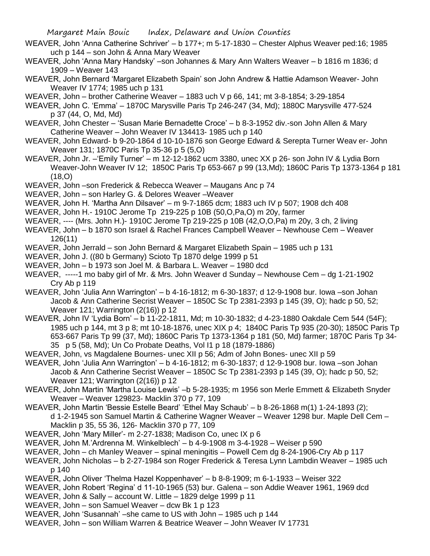- WEAVER, John 'Anna Catherine Schriver' b 177+; m 5-17-1830 Chester Alphus Weaver ped:16; 1985 uch p 144 – son John & Anna Mary Weaver
- WEAVER, John 'Anna Mary Handsky' –son Johannes & Mary Ann Walters Weaver b 1816 m 1836; d 1909 – Weaver 143
- WEAVER, John Bernard 'Margaret Elizabeth Spain' son John Andrew & Hattie Adamson Weaver- John Weaver IV 1774; 1985 uch p 131
- WEAVER, John brother Catherine Weaver 1883 uch V p 66, 141; mt 3-8-1854; 3-29-1854
- WEAVER, John C. 'Emma' 1870C Marysville Paris Tp 246-247 (34, Md); 1880C Marysville 477-524 p 37 (44, O, Md, Md)
- WEAVER, John Chester 'Susan Marie Bernadette Croce' b 8-3-1952 div.-son John Allen & Mary Catherine Weaver – John Weaver IV 134413- 1985 uch p 140
- WEAVER, John Edward- b 9-20-1864 d 10-10-1876 son George Edward & Serepta Turner Weav er- John Weaver 131; 1870C Paris Tp 35-36 p 5 (5,O)
- WEAVER, John Jr. –'Emily Turner' m 12-12-1862 ucm 3380, unec XX p 26- son John IV & Lydia Born Weaver-John Weaver IV 12; 1850C Paris Tp 653-667 p 99 (13,Md); 1860C Paris Tp 1373-1364 p 181 (18,O)
- WEAVER, John –son Frederick & Rebecca Weaver Maugans Anc p 74
- WEAVER, John son Harley G. & Delores Weaver –Weaver
- WEAVER, John H. 'Martha Ann Dilsaver' m 9-7-1865 dcm; 1883 uch IV p 507; 1908 dch 408
- WEAVER, John H.- 1910C Jerome Tp 219-225 p 10B (50,O,Pa,O) m 20y, farmer
- WEAVER, ---- (Mrs. John H.)- 1910C Jerome Tp 219-225 p 10B (42,O,O,Pa) m 20y, 3 ch, 2 living
- WEAVER, John b 1870 son Israel & Rachel Frances Campbell Weaver Newhouse Cem Weaver 126(11)
- WEAVER, John Jerrald son John Bernard & Margaret Elizabeth Spain 1985 uch p 131
- WEAVER, John J. ((80 b Germany) Scioto Tp 1870 delge 1999 p 51
- WEAVER, John b 1973 son Joel M. & Barbara L. Weaver 1980 dcd
- WEAVER, -----1 mo baby girl of Mr. & Mrs. John Weaver d Sunday Newhouse Cem dg 1-21-1902 Cry Ab p 119
- WEAVER, John 'Julia Ann Warrington' b 4-16-1812; m 6-30-1837; d 12-9-1908 bur. Iowa –son Johan Jacob & Ann Catherine Secrist Weaver – 1850C Sc Tp 2381-2393 p 145 (39, O); hadc p 50, 52; Weaver 121; Warrington (2(16)) p 12
- WEAVER, John IV 'Lydia Born' b 11-22-1811, Md; m 10-30-1832; d 4-23-1880 Oakdale Cem 544 (54F); 1985 uch p 144, mt 3 p 8; mt 10-18-1876, unec XIX p 4; 1840C Paris Tp 935 (20-30); 1850C Paris Tp 653-667 Paris Tp 99 (37, Md); 1860C Paris Tp 1373-1364 p 181 (50, Md) farmer; 1870C Paris Tp 34- 35 p 5 (58, Md); Un Co Probate Deaths, Vol I1 p 18 (1879-1886)
- WEAVER, John, vs Magdalene Bournes- unec XII p 56; Adm of John Bones- unec XII p 59
- WEAVER, John 'Julia Ann Warrington' b 4-16-1812; m 6-30-1837; d 12-9-1908 bur. Iowa –son Johan Jacob & Ann Catherine Secrist Weaver – 1850C Sc Tp 2381-2393 p 145 (39, O); hadc p 50, 52; Weaver 121; Warrington (2(16)) p 12
- WEAVER, John Martin 'Martha Louise Lewis' –b 5-28-1935; m 1956 son Merle Emmett & Elizabeth Snyder Weaver – Weaver 129823- Macklin 370 p 77, 109
- WEAVER, John Martin 'Bessie Estelle Beard' 'Ethel May Schaub' b 8-26-1868 m(1) 1-24-1893 (2); d 1-2-1945 son Samuel Martin & Catherine Wagner Weaver – Weaver 1298 bur. Maple Dell Cem – Macklin p 35, 55 36, 126- Macklin 370 p 77, 109
- WEAVER, John 'Mary Miller'- m 2-27-1838; Madison Co, unec IX p 6
- WEAVER, John M.'Ardrenna M. Winkelblech' b 4-9-1908 m 3-4-1928 Weiser p 590
- WEAVER, John ch Manley Weaver spinal meningitis Powell Cem dg 8-24-1906-Cry Ab p 117
- WEAVER, John Nicholas b 2-27-1984 son Roger Frederick & Teresa Lynn Lambdin Weaver 1985 uch p 140
- WEAVER, John Oliver 'Thelma Hazel Koppenhaver' b 8-8-1909; m 6-1-1933 Weiser 322
- WEAVER, John Robert 'Regina' d 11-10-1965 (53) bur. Galena son Addie Weaver 1961, 1969 dcd
- WEAVER, John & Sally account W. Little 1829 delge 1999 p 11
- WEAVER, John son Samuel Weaver dcw Bk 1 p 123
- WEAVER, John 'Susannah' –she came to US with John 1985 uch p 144
- WEAVER, John son William Warren & Beatrice Weaver John Weaver IV 17731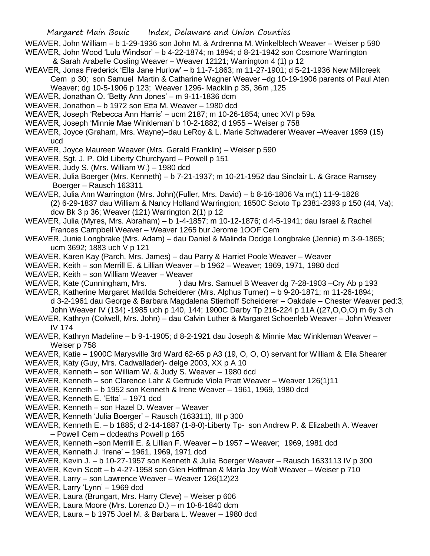- WEAVER, John William b 1-29-1936 son John M. & Ardrenna M. Winkelblech Weaver Weiser p 590 WEAVER, John Wood 'Lulu Windsor' – b 4-22-1874; m 1894; d 8-21-1942 son Cosmore Warrington
- & Sarah Arabelle Cosling Weaver Weaver 12121; Warrington 4 (1) p 12 WEAVER, Jonas Frederick 'Ella Jane Hurlow' – b 11-7-1863; m 11-27-1901; d 5-21-1936 New Millcreek Cem p 30; son Samuel Martin & Catharine Wagner Weaver –dg 10-19-1906 parents of Paul Aten
	- Weaver; dg 10-5-1906 p 123; Weaver 1296- Macklin p 35, 36m ,125
- WEAVER, Jonathan O. 'Betty Ann Jones' m 9-11-1836 dcm
- WEAVER, Jonathon b 1972 son Etta M. Weaver 1980 dcd
- WEAVER, Joseph 'Rebecca Ann Harris' ucm 2187; m 10-26-1854; unec XVI p 59a
- WEAVER, Joseph 'Minnie Mae Winkleman' b 10-2-1882; d 1955 Weiser p 758
- WEAVER, Joyce (Graham, Mrs. Wayne)–dau LeRoy & L. Marie Schwaderer Weaver –Weaver 1959 (15) ucd
- WEAVER, Joyce Maureen Weaver (Mrs. Gerald Franklin) Weiser p 590
- WEAVER, Sgt. J. P. Old Liberty Churchyard Powell p 151
- WEAVER, Judy S. (Mrs. William W.) 1980 dcd
- WEAVER, Julia Boerger (Mrs. Kenneth) b 7-21-1937; m 10-21-1952 dau Sinclair L. & Grace Ramsey Boerger – Rausch 163311
- WEAVER, Julia Ann Warrington (Mrs. John)(Fuller, Mrs. David) b 8-16-1806 Va m(1) 11-9-1828 (2) 6-29-1837 dau William & Nancy Holland Warrington; 1850C Scioto Tp 2381-2393 p 150 (44, Va); dcw Bk 3 p 36; Weaver (121) Warrington 2(1) p 12
- WEAVER, Julia (Myres, Mrs. Abraham) b 1-4-1857; m 10-12-1876; d 4-5-1941; dau Israel & Rachel Frances Campbell Weaver – Weaver 1265 bur Jerome 1OOF Cem
- WEAVER, Junie Longbrake (Mrs. Adam) dau Daniel & Malinda Dodge Longbrake (Jennie) m 3-9-1865; ucm 3692; 1883 uch V p 121
- WEAVER, Karen Kay (Parch, Mrs. James) dau Parry & Harriet Poole Weaver Weaver
- WEAVER, Keith son Merrill E. & Lillian Weaver b 1962 Weaver; 1969, 1971, 1980 dcd
- WEAVER, Keith son William Weaver Weaver
- WEAVER, Kate (Cunningham, Mrs. ) dau Mrs. Samuel B Weaver dg 7-28-1903 –Cry Ab p 193
- WEAVER, Katherine Margaret Matilda Scheiderer (Mrs. Alphus Turner) b 9-20-1871; m 11-26-1894; d 3-2-1961 dau George & Barbara Magdalena Stierhoff Scheiderer – Oakdale – Chester Weaver ped:3; John Weaver IV (134) -1985 uch p 140, 144; 1900C Darby Tp 216-224 p 11A ((27,O,O,O) m 6y 3 ch
- WEAVER, Kathryn (Colwell, Mrs. John) dau Calvin Luther & Margaret Schoenleb Weaver John Weaver IV 174
- WEAVER, Kathryn Madeline b 9-1-1905; d 8-2-1921 dau Joseph & Minnie Mac Winkleman Weaver Weiser p 758
- WEAVER, Katie 1900C Marysville 3rd Ward 62-65 p A3 (19, O, O, O) servant for William & Ella Shearer
- WEAVER, Katy (Guy, Mrs. Cadwallader)- delge 2003, XX p A 10
- WEAVER, Kenneth son William W. & Judy S. Weaver 1980 dcd
- WEAVER, Kenneth son Clarence Lahr & Gertrude Viola Pratt Weaver Weaver 126(1)11
- WEAVER, Kenneth b 1952 son Kenneth & Irene Weaver 1961, 1969, 1980 dcd
- WEAVER, Kenneth E. 'Etta' 1971 dcd
- WEAVER, Kenneth son Hazel D. Weaver Weaver
- WEAVER, Kenneth 'Julia Boerger' Rausch (163311), III p 300
- WEAVER, Kenneth E. b 1885; d 2-14-1887 (1-8-0)-Liberty Tp- son Andrew P. & Elizabeth A. Weaver – Powell Cem – dcdeaths Powell p 165
- WEAVER, Kenneth –son Merrill E. & Lillian F. Weaver b 1957 Weaver; 1969, 1981 dcd
- WEAVER, Kenneth J. 'Irene' 1961, 1969, 1971 dcd
- WEAVER, Kevin J. b 10-27-1957 son Kenneth & Julia Boerger Weaver Rausch 1633113 IV p 300
- WEAVER, Kevin Scott b 4-27-1958 son Glen Hoffman & Marla Joy Wolf Weaver Weiser p 710
- WEAVER, Larry son Lawrence Weaver Weaver 126(12)23
- WEAVER, Larry 'Lynn' 1969 dcd
- WEAVER, Laura (Brungart, Mrs. Harry Cleve) Weiser p 606
- WEAVER, Laura Moore (Mrs. Lorenzo D.) m 10-8-1840 dcm
- WEAVER, Laura b 1975 Joel M. & Barbara L. Weaver 1980 dcd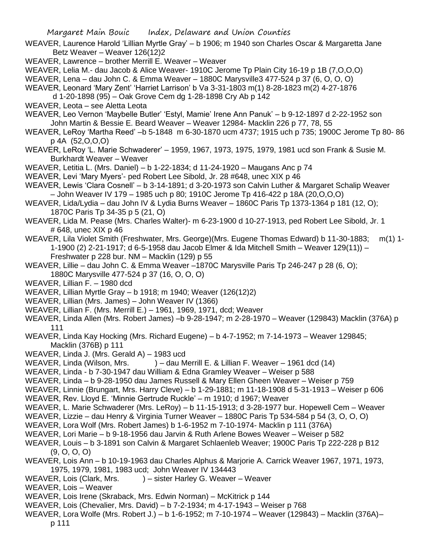Margaret Main Bouic Index, Delaware and Union Counties WEAVER, Laurence Harold 'Lillian Myrtle Gray' – b 1906; m 1940 son Charles Oscar & Margaretta Jane Betz Weaver – Weaver 126(12)2 WEAVER, Lawrence – brother Merrill E. Weaver – Weaver WEAVER, Lelia M.- dau Jacob & Alice Weaver- 1910C Jerome Tp Plain City 16-19 p 1B (7,O,O,O) WEAVER, Lena – dau John C. & Emma Weaver – 1880C Marysville3 477-524 p 37 (6, O, O, O) WEAVER, Leonard 'Mary Zent' 'Harriet Larrison' b Va 3-31-1803 m(1) 8-28-1823 m(2) 4-27-1876 d 1-20-1898 (95) – Oak Grove Cem dg 1-28-1898 Cry Ab p 142 WEAVER, Leota – see Aletta Leota WEAVER, Leo Vernon 'Maybelle Butler' 'Estyl, Mamie' Irene Ann Panuk' – b 9-12-1897 d 2-22-1952 son John Martin & Bessie E. Beard Weaver – Weaver 12984- Macklin 226 p 77, 78, 55 WEAVER, LeRoy 'Martha Reed' –b 5-1848 m 6-30-1870 ucm 4737; 1915 uch p 735; 1900C Jerome Tp 80- 86 p 4A (52,O,O,O) WEAVER, LeRoy 'L. Marie Schwaderer' – 1959, 1967, 1973, 1975, 1979, 1981 ucd son Frank & Susie M. Burkhardt Weaver – Weaver WEAVER, Letitia L. (Mrs. Daniel) – b 1-22-1834; d 11-24-1920 – Maugans Anc p 74 WEAVER, Levi 'Mary Myers'- ped Robert Lee Sibold, Jr. 28 #648, unec XIX p 46 WEAVER, Lewis 'Clara Cosnell' – b 3-14-1891; d 3-20-1973 son Calvin Luther & Margaret Schalip Weaver – John Weaver IV 179 – 1985 uch p 80; 1910C Jerome Tp 416-422 p 18A (20,O,O,O) WEAVER, Lida/Lydia – dau John IV & Lydia Burns Weaver – 1860C Paris Tp 1373-1364 p 181 (12, O); 1870C Paris Tp 34-35 p 5 (21, O) WEAVER, Lida M. Pease (Mrs. Charles Walter)- m 6-23-1900 d 10-27-1913, ped Robert Lee Sibold, Jr. 1 # 648, unec XIX p 46 WEAVER, Lila Violet Smith (Freshwater, Mrs. George)(Mrs. Eugene Thomas Edward) b 11-30-1883; m(1) 1- 1-1900 (2) 2-21-1917; d 6-5-1958 dau Jacob Elmer & Ida Mitchell Smith – Weaver 129(11)) – Freshwater p 228 bur. NM – Macklin (129) p 55 WEAVER, Lillie – dau John C. & Emma Weaver –1870C Marysville Paris Tp 246-247 p 28 (6, O); 1880C Marysville 477-524 p 37 (16, O, O, O) WEAVER, Lillian F. – 1980 dcd WEAVER, Lillian Myrtle Gray – b 1918; m 1940; Weaver (126(12)2) WEAVER, Lillian (Mrs. James) – John Weaver IV (1366) WEAVER, Lillian F. (Mrs. Merrill E.) – 1961, 1969, 1971, dcd; Weaver WEAVER, Linda Allen (Mrs. Robert James) –b 9-28-1947; m 2-28-1970 – Weaver (129843) Macklin (376A) p 111 WEAVER, Linda Kay Hocking (Mrs. Richard Eugene) – b 4-7-1952; m 7-14-1973 – Weaver 129845; Macklin (376B) p 111 WEAVER, Linda J. (Mrs. Gerald A) – 1983 ucd WEAVER, Linda (Wilson, Mrs. ) – dau Merrill E. & Lillian F. Weaver – 1961 dcd (14) WEAVER, Linda - b 7-30-1947 dau William & Edna Gramley Weaver – Weiser p 588 WEAVER, Linda – b 9-28-1950 dau James Russell & Mary Ellen Gheen Weaver – Weiser p 759 WEAVER, Linnie (Brungart, Mrs. Harry Cleve) – b 1-29-1881; m 11-18-1908 d 5-31-1913 – Weiser p 606 WEAVER, Rev. Lloyd E. 'Minnie Gertrude Ruckle' – m 1910; d 1967; Weaver WEAVER, L. Marie Schwaderer (Mrs. LeRoy) – b 11-15-1913; d 3-28-1977 bur. Hopewell Cem – Weaver WEAVER, Lizzie – dau Henry & Virginia Turner Weaver – 1880C Paris Tp 534-584 p 54 (3, O, O, O) WEAVER, Lora Wolf (Mrs. Robert James) b 1-6-1952 m 7-10-1974- Macklin p 111 (376A) WEAVER, Lori Marie – b 9-18-1956 dau Jarvin & Ruth Arlene Bowes Weaver – Weiser p 582 WEAVER, Louis – b 3-1891 son Calvin & Margaret Schlaenleb Weaver; 1900C Paris Tp 222-228 p B12 (9, O, O, O) WEAVER, Lois Ann – b 10-19-1963 dau Charles Alphus & Marjorie A. Carrick Weaver 1967, 1971, 1973, 1975, 1979, 1981, 1983 ucd; John Weaver IV 134443 WEAVER, Lois (Clark, Mrs. ) – sister Harley G. Weaver – Weaver WEAVER, Lois – Weaver WEAVER, Lois Irene (Skraback, Mrs. Edwin Norman) – McKitrick p 144 WEAVER, Lois (Chevalier, Mrs. David) – b 7-2-1934; m 4-17-1943 – Weiser p 768

WEAVER, Lora Wolfe (Mrs. Robert J.) – b 1-6-1952; m 7-10-1974 – Weaver (129843) – Macklin (376A)–

p 111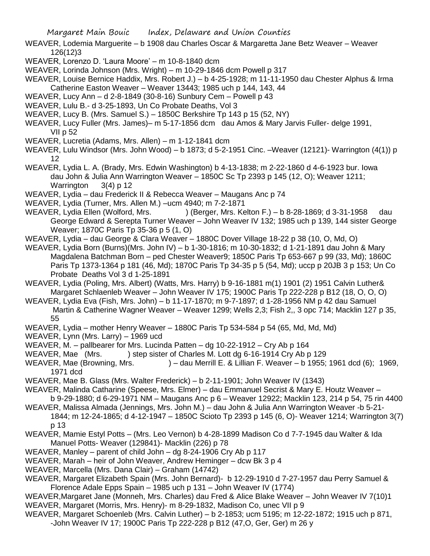- WEAVER, Lodemia Marguerite b 1908 dau Charles Oscar & Margaretta Jane Betz Weaver Weaver 126(12)3
- WEAVER, Lorenzo D. 'Laura Moore' m 10-8-1840 dcm
- WEAVER, Lorinda Johnson (Mrs. Wright) m 10-29-1846 dcm Powell p 317

WEAVER, Louise Bernice Haddix, Mrs. Robert J.) – b 4-25-1928; m 11-11-1950 dau Chester Alphus & Irma Catherine Easton Weaver – Weaver 13443; 1985 uch p 144, 143, 44

- WEAVER, Lucy Ann d 2-8-1849 (30-8-16) Sunbury Cem Powell p 43
- WEAVER, Lulu B.- d 3-25-1893, Un Co Probate Deaths, Vol 3
- WEAVER, Lucy B. (Mrs. Samuel S.) 1850C Berkshire Tp 143 p 15 (52, NY)
- WEAVER, Lucy Fuller (Mrs. James)– m 5-17-1856 dcm dau Amos & Mary Jarvis Fuller- delge 1991, VII p 52
- WEAVER, Lucretia (Adams, Mrs. Allen) m 1-12-1841 dcm
- WEAVER, Lulu Windsor (Mrs. John Wood) b 1873; d 5-2-1951 Cinc. –Weaver (12121)- Warrington (4(1)) p 12
- WEAVER, Lydia L. A. (Brady, Mrs. Edwin Washington) b 4-13-1838; m 2-22-1860 d 4-6-1923 bur. Iowa dau John & Julia Ann Warrington Weaver – 1850C Sc Tp 2393 p 145 (12, O); Weaver 1211; Warrington 3(4) p 12
- WEAVER, Lydia dau Frederick II & Rebecca Weaver Maugans Anc p 74
- WEAVER, Lydia (Turner, Mrs. Allen M.) –ucm 4940; m 7-2-1871
- WEAVER, Lydia Ellen (Wolford, Mrs. ) (Berger, Mrs. Kelton F.) b 8-28-1869; d 3-31-1958 dau George Edward & Serepta Turner Weaver – John Weaver IV 132; 1985 uch p 139, 144 sister George Weaver; 1870C Paris Tp 35-36 p 5 (1, O)
- WEAVER, Lydia dau George & Clara Weaver 1880C Dover Village 18-22 p 38 (10, O, Md, O)
- WEAVER, Lydia Born (Burns)(Mrs. John IV) b 1-30-1816; m 10-30-1832; d 1-21-1891 dau John & Mary Magdalena Batchman Born – ped Chester Weaver9; 1850C Paris Tp 653-667 p 99 (33, Md); 1860C Paris Tp 1373-1364 p 181 (46, Md); 1870C Paris Tp 34-35 p 5 (54, Md); uccp p 20JB 3 p 153; Un Co Probate Deaths Vol 3 d 1-25-1891
- WEAVER, Lydia (Poling, Mrs. Albert) (Watts, Mrs. Harry) b 9-16-1881 m(1) 1901 (2) 1951 Calvin Luther& Margaret Schlaenleb Weaver – John Weaver IV 175; 1900C Paris Tp 222-228 p B12 (18, O, O, O)
- WEAVER, Lydia Eva (Fish, Mrs. John) b 11-17-1870; m 9-7-1897; d 1-28-1956 NM p 42 dau Samuel Martin & Catherine Wagner Weaver – Weaver 1299; Wells 2,3; Fish 2,, 3 opc 714; Macklin 127 p 35, 55
- WEAVER, Lydia mother Henry Weaver 1880C Paris Tp 534-584 p 54 (65, Md, Md, Md)
- WEAVER, Lynn (Mrs. Larry) 1969 ucd
- WEAVER, M. pallbearer for Mrs. Lucinda Patten dg 10-22-1912 Cry Ab p 164
- WEAVER, Mae (Mrs. ) step sister of Charles M. Lott dg 6-16-1914 Cry Ab p 129
- WEAVER, Mae (Browning, Mrs. ) dau Merrill E. & Lillian F. Weaver b 1955; 1961 dcd (6); 1969, 1971 dcd
- WEAVER, Mae B. Glass (Mrs. Walter Frederick) b 2-11-1901; John Weaver IV (1343)
- WEAVER, Malinda Catharine (Speese, Mrs. Elmer) dau Emmanuel Secrist & Mary E. Houtz Weaver b 9-29-1880; d 6-29-1971 NM – Maugans Anc p 6 – Weaver 12922; Macklin 123, 214 p 54, 75 rin 4400
- WEAVER, Malissa Almada (Jennings, Mrs. John M.) dau John & Julia Ann Warrington Weaver -b 5-21- 1844; m 12-24-1865; d 4-12-1947 – 1850C Scioto Tp 2393 p 145 (6, O)- Weaver 1214; Warrington 3(7) p 13
- WEAVER, Mamie Estyl Potts (Mrs. Leo Vernon) b 4-28-1899 Madison Co d 7-7-1945 dau Walter & Ida Manuel Potts- Weaver (129841)- Macklin (226) p 78
- WEAVER, Manley parent of child John dg 8-24-1906 Cry Ab p 117
- WEAVER, Marah heir of John Weaver, Andrew Heminger dcw Bk 3 p 4
- WEAVER, Marcella (Mrs. Dana Clair) Graham (14742)
- WEAVER, Margaret Elizabeth Spain (Mrs. John Bernard)- b 12-29-1910 d 7-27-1957 dau Perry Samuel & Florence Adale Epps Spain – 1985 uch p 131 – John Weaver IV (1774)
- WEAVER,Margaret Jane (Monneh, Mrs. Charles) dau Fred & Alice Blake Weaver John Weaver IV 7(10)1 WEAVER, Margaret (Morris, Mrs. Henry)- m 8-29-1832, Madison Co, unec VII p 9
- WEAVER, Margaret Schoenleb (Mrs. Calvin Luther) b 2-1853; ucm 5195; m 12-22-1872; 1915 uch p 871, -John Weaver IV 17; 1900C Paris Tp 222-228 p B12 (47,O, Ger, Ger) m 26 y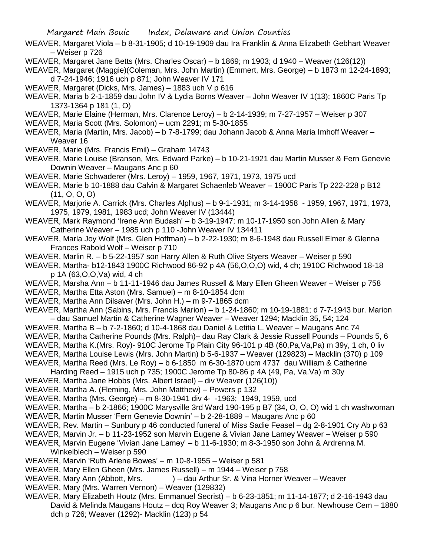- WEAVER, Margaret Viola b 8-31-1905; d 10-19-1909 dau Ira Franklin & Anna Elizabeth Gebhart Weaver – Weiser p 726
- WEAVER, Margaret Jane Betts (Mrs. Charles Oscar) b 1869; m 1903; d 1940 Weaver (126(12))
- WEAVER, Margaret (Maggie)(Coleman, Mrs. John Martin) (Emmert, Mrs. George) b 1873 m 12-24-1893; d 7-24-1946; 1916 uch p 871; John Weaver IV 171
- WEAVER, Margaret (Dicks, Mrs. James) 1883 uch V p 616
- WEAVER, Maria b 2-1-1859 dau John IV & Lydia Borns Weaver John Weaver IV 1(13); 1860C Paris Tp 1373-1364 p 181 (1, O)
- WEAVER, Marie Elaine (Herman, Mrs. Clarence Leroy) b 2-14-1939; m 7-27-1957 Weiser p 307
- WEAVER, Maria Scott (Mrs. Solomon) ucm 2291; m 5-30-1855
- WEAVER, Maria (Martin, Mrs. Jacob) b 7-8-1799; dau Johann Jacob & Anna Maria Imhoff Weaver Weaver 16
- WEAVER, Marie (Mrs. Francis Emil) Graham 14743
- WEAVER, Marie Louise (Branson, Mrs. Edward Parke) b 10-21-1921 dau Martin Musser & Fern Genevie Downin Weaver – Maugans Anc p 60
- WEAVER, Marie Schwaderer (Mrs. Leroy) 1959, 1967, 1971, 1973, 1975 ucd
- WEAVER, Marie b 10-1888 dau Calvin & Margaret Schaenleb Weaver 1900C Paris Tp 222-228 p B12 (11, O, O, O)
- WEAVER, Marjorie A. Carrick (Mrs. Charles Alphus) b 9-1-1931; m 3-14-1958 1959, 1967, 1971, 1973, 1975, 1979, 1981, 1983 ucd; John Weaver IV (13444)
- WEAVER, Mark Raymond 'Irene Ann Budash' b 3-19-1947; m 10-17-1950 son John Allen & Mary Catherine Weaver – 1985 uch p 110 -John Weaver IV 134411
- WEAVER, Marla Joy Wolf (Mrs. Glen Hoffman) b 2-22-1930; m 8-6-1948 dau Russell Elmer & Glenna Frances Rabold Wolf – Weiser p 710
- WEAVER, Marlin R. b 5-22-1957 son Harry Allen & Ruth Olive Styers Weaver Weiser p 590
- WEAVER, Martha- b12-1843 1900C Richwood 86-92 p 4A (56,O,O,O) wid, 4 ch; 1910C Richwood 18-18 p 1A (63,O,O,Va) wid, 4 ch
- WEAVER, Marsha Ann b 11-11-1946 dau James Russell & Mary Ellen Gheen Weaver Weiser p 758
- WEAVER, Martha Etta Aston (Mrs. Samuel) m 8-10-1854 dcm
- WEAVER, Martha Ann Dilsaver (Mrs. John H.) m 9-7-1865 dcm
- WEAVER, Martha Ann (Sabins, Mrs. Francis Marion) b 1-24-1860; m 10-19-1881; d 7-7-1943 bur. Marion – dau Samuel Martin & Catherine Wagner Weaver – Weaver 1294; Macklin 35, 54; 124
- WEAVER, Martha B b 7-2-1860; d 10-4-1868 dau Daniel & Letitia L. Weaver Maugans Anc 74
- WEAVER, Martha Catherine Pounds (Mrs. Ralph)– dau Ray Clark & Jessie Russell Pounds Pounds 5, 6
- WEAVER, Martha K.(Mrs. Roy)- 910C Jerome Tp Plain City 96-101 p 4B (60,Pa,Va,Pa) m 39y, 1 ch, 0 liv
- WEAVER, Martha Louise Lewis (Mrs. John Martin) b 5-6-1937 Weaver (129823) Macklin (370) p 109
- WEAVER, Martha Reed (Mrs. Le Roy) b 6-1850 m 6-30-1870 ucm 4737 dau William & Catherine
- Harding Reed 1915 uch p 735; 1900C Jerome Tp 80-86 p 4A (49, Pa, Va.Va) m 30y
- WEAVER, Martha Jane Hobbs (Mrs. Albert Israel) div Weaver (126(10))
- WEAVER, Martha A. (Fleming, Mrs. John Matthew) Powers p 132
- WEAVER, Martha (Mrs. George) m 8-30-1941 div 4- -1963; 1949, 1959, ucd
- WEAVER, Martha b 2-1866; 1900C Marysville 3rd Ward 190-195 p B7 (34, O, O, O) wid 1 ch washwoman
- WEAVER, Martin Musser 'Fern Genevie Downin' b 2-28-1889 Maugans Anc p 60
- WEAVER, Rev. Martin Sunbury p 46 conducted funeral of Miss Sadie Feasel dg 2-8-1901 Cry Ab p 63
- WEAVER, Marvin Jr. b 11-23-1952 son Marvin Eugene & Vivian Jane Lamey Weaver Weiser p 590
- WEAVER, Marvin Eugene 'Vivian Jane Lamey' b 11-6-1930; m 8-3-1950 son John & Ardrenna M. Winkelblech – Weiser p 590
- WEAVER, Marvin 'Ruth Arlene Bowes' m 10-8-1955 Weiser p 581
- WEAVER, Mary Ellen Gheen (Mrs. James Russell) m 1944 Weiser p 758
- WEAVER, Mary Ann (Abbott, Mrs. ) dau Arthur Sr. & Vina Horner Weaver Weaver
- WEAVER, Mary (Mrs. Warren Vernon) Weaver (129832)
- WEAVER, Mary Elizabeth Houtz (Mrs. Emmanuel Secrist) b 6-23-1851; m 11-14-1877; d 2-16-1943 dau David & Melinda Maugans Houtz – dcq Roy Weaver 3; Maugans Anc p 6 bur. Newhouse Cem – 1880 dch p 726; Weaver (1292)- Macklin (123) p 54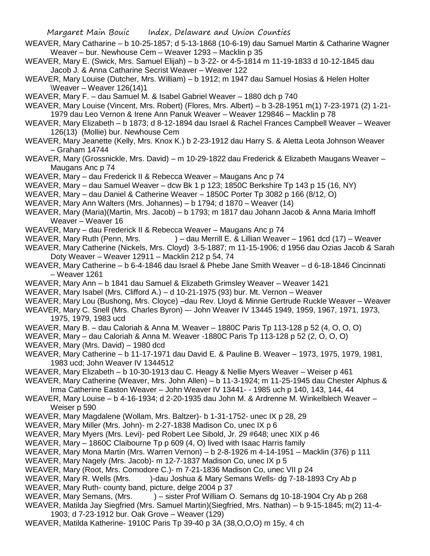- WEAVER, Mary Catharine b 10-25-1857; d 5-13-1868 (10-6-19) dau Samuel Martin & Catharine Wagner Weaver – bur. Newhouse Cem – Weaver 1293 – Macklin p 35
- WEAVER, Mary E. (Swick, Mrs. Samuel Elijah) b 3-22- or 4-5-1814 m 11-19-1833 d 10-12-1845 dau Jacob J. & Anna Catharine Secrist Weaver – Weaver 122
- WEAVER, Mary Louise (Dutcher, Mrs. William) b 1912; m 1947 dau Samuel Hosias & Helen Holter \Weaver – Weaver 126(14)1
- WEAVER, Mary F. dau Samuel M. & Isabel Gabriel Weaver 1880 dch p 740
- WEAVER, Mary Louise (Vincent, Mrs. Robert) (Flores, Mrs. Albert) b 3-28-1951 m(1) 7-23-1971 (2) 1-21- 1979 dau Leo Vernon & Irene Ann Panuk Weaver – Weaver 129846 – Macklin p 78
- WEAVER, Mary Elizabeth b 1873; d 8-12-1894 dau Israel & Rachel Frances Campbell Weaver Weaver 126(13) (Mollie) bur. Newhouse Cem
- WEAVER, Mary Jeanette (Kelly, Mrs. Knox K.) b 2-23-1912 dau Harry S. & Aletta Leota Johnson Weaver – Graham 14744
- WEAVER, Mary (Grossnickle, Mrs. David) m 10-29-1822 dau Frederick & Elizabeth Maugans Weaver Maugans Anc p 74
- WEAVER, Mary dau Frederick II & Rebecca Weaver Maugans Anc p 74
- WEAVER, Mary dau Samuel Weaver dcw Bk 1 p 123; 1850C Berkshire Tp 143 p 15 (16, NY)
- WEAVER, Mary dau Daniel & Catherine Weaver 1850C Porter Tp 3082 p 166 (8/12, O)
- WEAVER, Mary Ann Walters (Mrs. Johannes) b 1794; d 1870 Weaver (14)
- WEAVER, Mary (Maria)(Martin, Mrs. Jacob) b 1793; m 1817 dau Johann Jacob & Anna Maria Imhoff Weaver – Weaver 16
- WEAVER, Mary dau Frederick II & Rebecca Weaver Maugans Anc p 74
- WEAVER, Mary Ruth (Penn, Mrs. ) dau Merrill E. & Lillian Weaver 1961 dcd (17) Weaver WEAVER, Mary Catherine (Nickels, Mrs. Cloyd) 3-5-1887; m 11-15-1906; d 1956 dau Ozias Jacob & Sarah Doty Weaver – Weaver 12911 – Macklin 212 p 54, 74
- WEAVER, Mary Catherine b 6-4-1846 dau Israel & Phebe Jane Smith Weaver d 6-18-1846 Cincinnati – Weaver 1261
- WEAVER, Mary Ann b 1841 dau Samuel & Elizabeth Grimsley Weaver Weaver 1421
- WEAVER, Mary Isabel (Mrs. Clifford A.) d 10-21-1975 (93) bur. Mt. Vernon Weaver
- WEAVER, Mary Lou (Bushong, Mrs. Cloyce) –dau Rev. Lloyd & Minnie Gertrude Ruckle Weaver Weaver
- WEAVER, Mary C. Snell (Mrs. Charles Byron) –- John Weaver IV 13445 1949, 1959, 1967, 1971, 1973, 1975, 1979, 1983 ucd
- WEAVER, Mary B. dau Caloriah & Anna M. Weaver 1880C Paris Tp 113-128 p 52 (4, O, O, O)
- WEAVER, Mary dau Caloriah & Anna M. Weaver -1880C Paris Tp 113-128 p 52 (2, O, O, O)
- WEAVER, Mary (Mrs. David) 1980 dcd
- WEAVER, Mary Catherine b 11-17-1971 dau David E. & Pauline B. Weaver 1973, 1975, 1979, 1981, 1983 ucd; John Weaver IV 1344512
- WEAVER, Mary Elizabeth b 10-30-1913 dau C. Heagy & Nellie Myers Weaver Weiser p 461
- WEAVER, Mary Catherine (Weaver, Mrs. John Allen) b 11-3-1924; m 11-25-1945 dau Chester Alphus &
- Irma Catherine Easton Weaver John Weaver IV 13441- 1985 uch p 140, 143, 144, 44
- WEAVER, Mary Louise b 4-16-1934; d 2-20-1935 dau John M. & Ardrenne M. Winkelblech Weaver Weiser p 590
- WEAVER, Mary Magdalene (Wollam, Mrs. Baltzer)- b 1-31-1752- unec IX p 28, 29
- WEAVER, Mary Miller (Mrs. John)- m 2-27-1838 Madison Co, unec IX p 6
- WEAVER, Mary Myers (Mrs. Levi)- ped Robert Lee Sibold, Jr. 29 #648; unec XIX p 46
- WEAVER, Mary 1860C Claibourne Tp p 609 (4, O) lived with Isaac Harris family
- WEAVER, Mary Mona Martin (Mrs. Warren Vernon) b 2-8-1926 m 4-14-1951 Macklin (376) p 111
- WEAVER, Mary Nagely (Mrs. Jacob)- m 12-7-1837 Madison Co, unec IX p 5
- WEAVER, Mary (Root, Mrs. Comodore C.)- m 7-21-1836 Madison Co, unec VII p 24
- WEAVER, Mary R. Wells (Mrs. )-dau Joshua & Mary Semans Wells- dg 7-18-1893 Cry Ab p
- WEAVER, Mary Ruth- county band, picture, delge 2004 p 37
- WEAVER, Mary Semans, (Mrs. ) sister Prof William O. Semans dg 10-18-1904 Cry Ab p 268
- WEAVER, Matilda Jay Siegfried (Mrs. Samuel Martin)(Siegfried, Mrs. Nathan) b 9-15-1845; m(2) 11-4- 1903; d 7-23-1912 bur. Oak Grove – Weaver (129)
- WEAVER, Matilda Katherine- 1910C Paris Tp 39-40 p 3A (38,O,O,O) m 15y, 4 ch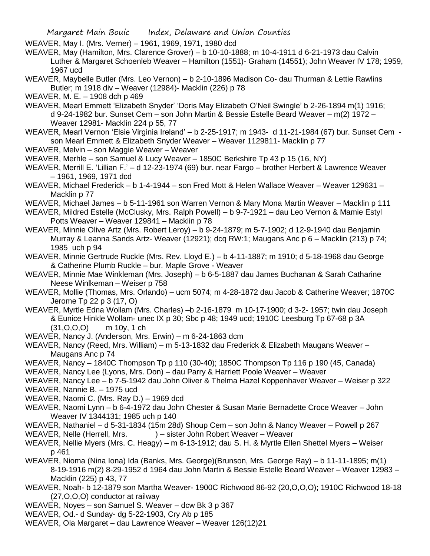WEAVER, May I. (Mrs. Verner) – 1961, 1969, 1971, 1980 dcd

WEAVER, May (Hamilton, Mrs. Clarence Grover) – b 10-10-1888; m 10-4-1911 d 6-21-1973 dau Calvin Luther & Margaret Schoenleb Weaver – Hamilton (1551)- Graham (14551); John Weaver IV 178; 1959, 1967 ucd

WEAVER, Maybelle Butler (Mrs. Leo Vernon) – b 2-10-1896 Madison Co- dau Thurman & Lettie Rawlins Butler; m 1918 div – Weaver (12984)- Macklin (226) p 78

WEAVER, M. E. – 1908 dch p 469

WEAVER, Mearl Emmett 'Elizabeth Snyder' 'Doris May Elizabeth O'Neil Swingle' b 2-26-1894 m(1) 1916; d 9-24-1982 bur. Sunset Cem – son John Martin & Bessie Estelle Beard Weaver – m(2) 1972 – Weaver 12981- Macklin 224 p 55, 77

WEAVER, Mearl Vernon 'Elsie Virginia Ireland' – b 2-25-1917; m 1943- d 11-21-1984 (67) bur. Sunset Cem son Mearl Emmett & Elizabeth Snyder Weaver – Weaver 1129811- Macklin p 77

WEAVER, Melvin – son Maggie Weaver – Weaver

WEAVER, Merhle – son Samuel & Lucy Weaver – 1850C Berkshire Tp 43 p 15 (16, NY)

WEAVER, Merrill E. 'Lillian F.' – d 12-23-1974 (69) bur. near Fargo – brother Herbert & Lawrence Weaver – 1961, 1969, 1971 dcd

WEAVER, Michael Frederick – b 1-4-1944 – son Fred Mott & Helen Wallace Weaver – Weaver 129631 – Macklin p 77

WEAVER, Michael James – b 5-11-1961 son Warren Vernon & Mary Mona Martin Weaver – Macklin p 111

WEAVER, Mildred Estelle (McClusky, Mrs. Ralph Powell) – b 9-7-1921 – dau Leo Vernon & Mamie Estyl Potts Weaver – Weaver 129841 – Macklin p 78

WEAVER, Minnie Olive Artz (Mrs. Robert Leroy) – b 9-24-1879; m 5-7-1902; d 12-9-1940 dau Benjamin Murray & Leanna Sands Artz- Weaver (12921); dcq RW:1; Maugans Anc p 6 – Macklin (213) p 74; 1985 uch p 94

WEAVER, Minnie Gertrude Ruckle (Mrs. Rev. Lloyd E.) – b 4-11-1887; m 1910; d 5-18-1968 dau George & Catherine Plumb Ruckle – bur. Maple Grove - Weaver

WEAVER, Minnie Mae Winkleman (Mrs. Joseph) – b 6-5-1887 dau James Buchanan & Sarah Catharine Neese Winlkeman – Weiser p 758

WEAVER, Mollie (Thomas, Mrs. Orlando) – ucm 5074; m 4-28-1872 dau Jacob & Catherine Weaver; 1870C Jerome Tp 22 p 3 (17, O)

WEAVER, Myrtle Edna Wollam (Mrs. Charles) –b 2-16-1879 m 10-17-1900; d 3-2- 1957; twin dau Joseph & Eunice Hinkle Wollam- unec IX p 30; Sbc p 48; 1949 ucd; 1910C Leesburg Tp 67-68 p 3A (31,O,O,O) m 10y, 1 ch

WEAVER, Nancy J. (Anderson, Mrs. Erwin) – m 6-24-1863 dcm

WEAVER, Nancy (Reed, Mrs. William) – m 5-13-1832 dau Frederick & Elizabeth Maugans Weaver – Maugans Anc p 74

WEAVER, Nancy – 1840C Thompson Tp p 110 (30-40); 1850C Thompson Tp 116 p 190 (45, Canada)

WEAVER, Nancy Lee (Lyons, Mrs. Don) – dau Parry & Harriett Poole Weaver – Weaver

WEAVER, Nancy Lee – b 7-5-1942 dau John Oliver & Thelma Hazel Koppenhaver Weaver – Weiser p 322

WEAVER, Nannie B. – 1975 ucd

WEAVER, Naomi C. (Mrs. Ray D.) – 1969 dcd

WEAVER, Naomi Lynn – b 6-4-1972 dau John Chester & Susan Marie Bernadette Croce Weaver – John Weaver IV 1344131; 1985 uch p 140

WEAVER, Nathaniel – d 5-31-1834 (15m 28d) Shoup Cem – son John & Nancy Weaver – Powell p 267

WEAVER, Nelle (Herrell, Mrs. ) – sister John Robert Weaver – Weaver

WEAVER, Nellie Myers (Mrs. C. Heagy) – m 6-13-1912; dau S. H. & Myrtle Ellen Shettel Myers – Weiser p 461

WEAVER, Nioma (Nina Iona) Ida (Banks, Mrs. George)(Brunson, Mrs. George Ray) – b 11-11-1895; m(1) 8-19-1916 m(2) 8-29-1952 d 1964 dau John Martin & Bessie Estelle Beard Weaver – Weaver 12983 – Macklin (225) p 43, 77

WEAVER, Noah- b 12-1879 son Martha Weaver- 1900C Richwood 86-92 (20,O,O,O); 1910C Richwood 18-18 (27,O,O,O) conductor at railway

WEAVER, Noyes – son Samuel S. Weaver – dcw Bk 3 p 367

WEAVER, Od.- d Sunday- dg 5-22-1903, Cry Ab p 185

WEAVER, Ola Margaret – dau Lawrence Weaver – Weaver 126(12)21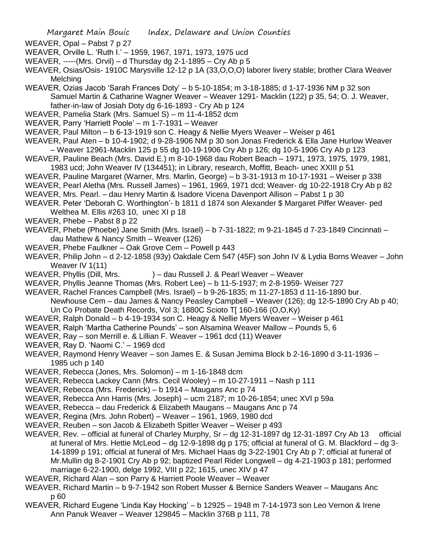- WEAVER, Opal Pabst 7 p 27
- WEAVER, Orville L. 'Ruth I.' 1959, 1967, 1971, 1973, 1975 ucd
- WEAVER, -----(Mrs. Orvil) d Thursday dg 2-1-1895 Cry Ab p 5
- WEAVER, Osias/Osis- 1910C Marysville 12-12 p 1A (33,O,O,O) laborer livery stable; brother Clara Weaver **Melching**
- WEAVER, Ozias Jacob 'Sarah Frances Doty' b 5-10-1854; m 3-18-1885; d 1-17-1936 NM p 32 son Samuel Martin & Catharine Wagner Weaver – Weaver 1291- Macklin (122) p 35, 54; O. J. Weaver, father-in-law of Josiah Doty dg 6-16-1893 - Cry Ab p 124
- WEAVER, Pamelia Stark (Mrs. Samuel S) m 11-4-1852 dcm
- WEAVER, Parry 'Harriett Poole' m 1-7-1931 Weaver
- WEAVER, Paul Milton b 6-13-1919 son C. Heagy & Nellie Myers Weaver Weiser p 461
- WEAVER, Paul Aten b 10-4-1902; d 9-28-1906 NM p 30 son Jonas Frederick & Ella Jane Hurlow Weaver – Weaver 12961-Macklin 125 p 55 dg 10-19-1906 Cry Ab p 126; dg 10-5-1906 Cry Ab p 123
- WEAVER, Pauline Beach (Mrs. David E.) m 8-10-1968 dau Robert Beach 1971, 1973, 1975, 1979, 1981,
- 1983 ucd; John Weaver IV (134451); in Library, research, Moffitt, Beach- unec XXIII p 51
- WEAVER, Pauline Margaret (Warner, Mrs. Marlin, George) b 3-31-1913 m 10-17-1931 Weiser p 338
- WEAVER, Pearl Aletha (Mrs. Russell James) 1961, 1969, 1971 dcd; Weaver- dg 10-22-1918 Cry Ab p 82
- WEAVER, Mrs. Pearl. dau Henry Martin & Isadore Vicena Davenport Allison Pabst 1 p 30
- WEAVER. Peter 'Deborah C. Worthington'- b 1811 d 1874 son Alexander \$ Margaret Piffer Weaver- ped Welthea M. Ellis #263 10, unec XI p 18
- WEAVER, Phebe Pabst 8 p 22
- WEAVER, Phebe (Phoebe) Jane Smith (Mrs. Israel) b 7-31-1822; m 9-21-1845 d 7-23-1849 Cincinnati dau Mathew & Nancy Smith – Weaver (126)
- WEAVER, Phebe Faulkner Oak Grove Cem Powell p 443
- WEAVER, Philip John d 2-12-1858 (93y) Oakdale Cem 547 (45F) son John IV & Lydia Borns Weaver John Weaver IV 1(11)
- WEAVER, Phyllis (Dill, Mrs. ) dau Russell J. & Pearl Weaver Weaver
- WEAVER, Phyllis Jeanne Thomas (Mrs. Robert Lee) b 11-5-1937; m 2-8-1959- Weiser 727
- WEAVER, Rachel Frances Campbell (Mrs. Israel) b 9-26-1835; m 11-27-1853 d 11-16-1890 bur.
- Newhouse Cem dau James & Nancy Peasley Campbell Weaver (126); dg 12-5-1890 Cry Ab p 40; Un Co Probate Death Records, Vol 3; 1880C Scioto T[ 160-166 (O,O,Ky)
- WEAVER, Ralph Donald b 4-19-1934 son C. Heagy & Nellie Myers Weaver Weiser p 461
- WEAVER, Ralph 'Martha Catherine Pounds' son Alsamina Weaver Mallow Pounds 5, 6
- WEAVER, Ray son Merrill e. & Lillian F. Weaver 1961 dcd (11) Weaver
- WEAVER, Ray D. 'Naomi C.' 1969 dcd
- WEAVER, Raymond Henry Weaver son James E. & Susan Jemima Block b 2-16-1890 d 3-11-1936 1985 uch p 140
- WEAVER, Rebecca (Jones, Mrs. Solomon) m 1-16-1848 dcm
- WEAVER, Rebecca Lackey Cann (Mrs. Cecil Wooley) m 10-27-1911 Nash p 111
- WEAVER, Rebecca (Mrs. Frederick) b 1914 Maugans Anc p 74
- WEAVER, Rebecca Ann Harris (Mrs. Joseph) ucm 2187; m 10-26-1854; unec XVI p 59a
- WEAVER, Rebecca dau Frederick & Elizabeth Maugans Maugans Anc p 74
- WEAVER, Regina (Mrs. John Robert) Weaver 1961, 1969, 1980 dcd
- WEAVER, Reuben son Jacob & Elizabeth Spitler Weaver Weiser p 493
- WEAVER, Rev. official at funeral of Charley Murphy, Sr dg 12-31-1897 dg 12-31-1897 Cry Ab 13 official at funeral of Mrs. Hettie McLeod – dg 12-9-1898 dg p 175; official at funeral of G. M. Blackford – dg 3- 14-1899 p 191; official at funeral of Mrs. Michael Haas dg 3-22-1901 Cry Ab p 7; official at funeral of Mr.Mullin dg 8-2-1901 Cry Ab p 92; baptized Pearl Rider Longwell – dg 4-21-1903 p 181; performed marriage 6-22-1900, delge 1992, VIII p 22; 1615, unec XIV p 47
- WEAVER, Richard Alan son Parry & Harriett Poole Weaver Weaver
- WEAVER, Richard Martin b 9-7-1942 son Robert Musser & Bernice Sanders Weaver Maugans Anc p 60
- WEAVER, Richard Eugene 'Linda Kay Hocking' b 12925 1948 m 7-14-1973 son Leo Vernon & Irene Ann Panuk Weaver – Weaver 129845 – Macklin 376B p 111, 78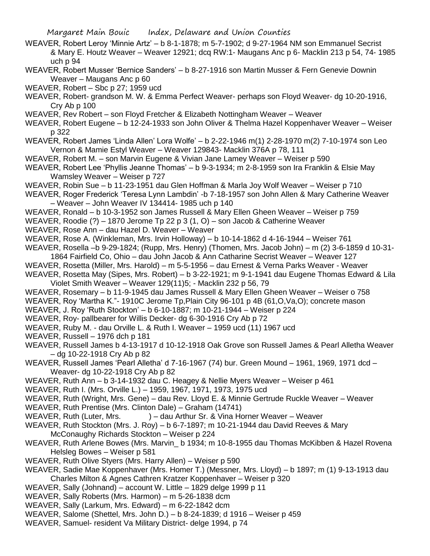- WEAVER, Robert Leroy 'Minnie Artz' b 8-1-1878; m 5-7-1902; d 9-27-1964 NM son Emmanuel Secrist & Mary E. Houtz Weaver – Weaver 12921; dcq RW:1- Maugans Anc p 6- Macklin 213 p 54, 74- 1985 uch p 94
- WEAVER, Robert Musser 'Bernice Sanders' b 8-27-1916 son Martin Musser & Fern Genevie Downin Weaver – Maugans Anc p 60
- WEAVER, Robert Sbc p 27; 1959 ucd
- WEAVER, Robert- grandson M. W. & Emma Perfect Weaver- perhaps son Floyd Weaver- dg 10-20-1916, Cry Ab p 100
- WEAVER, Rev Robert son Floyd Fretcher & Elizabeth Nottingham Weaver Weaver
- WEAVER, Robert Eugene b 12-24-1933 son John Oliver & Thelma Hazel Koppenhaver Weaver Weiser p 322
- WEAVER, Robert James 'Linda Allen' Lora Wolfe' b 2-22-1946 m(1) 2-28-1970 m(2) 7-10-1974 son Leo Vernon & Mamie Estyl Weaver – Weaver 129843- Macklin 376A p 78, 111
- WEAVER, Robert M. son Marvin Eugene & Vivian Jane Lamey Weaver Weiser p 590
- WEAVER, Robert Lee 'Phyllis Jeanne Thomas' b 9-3-1934; m 2-8-1959 son Ira Franklin & Elsie May Wamsley Weaver – Weiser p 727
- WEAVER, Robin Sue b 11-23-1951 dau Glen Hoffman & Marla Joy Wolf Weaver Weiser p 710
- WEAVER, Roger Frederick 'Teresa Lynn Lambdin' -b 7-18-1957 son John Allen & Mary Catherine Weaver – Weaver – John Weaver IV 134414- 1985 uch p 140
- WEAVER, Ronald b 10-3-1952 son James Russell & Mary Ellen Gheen Weaver Weiser p 759
- WEAVER, Roodie (?) 1870 Jerome Tp 22 p 3 (1, O) son Jacob & Catherine Weaver
- WEAVER, Rose Ann dau Hazel D. Weaver Weaver
- WEAVER, Rose A. (Winkleman, Mrs. Irvin Holloway) b 10-14-1862 d 4-16-1944 Weiser 761
- WEAVER, Rosella –b 9-29-1824; (Rupp, Mrs. Henry) (Thomen, Mrs. Jacob John) m (2) 3-6-1859 d 10-31-
- 1864 Fairfield Co, Ohio dau John Jacob & Ann Catharine Secrist Weaver Weaver 127
- WEAVER, Rosetta (Miller, Mrs. Harold) m 5-5-1956 dau Ernest & Verna Parks Weaver Weaver
- WEAVER, Rosetta May (Sipes, Mrs. Robert) b 3-22-1921; m 9-1-1941 dau Eugene Thomas Edward & Lila Violet Smith Weaver – Weaver 129(11)5; - Macklin 232 p 56, 79
- WEAVER, Rosemary b 11-9-1945 dau James Russell & Mary Ellen Gheen Weaver Weiser o 758
- WEAVER, Roy 'Martha K."- 1910C Jerome Tp,Plain City 96-101 p 4B (61,O,Va,O); concrete mason
- WEAVER, J. Roy 'Ruth Stockton' b 6-10-1887; m 10-21-1944 Weiser p 224
- WEAVER, Roy- pallbearer for Willis Decker- dg 6-30-1916 Cry Ab p 72
- WEAVER, Ruby M. dau Orville L. & Ruth I. Weaver 1959 ucd (11) 1967 ucd
- WEAVER, Russell 1976 dch p 181
- WEAVER, Russell James b 4-13-1917 d 10-12-1918 Oak Grove son Russell James & Pearl Alletha Weaver – dg 10-22-1918 Cry Ab p 82
- WEAVER, Russell James 'Pearl Alletha' d 7-16-1967 (74) bur. Green Mound 1961, 1969, 1971 dcd Weaver- dg 10-22-1918 Cry Ab p 82
- WEAVER, Ruth Ann b 3-14-1932 dau C. Heagey & Nellie Myers Weaver Weiser p 461
- WEAVER, Ruth I. (Mrs. Orville L.) 1959, 1967, 1971, 1973, 1975 ucd
- WEAVER, Ruth (Wright, Mrs. Gene) dau Rev. Lloyd E. & Minnie Gertrude Ruckle Weaver Weaver
- WEAVER, Ruth Prentise (Mrs. Clinton Dale) Graham (14741)
- WEAVER, Ruth (Luter, Mrs. ) dau Arthur Sr. & Vina Horner Weaver Weaver
- WEAVER, Ruth Stockton (Mrs. J. Roy) b 6-7-1897; m 10-21-1944 dau David Reeves & Mary McConaughy Richards Stockton – Weiser p 224
- WEAVER, Ruth Arlene Bowes (Mrs. Marvin\_ b 1934; m 10-8-1955 dau Thomas McKibben & Hazel Rovena Helsleg Bowes – Weiser p 581
- WEAVER, Ruth Olive Styers (Mrs. Harry Allen) Weiser p 590
- WEAVER, Sadie Mae Koppenhaver (Mrs. Homer T.) (Messner, Mrs. Lloyd) b 1897; m (1) 9-13-1913 dau Charles Milton & Agnes Cathren Kratzer Koppenhaver – Weiser p 320
- WEAVER, Sally (Johnand) account W. Little 1829 delge 1999 p 11
- WEAVER, Sally Roberts (Mrs. Harmon) m 5-26-1838 dcm
- WEAVER, Sally (Larkum, Mrs. Edward) m 6-22-1842 dcm
- WEAVER, Salome (Shettel, Mrs. John D.) b 8-24-1839; d 1916 Weiser p 459
- WEAVER, Samuel- resident Va Military District- delge 1994, p 74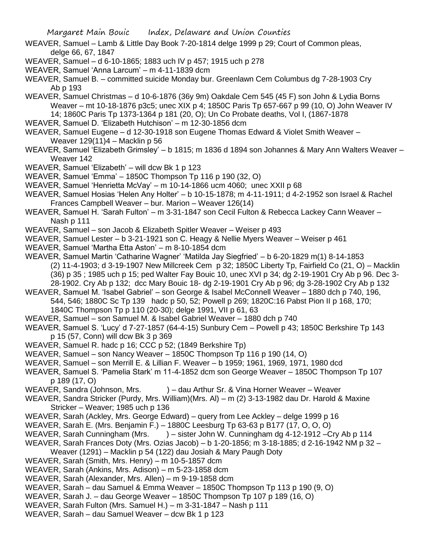WEAVER, Samuel – Lamb & Little Day Book 7-20-1814 delge 1999 p 29; Court of Common pleas, delge 66, 67, 1847

- WEAVER, Samuel d 6-10-1865; 1883 uch IV p 457; 1915 uch p 278
- WEAVER, Samuel 'Anna Larcum' m 4-11-1839 dcm

WEAVER, Samuel B. – committed suicide Monday bur. Greenlawn Cem Columbus dg 7-28-1903 Cry Ab p 193

WEAVER, Samuel Christmas – d 10-6-1876 (36y 9m) Oakdale Cem 545 (45 F) son John & Lydia Borns Weaver – mt 10-18-1876 p3c5; unec XIX p 4; 1850C Paris Tp 657-667 p 99 (10, O) John Weaver IV 14; 1860C Paris Tp 1373-1364 p 181 (20, O); Un Co Probate deaths, Vol I, (1867-1878

- WEAVER, Samuel D. 'Elizabeth Hutchison' m 12-30-1856 dcm
- WEAVER, Samuel Eugene d 12-30-1918 son Eugene Thomas Edward & Violet Smith Weaver Weaver 129(11)4 – Macklin p 56
- WEAVER, Samuel 'Elizabeth Grimsley' b 1815; m 1836 d 1894 son Johannes & Mary Ann Walters Weaver Weaver 142
- WEAVER, Samuel 'Elizabeth' will dcw Bk 1 p 123
- WEAVER, Samuel 'Emma' 1850C Thompson Tp 116 p 190 (32, O)
- WEAVER, Samuel 'Henrietta McVay' m 10-14-1866 ucm 4060; unec XXII p 68

WEAVER, Samuel Hosias 'Helen Any Holter' – b 10-15-1878; m 4-11-1911; d 4-2-1952 son Israel & Rachel Frances Campbell Weaver – bur. Marion – Weaver 126(14)

WEAVER, Samuel H. 'Sarah Fulton' – m 3-31-1847 son Cecil Fulton & Rebecca Lackey Cann Weaver – Nash p 111

- WEAVER, Samuel son Jacob & Elizabeth Spitler Weaver Weiser p 493
- WEAVER, Samuel Lester b 3-21-1921 son C. Heagy & Nellie Myers Weaver Weiser p 461
- WEAVER, Samuel 'Martha Etta Aston' m 8-10-1854 dcm

WEAVER, Samuel Martin 'Catharine Wagner' 'Matilda Jay Siegfried' – b 6-20-1829 m(1) 8-14-1853 (2) 11-4-1903; d 3-19-1907 New Millcreek Cem p 32; 1850C Liberty Tp, Fairfield Co (21, O) – Macklin

- (36) p 35 ; 1985 uch p 15; ped Walter Fay Bouic 10, unec XVI p 34; dg 2-19-1901 Cry Ab p 96. Dec 3-
	- 28-1902. Cry Ab p 132; dcc Mary Bouic 18- dg 2-19-1901 Cry Ab p 96; dg 3-28-1902 Cry Ab p 132

WEAVER, Samuel M. 'Isabel Gabriel' – son George & Isabel McConnell Weaver – 1880 dch p 740, 196, 544, 546; 1880C Sc Tp 139 hadc p 50, 52; Powell p 269; 1820C:16 Pabst Pion II p 168, 170; 1840C Thompson Tp p 110 (20-30); delge 1991, VII p 61, 63

- WEAVER, Samuel son Samuel M. & Isabel Gabriel Weaver 1880 dch p 740
- WEAVER, Samuel S. 'Lucy' d 7-27-1857 (64-4-15) Sunbury Cem Powell p 43; 1850C Berkshire Tp 143 p 15 (57, Conn) will dcw Bk 3 p 369
- WEAVER, Samuel R. hadc p 16; CCC p 52; (1849 Berkshire Tp)
- WEAVER, Samuel son Nancy Weaver 1850C Thompson Tp 116 p 190 (14, O)
- WEAVER, Samuel son Merrill E. & Lillian F. Weaver b 1959; 1961, 1969, 1971, 1980 dcd
- WEAVER, Samuel S. 'Pamelia Stark' m 11-4-1852 dcm son George Weaver 1850C Thompson Tp 107 p 189 (17, O)
- WEAVER, Sandra (Johnson, Mrs. ) dau Arthur Sr. & Vina Horner Weaver Weaver
- WEAVER, Sandra Stricker (Purdy, Mrs. William)(Mrs. Al) m (2) 3-13-1982 dau Dr. Harold & Maxine Stricker – Weaver; 1985 uch p 136
- WEAVER, Sarah (Ackley, Mrs. George Edward) query from Lee Ackley delge 1999 p 16
- WEAVER, Sarah E. (Mrs. Benjamin F.) 1880C Leesburg Tp 63-63 p B177 (17, O, O, O)
- WEAVER, Sarah Cunningham (Mrs. ) sister John W. Cunningham dg 4-12-1912 –Cry Ab p 114
- WEAVER, Sarah Frances Doty (Mrs. Ozias Jacob) b 1-20-1856; m 3-18-1885; d 2-16-1942 NM p 32 Weaver (1291) – Macklin p 54 (122) dau Josiah & Mary Paugh Doty
- WEAVER, Sarah (Smith, Mrs. Henry) m 10-5-1857 dcm
- WEAVER, Sarah (Ankins, Mrs. Adison) m 5-23-1858 dcm
- WEAVER, Sarah (Alexander, Mrs. Allen) m 9-19-1858 dcm
- WEAVER, Sarah dau Samuel & Emma Weaver 1850C Thompson Tp 113 p 190 (9, O)
- WEAVER, Sarah J. dau George Weaver 1850C Thompson Tp 107 p 189 (16, O)
- WEAVER, Sarah Fulton (Mrs. Samuel H.) m 3-31-1847 Nash p 111
- WEAVER, Sarah dau Samuel Weaver dcw Bk 1 p 123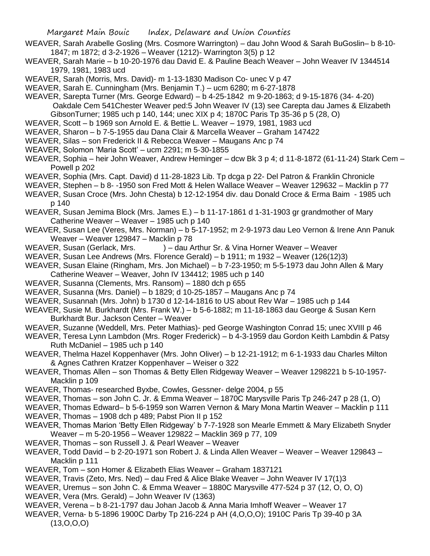- WEAVER, Sarah Arabelle Gosling (Mrs. Cosmore Warrington) dau John Wood & Sarah BuGoslin– b 8-10- 1847; m 1872; d 3-2-1926 – Weaver (1212)- Warrington 3(5) p 12
- WEAVER, Sarah Marie b 10-20-1976 dau David E. & Pauline Beach Weaver John Weaver IV 1344514 1979, 1981, 1983 ucd
- WEAVER, Sarah (Morris, Mrs. David)- m 1-13-1830 Madison Co- unec V p 47
- WEAVER, Sarah E. Cunningham (Mrs. Benjamin T.) ucm 6280; m 6-27-1878
- WEAVER, Sarepta Turner (Mrs. George Edward) b 4-25-1842 m 9-20-1863; d 9-15-1876 (34- 4-20) Oakdale Cem 541Chester Weaver ped:5 John Weaver IV (13) see Carepta dau James & Elizabeth GibsonTurner; 1985 uch p 140, 144; unec XIX p 4; 1870C Paris Tp 35-36 p 5 (28, O)
- WEAVER, Scott b 1969 son Arnold E. & Bettie L. Weaver 1979, 1981, 1983 ucd
- WEAVER, Sharon b 7-5-1955 dau Dana Clair & Marcella Weaver Graham 147422
- WEAVER, Silas son Frederick II & Rebecca Weaver Maugans Anc p 74
- WEAVER, Solomon 'Maria Scott' ucm 2291; m 5-30-1855
- WEAVER, Sophia heir John Weaver, Andrew Heminger dcw Bk 3 p 4; d 11-8-1872 (61-11-24) Stark Cem Powell p 202
- WEAVER, Sophia (Mrs. Capt. David) d 11-28-1823 Lib. Tp dcga p 22- Del Patron & Franklin Chronicle
- WEAVER, Stephen b 8- -1950 son Fred Mott & Helen Wallace Weaver Weaver 129632 Macklin p 77
- WEAVER, Susan Croce (Mrs. John Chesta) b 12-12-1954 div. dau Donald Croce & Erma Baim 1985 uch p 140
- WEAVER, Susan Jemima Block (Mrs. James E.) b 11-17-1861 d 1-31-1903 gr grandmother of Mary Catherine Weaver – Weaver – 1985 uch p 140
- WEAVER, Susan Lee (Veres, Mrs. Norman) b 5-17-1952; m 2-9-1973 dau Leo Vernon & Irene Ann Panuk Weaver – Weaver 129847 – Macklin p 78<br>WEAVER, Susan (Gerlack, Mrs. ) – dau A
- ) dau Arthur Sr. & Vina Horner Weaver Weaver
- WEAVER, Susan Lee Andrews (Mrs. Florence Gerald) b 1911; m 1932 Weaver (126(12)3)
- WEAVER, Susan Elaine (Ringham, Mrs. Jon Michael) b 7-23-1950; m 5-5-1973 dau John Allen & Mary
- Catherine Weaver Weaver, John IV 134412; 1985 uch p 140
- WEAVER, Susanna (Clements, Mrs. Ransom) 1880 dch p 655
- WEAVER, Susanna (Mrs. Daniel) b 1829; d 10-25-1857 Maugans Anc p 74
- WEAVER, Susannah (Mrs. John) b 1730 d 12-14-1816 to US about Rev War 1985 uch p 144
- WEAVER, Susie M. Burkhardt (Mrs. Frank W.) b 5-6-1882; m 11-18-1863 dau George & Susan Kern Burkhardt Bur. Jackson Center – Weaver
- WEAVER, Suzanne (Weddell, Mrs. Peter Mathias)- ped George Washington Conrad 15; unec XVIII p 46
- WEAVER, Teresa Lynn Lambdon (Mrs. Roger Frederick) b 4-3-1959 dau Gordon Keith Lambdin & Patsy Ruth McDaniel – 1985 uch p 140
- WEAVER, Thelma Hazel Koppenhaver (Mrs. John Oliver) b 12-21-1912; m 6-1-1933 dau Charles Milton & Agnes Cathren Kratzer Koppenhaver – Weiser o 322
- WEAVER, Thomas Allen son Thomas & Betty Ellen Ridgeway Weaver Weaver 1298221 b 5-10-1957- Macklin p 109
- WEAVER, Thomas- researched Byxbe, Cowles, Gessner- delge 2004, p 55
- WEAVER, Thomas son John C. Jr. & Emma Weaver 1870C Marysville Paris Tp 246-247 p 28 (1, O)
- WEAVER, Thomas Edward– b 5-6-1959 son Warren Vernon & Mary Mona Martin Weaver Macklin p 111 WEAVER, Thomas – 1908 dch p 489; Pabst Pion II p 152
- WEAVER, Thomas Marion 'Betty Ellen Ridgeway' b 7-7-1928 son Mearle Emmett & Mary Elizabeth Snyder Weaver – m 5-20-1956 – Weaver 129822 – Macklin 369 p 77, 109
- WEAVER, Thomas son Russell J. & Pearl Weaver Weaver
- WEAVER, Todd David b 2-20-1971 son Robert J. & Linda Allen Weaver Weaver Weaver 129843 Macklin p 111
- WEAVER, Tom son Homer & Elizabeth Elias Weaver Graham 1837121
- WEAVER, Travis (Zeto, Mrs. Ned) dau Fred & Alice Blake Weaver John Weaver IV 17(1)3
- WEAVER, Uremus son John C. & Emma Weaver 1880C Marysville 477-524 p 37 (12, O, O, O)
- WEAVER, Vera (Mrs. Gerald) John Weaver IV (1363)
- WEAVER, Verena b 8-21-1797 dau Johan Jacob & Anna Maria Imhoff Weaver Weaver 17
- WEAVER, Verna- b 5-1896 1900C Darby Tp 216-224 p AH (4,O,O,O); 1910C Paris Tp 39-40 p 3A  $(13,0,0,0)$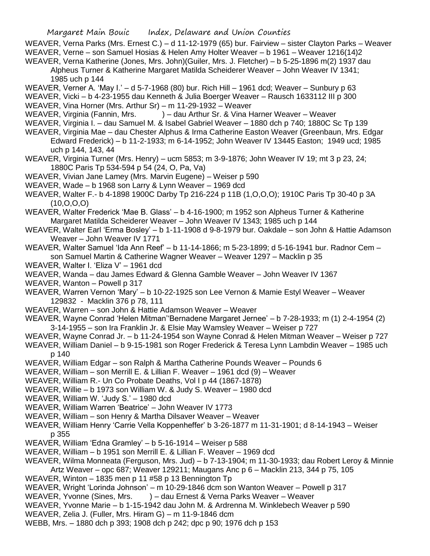WEAVER, Verna Parks (Mrs. Ernest C.) – d 11-12-1979 (65) bur. Fairview – sister Clayton Parks – Weaver WEAVER, Verne – son Samuel Hosias & Helen Amy Holter Weaver – b 1961 – Weaver 1216(14)2 WEAVER, Verna Katherine (Jones, Mrs. John)(Guiler, Mrs. J. Fletcher) – b 5-25-1896 m(2) 1937 dau

Alpheus Turner & Katherine Margaret Matilda Scheiderer Weaver – John Weaver IV 1341; 1985 uch p 144

WEAVER, Verner A. 'May I.' – d 5-7-1968 (80) bur. Rich Hill – 1961 dcd; Weaver – Sunbury p 63

WEAVER, Vicki – b 4-23-1955 dau Kenneth & Julia Boerger Weaver – Rausch 1633112 III p 300 WEAVER, Vina Horner (Mrs. Arthur Sr) – m 11-29-1932 – Weaver

WEAVER, Virginia (Fannin, Mrs. ) – dau Arthur Sr. & Vina Harner Weaver – Weaver

WEAVER, Virginia I. – dau Samuel M. & Isabel Gabriel Weaver – 1880 dch p 740; 1880C Sc Tp 139

WEAVER, Virginia Mae – dau Chester Alphus & Irma Catherine Easton Weaver (Greenbaun, Mrs. Edgar Edward Frederick) – b 11-2-1933; m 6-14-1952; John Weaver IV 13445 Easton; 1949 ucd; 1985 uch p 144, 143, 44

WEAVER, Virginia Turner (Mrs. Henry) – ucm 5853; m 3-9-1876; John Weaver IV 19; mt 3 p 23, 24; 1880C Paris Tp 534-594 p 54 (24, O, Pa, Va)

WEAVER, Vivian Jane Lamey (Mrs. Marvin Eugene) – Weiser p 590

WEAVER, Wade – b 1968 son Larry & Lynn Weaver – 1969 dcd

WEAVER, Walter F.- b 4-1898 1900C Darby Tp 216-224 p 11B (1,O,O,O); 1910C Paris Tp 30-40 p 3A (10,O,O,O)

WEAVER, Walter Frederick 'Mae B. Glass' – b 4-16-1900; m 1952 son Alpheus Turner & Katherine Margaret Matilda Scheiderer Weaver – John Weaver IV 1343; 1985 uch p 144

WEAVER, Walter Earl 'Erma Bosley' – b 1-11-1908 d 9-8-1979 bur. Oakdale – son John & Hattie Adamson Weaver – John Weaver IV 1771

WEAVER, Walter Samuel 'Ida Ann Reef' – b 11-14-1866; m 5-23-1899; d 5-16-1941 bur. Radnor Cem – son Samuel Martin & Catherine Wagner Weaver – Weaver 1297 – Macklin p 35

WEAVER, Walter I. 'Eliza V' – 1961 dcd

WEAVER, Wanda – dau James Edward & Glenna Gamble Weaver – John Weaver IV 1367

WEAVER, Wanton – Powell p 317

WEAVER, Warren Vernon 'Mary' – b 10-22-1925 son Lee Vernon & Mamie Estyl Weaver – Weaver 129832 - Macklin 376 p 78, 111

WEAVER, Warren – son John & Hattie Adamson Weaver – Weaver

WEAVER, Wayne Conrad 'Helen Mitman''Bernadene Margaret Jernee' – b 7-28-1933; m (1) 2-4-1954 (2) 3-14-1955 – son Ira Franklin Jr. & Elsie May Wamsley Weaver – Weiser p 727

WEAVER, Wayne Conrad Jr. – b 11-24-1954 son Wayne Conrad & Helen Mitman Weaver – Weiser p 727

WEAVER, William Daniel – b 9-15-1981 son Roger Frederick & Teresa Lynn Lambdin Weaver – 1985 uch p 140

WEAVER, William Edgar – son Ralph & Martha Catherine Pounds Weaver – Pounds 6

WEAVER, William – son Merrill E. & Lillian F. Weaver – 1961 dcd (9) – Weaver

WEAVER, William R.- Un Co Probate Deaths, Vol I p 44 (1867-1878)

WEAVER, Willie – b 1973 son William W. & Judy S. Weaver – 1980 dcd

WEAVER, William W. 'Judy S.' – 1980 dcd

WEAVER, William Warren 'Beatrice' – John Weaver IV 1773

WEAVER, William – son Henry & Martha Dilsaver Weaver – Weaver

WEAVER, William Henry 'Carrie Vella Koppenheffer' b 3-26-1877 m 11-31-1901; d 8-14-1943 – Weiser p 355

WEAVER, William 'Edna Gramley' – b 5-16-1914 – Weiser p 588

WEAVER, William – b 1951 son Merrill E. & Lillian F. Weaver – 1969 dcd

WEAVER, Wilma Monneata (Ferguson, Mrs. Jud) – b 7-13-1904; m 11-30-1933; dau Robert Leroy & Minnie

Artz Weaver – opc 687; Weaver 129211; Maugans Anc p 6 – Macklin 213, 344 p 75, 105

WEAVER, Winton – 1835 men p 11 #58 p 13 Bennington Tp

WEAVER, Wright 'Lorinda Johnson' – m 10-29-1846 dcm son Wanton Weaver – Powell p 317

WEAVER, Yvonne (Sines, Mrs. ) – dau Ernest & Verna Parks Weaver – Weaver

WEAVER, Yvonne Marie – b 1-15-1942 dau John M. & Ardrenna M. Winklebech Weaver p 590

WEAVER, Zelia J. (Fuller, Mrs. Hiram G) – m 11-9-1846 dcm

WEBB, Mrs. – 1880 dch p 393; 1908 dch p 242; dpc p 90; 1976 dch p 153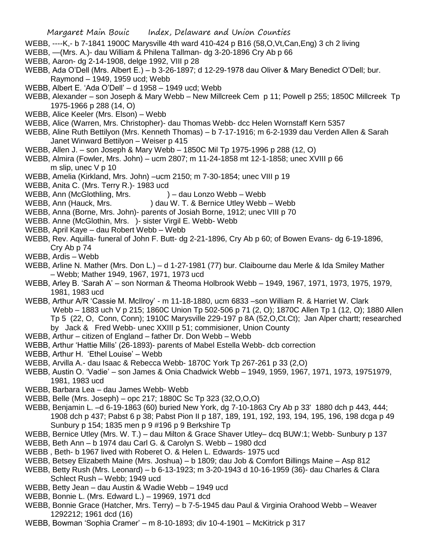- WEBB, ----K,- b 7-1841 1900C Marysville 4th ward 410-424 p B16 (58,O,Vt,Can,Eng) 3 ch 2 living
- WEBB, —(Mrs. A.)- dau William & Philena Tallman- dg 3-20-1896 Cry Ab p 66
- WEBB, Aaron- dg 2-14-1908, delge 1992, VIII p 28
- WEBB, Ada O'Dell (Mrs. Albert E.) b 3-26-1897; d 12-29-1978 dau Oliver & Mary Benedict O'Dell; bur. Raymond – 1949, 1959 ucd; Webb
- WEBB, Albert E. 'Ada O'Dell' d 1958 1949 ucd; Webb
- WEBB, Alexander son Joseph & Mary Webb New Millcreek Cem p 11; Powell p 255; 1850C Millcreek Tp 1975-1966 p 288 (14, O)
- WEBB, Alice Keeler (Mrs. Elson) Webb
- WEBB, Alice (Warren, Mrs. Christopher)- dau Thomas Webb- dcc Helen Wornstaff Kern 5357
- WEBB, Aline Ruth Bettilyon (Mrs. Kenneth Thomas) b 7-17-1916; m 6-2-1939 dau Verden Allen & Sarah Janet Winward Bettilyon – Weiser p 415
- WEBB, Allen J. son Joseph & Mary Webb 1850C Mil Tp 1975-1996 p 288 (12, O)
- WEBB, Almira (Fowler, Mrs. John) ucm 2807; m 11-24-1858 mt 12-1-1858; unec XVIII p 66 m slip, unec V p 10
- WEBB, Amelia (Kirkland, Mrs. John) –ucm 2150; m 7-30-1854; unec VIII p 19
- WEBB, Anita C. (Mrs. Terry R.)- 1983 ucd
- WEBB, Ann (McGlothling, Mrs. ) dau Lonzo Webb Webb
- WEBB, Ann (Hauck, Mrs. ) dau W. T. & Bernice Utley Webb Webb
- WEBB, Anna (Borne, Mrs. John)- parents of Josiah Borne, 1912; unec VIII p 70
- WEBB. Anne (McGlothin, Mrs. )- sister Virgil E. Webb- Webb
- WEBB, April Kaye dau Robert Webb Webb
- WEBB, Rev. Aquilla- funeral of John F. Butt- dg 2-21-1896, Cry Ab p 60; of Bowen Evans- dg 6-19-1896, Cry Ab p 74
- WEBB, Ardis Webb
- WEBB, Arline N. Mather (Mrs. Don L.) d 1-27-1981 (77) bur. Claibourne dau Merle & Ida Smiley Mather – Webb; Mather 1949, 1967, 1971, 1973 ucd
- WEBB, Arley B. 'Sarah A' son Norman & Theoma Holbrook Webb 1949, 1967, 1971, 1973, 1975, 1979, 1981, 1983 ucd
- WEBB, Arthur A/R 'Cassie M. McIlroy' m 11-18-1880, ucm 6833 –son William R. & Harriet W. Clark Webb – 1883 uch V p 215; 1860C Union Tp 502-506 p 71 (2, O); 1870C Allen Tp 1 (12, O); 1880 Allen Tp 5 (22, O, Conn, Conn); 1910C Marysville 229-197 p 8A (52,O,Ct.Ct); Jan Alper chartt; researched by Jack & Fred Webb- unec XXIII p 51; commisioner, Union County
- WEBB, Arthur citizen of England father Dr. Don Webb Webb
- WEBB, Arthur 'Hattie Mills' (26-1893)- parents of Mabel Estella Webb- dcb correction
- WEBB, Arthur H. 'Ethel Louise' Webb
- WEBB, Arvilla A.- dau Isaac & Rebecca Webb- 1870C York Tp 267-261 p 33 (2,O)
- WEBB, Austin O. 'Vadie' son James & Onia Chadwick Webb 1949, 1959, 1967, 1971, 1973, 19751979, 1981, 1983 ucd
- WEBB, Barbara Lea dau James Webb- Webb
- WEBB, Belle (Mrs. Joseph) opc 217; 1880C Sc Tp 323 (32,O,O,O)
- WEBB, Benjamin L. –d 6-19-1863 (60) buried New York, dg 7-10-1863 Cry Ab p 33' 1880 dch p 443, 444; 1908 dch p 437; Pabst 6 p 38; Pabst Pion II p 187, 189, 191, 192, 193, 194, 195, 196, 198 dcga p 49 Sunbury p 154; 1835 men p 9 #196 p 9 Berkshire Tp
- WEBB, Bernice Utley (Mrs. W. T.) dau Milton & Grace Shaver Utley– dcq BUW:1; Webb- Sunbury p 137
- WEBB, Beth Ann b 1974 dau Carl G. & Carolyn S. Webb 1980 dcd
- WEBB , Beth- b 1967 lived with Roberet O. & Helen L. Edwards- 1975 ucd
- WEBB, Betsey Elizabeth Maine (Mrs. Joshua) b 1809; dau Job & Comfort Billings Maine Asp 812
- WEBB, Betty Rush (Mrs. Leonard) b 6-13-1923; m 3-20-1943 d 10-16-1959 (36)- dau Charles & Clara Schlect Rush – Webb; 1949 ucd
- WEBB, Betty Jean dau Austin & Wadie Webb 1949 ucd
- WEBB, Bonnie L. (Mrs. Edward L.) 19969, 1971 dcd
- WEBB, Bonnie Grace (Hatcher, Mrs. Terry) b 7-5-1945 dau Paul & Virginia Orahood Webb Weaver 1292212; 1961 dcd (16)
- WEBB, Bowman 'Sophia Cramer' m 8-10-1893; div 10-4-1901 McKitrick p 317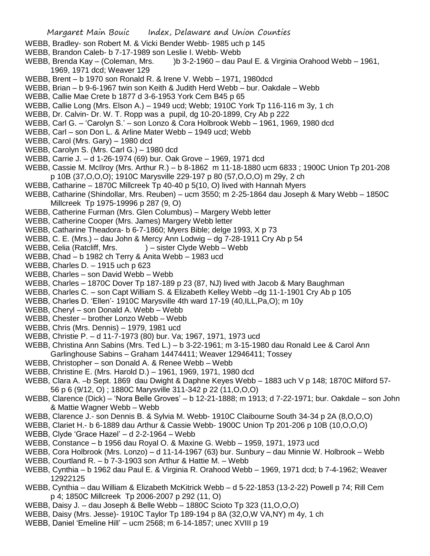- WEBB, Bradley- son Robert M. & Vicki Bender Webb- 1985 uch p 145
- WEBB, Brandon Caleb- b 7-17-1989 son Leslie I. Webb- Webb
- WEBB, Brenda Kay (Coleman, Mrs. )b 3-2-1960 dau Paul E. & Virginia Orahood Webb 1961, 1969, 1971 dcd; Weaver 129
- WEBB, Brent b 1970 son Ronald R. & Irene V. Webb 1971, 1980dcd
- WEBB, Brian b 9-6-1967 twin son Keith & Judith Herd Webb bur. Oakdale Webb
- WEBB, Callie Mae Crete b 1877 d 3-6-1953 York Cem B45 p 65
- WEBB, Callie Long (Mrs. Elson A.) 1949 ucd; Webb; 1910C York Tp 116-116 m 3y, 1 ch
- WEBB, Dr. Calvin- Dr. W. T. Ropp was a pupil, dg 10-20-1899, Cry Ab p 222
- WEBB, Carl G. 'Carolyn S.' son Lonzo & Cora Holbrook Webb 1961, 1969, 1980 dcd
- WEBB, Carl son Don L. & Arline Mater Webb 1949 ucd; Webb
- WEBB, Carol (Mrs. Gary) 1980 dcd
- WEBB, Carolyn S. (Mrs. Carl G.) 1980 dcd
- WEBB, Carrie J. d 1-26-1974 (69) bur. Oak Grove 1969, 1971 dcd
- WEBB, Cassie M. McIlroy (Mrs. Arthur R.) b 8-1862 m 11-18-1880 ucm 6833 ; 1900C Union Tp 201-208 p 10B (37,O,O,O); 1910C Marysville 229-197 p 80 (57,O,O,O) m 29y, 2 ch
- WEBB, Catharine 1870C Millcreek Tp 40-40 p 5(10, O) lived with Hannah Myers
- WEBB, Catharine (Shindollar, Mrs. Reuben) ucm 3550; m 2-25-1864 dau Joseph & Mary Webb 1850C Millcreek Tp 1975-19996 p 287 (9, O)
- WEBB, Catherine Furman (Mrs. Glen Columbus) Margery Webb letter
- WEBB, Catherine Cooper (Mrs. James) Margery Webb letter
- WEBB, Catharine Theadora- b 6-7-1860; Myers Bible; delge 1993, X p 73
- WEBB, C. E. (Mrs.) dau John & Mercy Ann Lodwig dg 7-28-1911 Cry Ab p 54
- WEBB, Celia (Ratcliff, Mrs. ) sister Clyde Webb Webb
- WEBB, Chad b 1982 ch Terry & Anita Webb 1983 ucd
- WEBB, Charles D. 1915 uch p 623
- WEBB, Charles son David Webb Webb
- WEBB, Charles 1870C Dover Tp 187-189 p 23 (87, NJ) lived with Jacob & Mary Baughman
- WEBB, Charles C. son Capt William S. & Elizabeth Kelley Webb –dg 11-1-1901 Cry Ab p 105
- WEBB, Charles D. 'Ellen'- 1910C Marysville 4th ward 17-19 (40,ILL,Pa,O); m 10y
- WEBB, Cheryl son Donald A. Webb Webb
- WEBB, Chester brother Lonzo Webb Webb
- WEBB, Chris (Mrs. Dennis) 1979, 1981 ucd
- WEBB, Christie P. d 11-7-1973 (80) bur. Va; 1967, 1971, 1973 ucd
- WEBB, Christina Ann Sabins (Mrs. Ted L.) b 3-22-1961; m 3-15-1980 dau Ronald Lee & Carol Ann Garlinghouse Sabins – Graham 14474411; Weaver 12946411; Tossey
- WEBB, Christopher son Donald A. & Renee Webb Webb
- WEBB, Christine E. (Mrs. Harold D.) 1961, 1969, 1971, 1980 dcd
- WEBB, Clara A. –b Sept. 1869 dau Dwight & Daphne Keyes Webb 1883 uch V p 148; 1870C Milford 57- 56 p 6 (9/12, O) ; 1880C Marysville 311-342 p 22 (11,O,O,O)
- WEBB, Clarence (Dick) 'Nora Belle Groves' b 12-21-1888; m 1913; d 7-22-1971; bur. Oakdale son John & Mattie Wagner Webb – Webb
- WEBB, Clarence J.- son Dennis B. & Sylvia M. Webb- 1910C Claibourne South 34-34 p 2A (8,O,O,O)
- WEBB, Clariet H.- b 6-1889 dau Arthur & Cassie Webb- 1900C Union Tp 201-206 p 10B (10,O,O,O)
- WEBB, Clyde 'Grace Hazel' d 2-2-1964 Webb
- WEBB, Constance b 1956 dau Royal O. & Maxine G. Webb 1959, 1971, 1973 ucd
- WEBB, Cora Holbrook (Mrs. Lonzo) d 11-14-1967 (63) bur. Sunbury dau Minnie W. Holbrook Webb
- WEBB, Courtland R. b 7-3-1903 son Arthur & Hattie M. Webb
- WEBB, Cynthia b 1962 dau Paul E. & Virginia R. Orahood Webb 1969, 1971 dcd; b 7-4-1962; Weaver 12922125
- WEBB, Cynthia dau William & Elizabeth McKitrick Webb d 5-22-1853 (13-2-22) Powell p 74; Rill Cem p 4; 1850C Millcreek Tp 2006-2007 p 292 (11, O)
- WEBB, Daisy J. dau Joseph & Belle Webb 1880C Scioto Tp 323 (11,O,O,O)
- WEBB, Daisy (Mrs. Jesse)- 1910C Taylor Tp 189-194 p 8A (32,O,W VA,NY) m 4y, 1 ch
- WEBB, Daniel 'Emeline Hill' ucm 2568; m 6-14-1857; unec XVIII p 19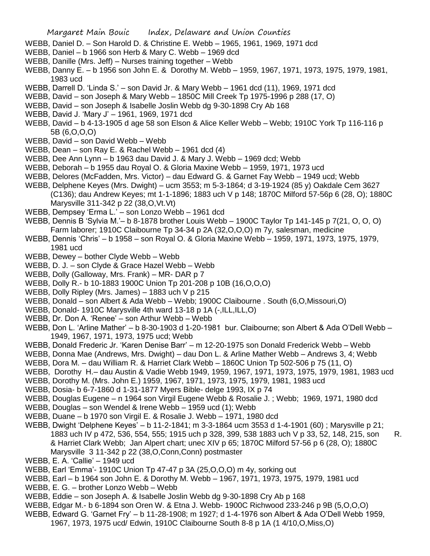- WEBB, Daniel D. Son Harold D. & Christine E. Webb 1965, 1961, 1969, 1971 dcd
- WEBB, Daniel b 1966 son Herb & Mary C. Webb 1969 dcd
- WEBB, Danille (Mrs. Jeff) Nurses training together Webb
- WEBB, Danny E. b 1956 son John E. & Dorothy M. Webb 1959, 1967, 1971, 1973, 1975, 1979, 1981, 1983 ucd
- WEBB, Darrell D. 'Linda S.' son David Jr. & Mary Webb 1961 dcd (11), 1969, 1971 dcd
- WEBB, David son Joseph & Mary Webb 1850C Mill Creek Tp 1975-1996 p 288 (17, O)
- WEBB, David son Joseph & Isabelle Joslin Webb dg 9-30-1898 Cry Ab 168
- WEBB, David J. 'Mary J' 1961, 1969, 1971 dcd
- WEBB, David b 4-13-1905 d age 58 son Elson & Alice Keller Webb Webb; 1910C York Tp 116-116 p 5B (6,O,O,O)
- WEBB, David son David Webb Webb
- WEBB, Dean son Ray E. & Rachel Webb 1961 dcd (4)
- WEBB, Dee Ann Lynn b 1963 dau David J. & Mary J. Webb 1969 dcd; Webb
- WEBB, Deborah b 1955 dau Royal O. & Gloria Maxine Webb 1959, 1971, 1973 ucd
- WEBB, Delores (McFadden, Mrs. Victor) dau Edward G. & Garnet Fay Webb 1949 ucd; Webb
- WEBB, Delphene Keyes (Mrs. Dwight) ucm 3553; m 5-3-1864; d 3-19-1924 (85 y) Oakdale Cem 3627 (C136); dau Andrew Keyes; mt 1-1-1896; 1883 uch V p 148; 1870C Milford 57-56p 6 (28, O); 1880C Marysville 311-342 p 22 (38,O,Vt.Vt)
- WEBB, Dempsey 'Erma L.' son Lonzo Webb 1961 dcd
- WEBB, Dennis B 'Sylvia M.'– b 8-1878 brother Louis Webb 1900C Taylor Tp 141-145 p 7(21, O, O, O) Farm laborer; 1910C Claibourne Tp 34-34 p 2A (32,O,O,O) m 7y, salesman, medicine
- WEBB, Dennis 'Chris' b 1958 son Royal O. & Gloria Maxine Webb 1959, 1971, 1973, 1975, 1979, 1981 ucd
- WEBB, Dewey bother Clyde Webb Webb
- WEBB, D. J. son Clyde & Grace Hazel Webb Webb
- WEBB, Dolly (Galloway, Mrs. Frank) MR- DAR p 7
- WEBB, Dolly R.- b 10-1883 1900C Union Tp 201-208 p 10B (16,O,O,O)
- WEBB, Dolly Ripley (Mrs. James) 1883 uch V p 215
- WEBB, Donald son Albert & Ada Webb Webb; 1900C Claibourne . South (6,O,Missouri,O)
- WEBB, Donald- 1910C Marysville 4th ward 13-18 p 1A (-, ILL, ILL, O)
- WEBB, Dr. Don A. 'Renee' son Arthur Webb Webb
- WEBB, Don L. 'Arline Mather' b 8-30-1903 d 1-20-1981 bur. Claibourne; son Albert & Ada O'Dell Webb 1949, 1967, 1971, 1973, 1975 ucd; Webb
- WEBB, Donald Frederic Jr. 'Karen Denise Barr' m 12-20-1975 son Donald Frederick Webb Webb
- WEBB, Donna Mae (Andrews, Mrs. Dwight) dau Don L. & Arline Mather Webb Andrews 3, 4; Webb
- WEBB, Dora M. dau William R. & Harriet Clark Webb 1860C Union Tp 502-506 p 75 (11, O)
- WEBB, Dorothy H.– dau Austin & Vadie Webb 1949, 1959, 1967, 1971, 1973, 1975, 1979, 1981, 1983 ucd
- WEBB, Dorothy M. (Mrs. John E.) 1959, 1967, 1971, 1973, 1975, 1979, 1981, 1983 ucd
- WEBB, Dosia- b 6-7-1860 d 1-31-1877 Myers Bible- delge 1993, IX p 74
- WEBB, Douglas Eugene n 1964 son Virgil Eugene Webb & Rosalie J. ; Webb; 1969, 1971, 1980 dcd
- WEBB, Douglas son Wendel & Irene Webb 1959 ucd (1); Webb
- WEBB, Duane b 1970 son Virgil E. & Rosalie J. Webb 1971, 1980 dcd
- WEBB, Dwight 'Delphene Keyes' b 11-2-1841; m 3-3-1864 ucm 3553 d 1-4-1901 (60) ; Marysville p 21; 1883 uch IV p 472, 536, 554, 555; 1915 uch p 328, 399, 538 1883 uch V p 33, 52, 148, 215, son R. & Harriet Clark Webb; Jan Alpert chart; unec XIV p 65; 1870C Milford 57-56 p 6 (28, O); 1880C Marysville 3 11-342 p 22 (38,O,Conn,Conn) postmaster
- WEBB, E. A. 'Callie' 1949 ucd
- WEBB, Earl 'Emma'- 1910C Union Tp 47-47 p 3A (25,O,O,O) m 4y, sorking out
- WEBB, Earl b 1964 son John E. & Dorothy M. Webb 1967, 1971, 1973, 1975, 1979, 1981 ucd
- WEBB, E. G. brother Lonzo Webb Webb
- WEBB, Eddie son Joseph A. & Isabelle Joslin Webb dg 9-30-1898 Cry Ab p 168
- WEBB, Edgar M.- b 6-1894 son Oren W. & Etna J. Webb- 1900C Richwood 233-246 p 9B (5,O,O,O)
- WEBB, Edward G. 'Garnet Fry' b 11-28-1908; m 1927; d 1-4-1976 son Albert & Ada O'Dell Webb 1959, 1967, 1973, 1975 ucd/ Edwin, 1910C Claibourne South 8-8 p 1A (1 4/10,O,Miss,O)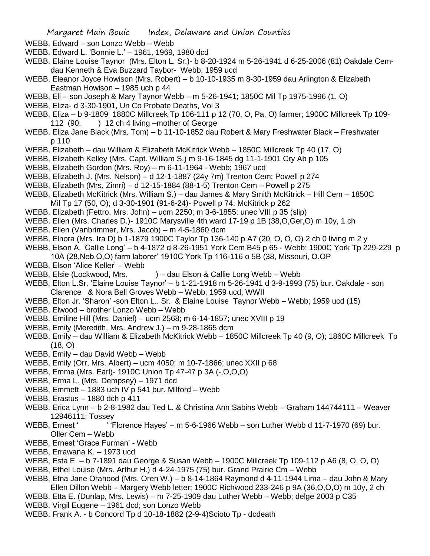WEBB, Edward – son Lonzo Webb – Webb

- WEBB, Edward L. 'Bonnie L.' 1961, 1969, 1980 dcd
- WEBB, Elaine Louise Taynor (Mrs. Elton L. Sr.)- b 8-20-1924 m 5-26-1941 d 6-25-2006 (81) Oakdale Cemdau Kenneth & Eva Buzzard Taybor- Webb; 1959 ucd
- WEBB, Eleanor Joyce Howison (Mrs. Robert) b 10-10-1935 m 8-30-1959 dau Arlington & Elizabeth Eastman Howison – 1985 uch p 44
- WEBB, Eli son Joseph & Mary Taynor Webb m 5-26-1941; 1850C Mil Tp 1975-1996 (1, O)
- WEBB, Eliza- d 3-30-1901, Un Co Probate Deaths, Vol 3
- WEBB, Eliza b 9-1809 1880C Millcreek Tp 106-111 p 12 (70, O, Pa, O) farmer; 1900C Millcreek Tp 109- 112 (90, ) 12 ch 4 living –mother of George
- WEBB, Eliza Jane Black (Mrs. Tom) b 11-10-1852 dau Robert & Mary Freshwater Black Freshwater p 110
- WEBB, Elizabeth dau William & Elizabeth McKitrick Webb 1850C Millcreek Tp 40 (17, O)
- WEBB, Elizabeth Kelley (Mrs. Capt. William S.) m 9-16-1845 dg 11-1-1901 Cry Ab p 105
- WEBB, Elizabeth Gordon (Mrs. Roy) m 6-11-1964 Webb; 1967 ucd
- WEBB, Elizabeth J. (Mrs. Nelson) d 12-1-1887 (24y 7m) Trenton Cem; Powell p 274
- WEBB, Elizabeth (Mrs. Zimri) d 12-15-1884 (88-1-5) Trenton Cem Powell p 275
- WEBB, Elizabeth McKitrick (Mrs. William S.) dau James & Mary Smith McKitrick Hill Cem 1850C Mil Tp 17 (50, O); d 3-30-1901 (91-6-24)- Powell p 74; McKitrick p 262
- WEBB, Elizabeth (Fettro, Mrs. John) ucm 2250; m 3-6-1855; unec VIII p 35 (slip)
- WEBB, Ellen (Mrs. Charles D.)- 1910C Marysville 4th ward 17-19 p 1B (38,O,Ger,O) m 10y, 1 ch
- WEBB, Ellen (Vanbrimmer, Mrs. Jacob) m 4-5-1860 dcm
- WEBB, Elnora (Mrs. Ira D) b 1-1879 1900C Taylor Tp 136-140 p A7 (20, O, O, O) 2 ch 0 living m 2 y
- WEBB, Elson A. 'Callie Long' b 4-1872 d 8-26-1951 York Cem B45 p 65 Webb; 1900C York Tp 229-229 p 10A (28,Neb,O,O) farm laborer' 1910C York Tp 116-116 o 5B (38, Missouri, O.OP
- WEBB, Elson 'Alice Keller' Webb
- WEBB, Elsie (Lockwood, Mrs. ) dau Elson & Callie Long Webb Webb
- WEBB, Elton L.Sr. 'Elaine Louise Taynor' b 1-21-1918 m 5-26-1941 d 3-9-1993 (75) bur. Oakdale son Clarence & Nora Bell Groves Webb – Webb; 1959 ucd; WWII
- WEBB, Elton Jr. 'Sharon' -son Elton L.. Sr. & Elaine Louise Taynor Webb Webb; 1959 ucd (15)
- WEBB, Elwood brother Lonzo Webb Webb
- WEBB, Emiline Hill (Mrs. Daniel) ucm 2568; m 6-14-1857; unec XVIII p 19
- WEBB, Emily (Meredith, Mrs. Andrew J.) m 9-28-1865 dcm
- WEBB, Emily dau William & Elizabeth McKitrick Webb 1850C Millcreek Tp 40 (9, O); 1860C Millcreek Tp (18, O)
- WEBB, Emily dau David Webb Webb
- WEBB, Emily (Orr, Mrs. Albert) ucm 4050; m 10-7-1866; unec XXII p 68
- WEBB, Emma (Mrs. Earl)- 1910C Union Tp 47-47 p 3A (-,O,O,O)
- WEBB, Erma L. (Mrs. Dempsey) 1971 dcd
- WEBB, Emmett 1883 uch IV p 541 bur. Milford Webb
- WEBB, Erastus 1880 dch p 411
- WEBB, Erica Lynn b 2-8-1982 dau Ted L. & Christina Ann Sabins Webb Graham 144744111 Weaver 12946111; Tossey
- WEBB, Ernest ' ''Florence Hayes' m 5-6-1966 Webb son Luther Webb d 11-7-1970 (69) bur. Oller Cem – Webb
- WEBB, Ernest 'Grace Furman' Webb
- WEBB, Errawana K. 1973 ucd
- WEBB, Esta E. b 7-1891 dau George & Susan Webb 1900C Millcreek Tp 109-112 p A6 (8, O, O, O)
- WEBB, Ethel Louise (Mrs. Arthur H.) d 4-24-1975 (75) bur. Grand Prairie Cm Webb
- WEBB, Etna Jane Orahood (Mrs. Oren W.) b 8-14-1864 Raymond d 4-11-1944 Lima dau John & Mary Ellen Dillon Webb – Margery Webb letter; 1900C Richwood 233-246 p 9A (36,O,O,O) m 10y, 2 ch
- WEBB, Etta E. (Dunlap, Mrs. Lewis) m 7-25-1909 dau Luther Webb Webb; delge 2003 p C35
- WEBB, Virgil Eugene 1961 dcd; son Lonzo Webb
- WEBB, Frank A. b Concord Tp d 10-18-1882 (2-9-4)Scioto Tp dcdeath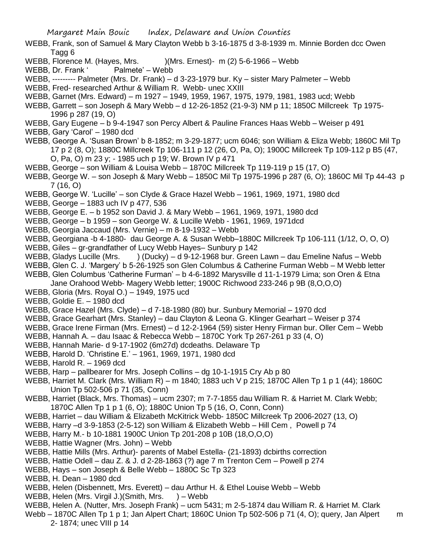- WEBB, Frank, son of Samuel & Mary Clayton Webb b 3-16-1875 d 3-8-1939 m. Minnie Borden dcc Owen Tagg 6
- WEBB, Florence M. (Hayes, Mrs. )(Mrs. Ernest)- m (2) 5-6-1966 Webb
- WEBB, Dr. Frank ' Palmete' Webb
- WEBB, --------- Palmeter (Mrs. Dr. Frank) d 3-23-1979 bur. Ky sister Mary Palmeter Webb
- WEBB, Fred- researched Arthur & William R. Webb- unec XXIII
- WEBB, Garnet (Mrs. Edward) m 1927 1949, 1959, 1967, 1975, 1979, 1981, 1983 ucd; Webb
- WEBB, Garrett son Joseph & Mary Webb d 12-26-1852 (21-9-3) NM p 11; 1850C Millcreek Tp 1975- 1996 p 287 (19, O)
- WEBB, Gary Eugene b 9-4-1947 son Percy Albert & Pauline Frances Haas Webb Weiser p 491
- WEBB, Gary 'Carol' 1980 dcd
- WEBB, George A. 'Susan Brown' b 8-1852; m 3-29-1877; ucm 6046; son William & Eliza Webb; 1860C Mil Tp 17 p 2 (8, O); 1880C Millcreek Tp 106-111 p 12 (26, O, Pa, O); 1900C Millcreek Tp 109-112 p B5 (47, O, Pa, O) m 23 y; - 1985 uch p 19; W. Brown IV p 471
- WEBB, George son William & Louisa Webb 1870C Millcreek Tp 119-119 p 15 (17, O)
- WEBB, George W. son Joseph & Mary Webb 1850C Mil Tp 1975-1996 p 287 (6, O); 1860C Mil Tp 44-43 p 7 (16, O)
- WEBB, George W. 'Lucille' son Clyde & Grace Hazel Webb 1961, 1969, 1971, 1980 dcd
- WEBB, George 1883 uch IV p 477, 536
- WEBB, George E. b 1952 son David J. & Mary Webb 1961, 1969, 1971, 1980 dcd
- WEBB, George b 1959 son George W. & Lucille Webb 1961, 1969, 1971dcd
- WEBB, Georgia Jaccaud (Mrs. Vernie) m 8-19-1932 Webb
- WEBB, Georgiana -b 4-1880- dau George A. & Susan Webb–1880C Millcreek Tp 106-111 (1/12, O, O, O)
- WEBB, Giles gr-grandfather of Lucy Webb Hayes– Sunbury p 142
- WEBB, Gladys Lucille (Mrs. ) (Ducky) d 9-12-1968 bur. Green Lawn dau Emeline Nafus Webb
- WEBB, Glen C. J. 'Margery' b 5-26-1925 son Glen Columbus & Catherine Furman Webb M Webb letter
- WEBB, Glen Columbus 'Catherine Furman' b 4-6-1892 Marysville d 11-1-1979 Lima; son Oren & Etna
	- Jane Orahood Webb- Magery Webb letter; 1900C Richwood 233-246 p 9B (8,O,O,O)
- WEBB, Gloria (Mrs. Royal O.) 1949, 1975 ucd
- WEBB, Goldie E. 1980 dcd
- WEBB, Grace Hazel (Mrs. Clyde) d 7-18-1980 (80) bur. Sunbury Memorial 1970 dcd
- WEBB, Grace Gearhart (Mrs. Stanley) dau Clayton & Leona G. Klinger Gearhart Weiser p 374
- WEBB, Grace Irene Firman (Mrs. Ernest) d 12-2-1964 (59) sister Henry Firman bur. Oller Cem Webb
- WEBB, Hannah A. dau Isaac & Rebecca Webb 1870C York Tp 267-261 p 33 (4, O)
- WEBB, Hannah Marie- d 9-17-1902 (6m27d) dcdeaths. Delaware Tp
- WEBB, Harold D. 'Christine E.' 1961, 1969, 1971, 1980 dcd
- WEBB, Harold R. 1969 dcd
- WEBB, Harp pallbearer for Mrs. Joseph Collins dg 10-1-1915 Cry Ab p 80
- WEBB, Harriet M. Clark (Mrs. William R) m 1840; 1883 uch V p 215; 1870C Allen Tp 1 p 1 (44); 1860C Union Tp 502-506 p 71 (35, Conn)
- WEBB, Harriet (Black, Mrs. Thomas) ucm 2307; m 7-7-1855 dau William R. & Harriet M. Clark Webb; 1870C Allen Tp 1 p 1 (6, O); 1880C Union Tp 5 (16, O, Conn, Conn)
- WEBB, Harriet dau William & Elizabeth McKitrick Webb- 1850C Millcreek Tp 2006-2027 (13, O)
- WEBB, Harry –d 3-9-1853 (2-5-12) son William & Elizabeth Webb Hill Cem , Powell p 74
- WEBB, Harry M.- b 10-1881 1900C Union Tp 201-208 p 10B (18,O,O,O)
- WEBB, Hattie Wagner (Mrs. John) Webb
- WEBB, Hattie Mills (Mrs. Arthur)- parents of Mabel Estella- (21-1893) dcbirths correction
- WEBB, Hattie Odell dau Z. & J. d 2-28-1863 (?) age 7 m Trenton Cem Powell p 274
- WEBB, Hays son Joseph & Belle Webb 1880C Sc Tp 323
- WEBB, H. Dean 1980 dcd
- WEBB, Helen (Disbennett, Mrs. Everett) dau Arthur H. & Ethel Louise Webb Webb
- WEBB, Helen (Mrs. Virgil J.) (Smith, Mrs. ) Webb
- WEBB, Helen A. (Nutter, Mrs. Joseph Frank) ucm 5431; m 2-5-1874 dau William R. & Harriet M. Clark
- Webb 1870C Allen Tp 1 p 1; Jan Alpert Chart; 1860C Union Tp 502-506 p 71 (4, O); query, Jan Alpert m 2- 1874; unec VIII p 14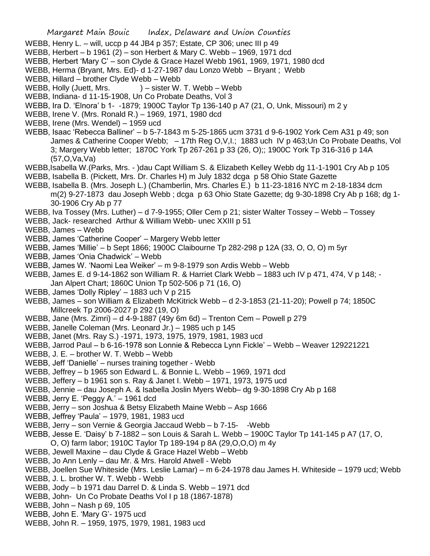- WEBB, Henry L. will, uccp p 44 JB4 p 357; Estate, CP 306; unec III p 49
- WEBB, Herbert b 1961 (2) son Herbert & Mary C. Webb 1969, 1971 dcd
- WEBB, Herbert 'Mary C' son Clyde & Grace Hazel Webb 1961, 1969, 1971, 1980 dcd
- WEBB, Herma (Bryant, Mrs. Ed)- d 1-27-1987 dau Lonzo Webb Bryant ; Webb
- WEBB, Hillard brother Clyde Webb Webb
- WEBB, Holly (Juett, Mrs. ) sister W. T. Webb Webb
- WEBB, Indiana- d 11-15-1908, Un Co Probate Deaths, Vol 3
- WEBB, Ira D. 'Elnora' b 1- -1879; 1900C Taylor Tp 136-140 p A7 (21, O, Unk, Missouri) m 2 y
- WEBB, Irene V. (Mrs. Ronald R.) 1969, 1971, 1980 dcd
- WEBB, Irene (Mrs. Wendel) 1959 ucd
- WEBB, Isaac 'Rebecca Balliner' b 5-7-1843 m 5-25-1865 ucm 3731 d 9-6-1902 York Cem A31 p 49; son James & Catherine Cooper Webb; – 17th Reg O,V,I.; 1883 uch IV p 463;Un Co Probate Deaths, Vol 3; Margery Webb letter; 1870C York Tp 267-261 p 33 (26, O);; 1900C York Tp 316-316 p 14A (57,O,Va,Va)
- WEBB,Isabella W.(Parks, Mrs. )dau Capt William S. & Elizabeth Kelley Webb dg 11-1-1901 Cry Ab p 105
- WEBB, Isabella B. (Pickett, Mrs. Dr. Charles H) m July 1832 dcga p 58 Ohio State Gazette
- WEBB, Isabella B. (Mrs. Joseph L.) (Chamberlin, Mrs. Charles E.) b 11-23-1816 NYC m 2-18-1834 dcm m(2) 9-27-1873 dau Joseph Webb ; dcga p 63 Ohio State Gazette; dg 9-30-1898 Cry Ab p 168; dg 1- 30-1906 Cry Ab p 77

WEBB, Iva Tossey (Mrs. Luther) – d 7-9-1955; Oller Cem p 21; sister Walter Tossey – Webb – Tossey

- WEBB, Jack- researched Arthur & William Webb- unec XXIII p 51
- WEBB, James Webb
- WEBB, James 'Catherine Cooper' Margery Webb letter
- WEBB, James 'Millie' b Sept 1866; 1900C Claibourne Tp 282-298 p 12A (33, O, O, O) m 5yr
- WEBB, James 'Onia Chadwick' Webb
- WEBB, James W. 'Naomi Lea Weiker' m 9-8-1979 son Ardis Webb Webb
- WEBB, James E. d 9-14-1862 son William R. & Harriet Clark Webb 1883 uch IV p 471, 474, V p 148; -Jan Alpert Chart; 1860C Union Tp 502-506 p 71 (16, O)
- WEBB, James 'Dolly Ripley' 1883 uch V p 215
- WEBB, James son William & Elizabeth McKitrick Webb d 2-3-1853 (21-11-20); Powell p 74; 1850C Millcreek Tp 2006-2027 p 292 (19, O)
- WEBB, Jane (Mrs. Zimri) d 4-9-1887 (49y 6m 6d) Trenton Cem Powell p 279
- WEBB, Janelle Coleman (Mrs. Leonard Jr.) 1985 uch p 145
- WEBB, Janet (Mrs. Ray S.) -1971, 1973, 1975, 1979, 1981, 1983 ucd
- WEBB, Jarrod Paul b 6-16-1978 son Lonnie & Rebecca Lynn Fickle' Webb Weaver 129221221
- WEBB, J. E. brother W. T. Webb Webb
- WEBB, Jeff 'Danielle' nurses training together Webb
- WEBB, Jeffrey b 1965 son Edward L. & Bonnie L. Webb 1969, 1971 dcd
- WEBB, Jeffery b 1961 son s. Ray & Janet I. Webb 1971, 1973, 1975 ucd
- WEBB, Jennie dau Joseph A. & Isabella Joslin Myers Webb– dg 9-30-1898 Cry Ab p 168
- WEBB, Jerry E. 'Peggy A.' 1961 dcd
- WEBB, Jerry son Joshua & Betsy Elizabeth Maine Webb Asp 1666
- WEBB, Jeffrey 'Paula' 1979, 1981, 1983 ucd
- WEBB, Jerry son Vernie & Georgia Jaccaud Webb b 7-15- -Webb
- WEBB, Jesse E. 'Daisy' b 7-1882 son Louis & Sarah L. Webb 1900C Taylor Tp 141-145 p A7 (17, O, O, O) farm labor; 1910C Taylor Tp 189-194 p 8A (29,O,O,O) m 4y
- WEBB, Jewell Maxine dau Clyde & Grace Hazel Webb Webb
- WEBB, Jo Ann Lenly dau Mr. & Mrs. Harold Atwell Webb
- WEBB, Joellen Sue Whiteside (Mrs. Leslie Lamar) m 6-24-1978 dau James H. Whiteside 1979 ucd; Webb
- WEBB, J. L. brother W. T. Webb Webb
- WEBB, Jody b 1971 dau Darrel D. & Linda S. Webb 1971 dcd
- WEBB, John- Un Co Probate Deaths Vol I p 18 (1867-1878)
- WEBB, John Nash p 69, 105
- WEBB, John E. 'Mary G'- 1975 ucd
- WEBB, John R. 1959, 1975, 1979, 1981, 1983 ucd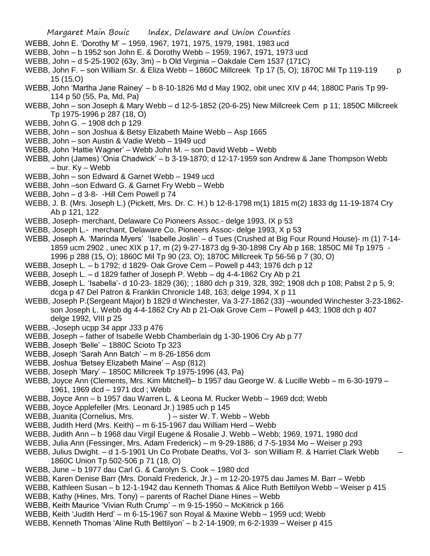- WEBB, John E. 'Dorothy M' 1959, 1967, 1971, 1975, 1979, 1981, 1983 ucd
- WEBB, John b 1952 son John E. & Dorothy Webb 1959, 1967, 1971, 1973 ucd
- WEBB, John d 5-25-1902 (63y, 3m) b Old Virginia Oakdale Cem 1537 (171C)
- WEBB, John F. son William Sr. & Eliza Webb 1860C Millcreek Tp 17 (5, O); 1870C Mil Tp 119-119 p 15 (15,O)
- WEBB, John 'Martha Jane Rainey' b 8-10-1826 Md d May 1902, obit unec XIV p 44; 1880C Paris Tp 99- 114 p 50 (55, Pa, Md, Pa)
- WEBB, John son Joseph & Mary Webb d 12-5-1852 (20-6-25) New Millcreek Cem p 11; 1850C Millcreek Tp 1975-1996 p 287 (18, O)
- WEBB, John G. 1908 dch p 129
- WEBB, John son Joshua & Betsy Elizabeth Maine Webb Asp 1665
- WEBB, John son Austin & Vadie Webb 1949 ucd
- WEBB, John 'Hattie Wagner' Webb John M. son David Webb Webb
- WEBB, John (James) 'Onia Chadwick' b 3-19-1870; d 12-17-1959 son Andrew & Jane Thompson Webb – bur. Ky – Webb
- WEBB, John son Edward & Garnet Webb 1949 ucd
- WEBB, John –son Edward G. & Garnet Fry Webb Webb
- WEBB, John d 3-8- -Hill Cem Powell p 74
- WEBB, J. B. (Mrs. Joseph L.) (Pickett, Mrs. Dr. C. H.) b 12-8-1798 m(1) 1815 m(2) 1833 dg 11-19-1874 Cry Ab p 121, 122
- WEBB, Joseph- merchant, Delaware Co Pioneers Assoc.- delge 1993, IX p 53
- WEBB, Joseph L.- merchant, Delaware Co. Pioneers Assoc- delge 1993, X p 53
- WEBB, Joseph A. 'Marinda Myers' 'Isabelle Joslin' d Tues (Crushed at Big Four Round House)- m (1) 7-14- 1859 ucm 2902 , unec XIX p 17, m (2) 9-27-1873 dg 9-30-1898 Cry Ab p 168; 1850C Mil Tp 1975 - 1996 p 288 (15, O); 1860C Mil Tp 90 (23, O); 1870C Millcreek Tp 56-56 p 7 (30, O)
- WEBB, Joseph L. b 1792; d 1829- Oak Grove Cem Powell p 443; 1976 dch p 12
- WEBB, Joseph L. d 1829 father of Joseph P. Webb dg 4-4-1862 Cry Ab p 21
- WEBB, Joseph L. 'Isabella'- d 10-23- 1829 (36); ; 1880 dch p 319, 328, 392; 1908 dch p 108; Pabst 2 p 5, 9; dcga p 47 Del Patron & Franklin Chronicle 148, 163; delge 1994, X p 11
- WEBB, Joseph P.(Sergeant Major) b 1829 d Winchester, Va 3-27-1862 (33) –wounded Winchester 3-23-1862 son Joseph L. Webb dg 4-4-1862 Cry Ab p 21-Oak Grove Cem – Powell p 443; 1908 dch p 407 delge 1992, VIII p 25
- WEBB, -Joseph ucpp 34 appr J33 p 476
- WEBB, Joseph father of Isabelle Webb Chamberlain dg 1-30-1906 Cry Ab p 77
- WEBB, Joseph 'Belle' 1880C Scioto Tp 323
- WEBB, Joseph 'Sarah Ann Batch' m 8-26-1856 dcm
- WEBB, Joshua 'Betsey Elizabeth Maine' Asp (812)
- WEBB, Joseph 'Mary' 1850C Millcreek Tp 1975-1996 (43, Pa)
- WEBB, Joyce Ann (Clements, Mrs. Kim Mitchell)– b 1957 dau George W. & Lucille Webb m 6-30-1979 1961, 1969 dcd – 1971 dcd ; Webb
- WEBB, Joyce Ann b 1957 dau Warren L. & Leona M. Rucker Webb 1969 dcd; Webb
- WEBB, Joyce Applefeller (Mrs. Leonard Jr.) 1985 uch p 145
- WEBB, Juanita (Cornelius, Mrs. ) sister W. T. Webb Webb
- WEBB, Judith Herd (Mrs. Keith) m 6-15-1967 dau William Herd Webb
- WEBB, Judith Ann b 1968 dau Virgil Eugene & Rosalie J. Webb Webb; 1969, 1971, 1980 dcd
- WEBB, Julia Ann (Fessinger, Mrs. Adam Frederick) m 9-29-1886; d 7-5-1934 Mo Weiser p 293
- WEBB, Julius Dwight. d 1-5-1901 Un Co Probate Deaths, Vol 3- son William R. & Harriet Clark Webb 1860C Union Tp 502-506 p 71 (18, O)
- WEBB, June b 1977 dau Carl G. & Carolyn S. Cook 1980 dcd
- WEBB, Karen Denise Barr (Mrs. Donald Frederick, Jr.) m 12-20-1975 dau James M. Barr Webb
- WEBB, Kathleen Susan b 12-1-1942 dau Kenneth Thomas & Alice Ruth Bettilyon Webb Weiser p 415
- WEBB, Kathy (Hines, Mrs. Tony) parents of Rachel Diane Hines Webb
- WEBB, Keith Maurice 'Vivian Ruth Crump' m 9-15-1950 McKitrick p 166
- WEBB, Keith 'Judith Herd' m 6-15-1967 son Royal & Maxine Webb 1959 ucd; Webb
- WEBB, Kenneth Thomas 'Aline Ruth Bettilyon' b 2-14-1909; m 6-2-1939 Weiser p 415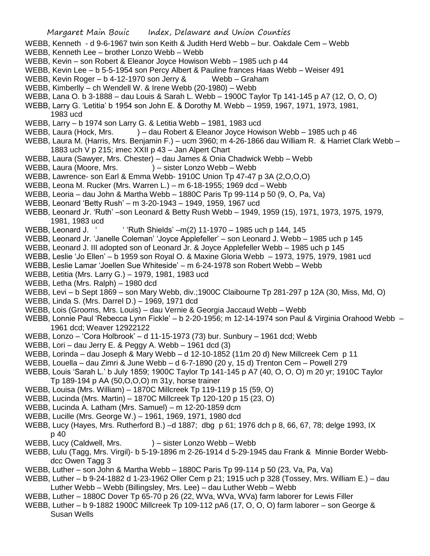WEBB, Kenneth - d 9-6-1967 twin son Keith & Judith Herd Webb – bur. Oakdale Cem – Webb WEBB, Kenneth Lee – brother Lonzo Webb – Webb WEBB, Kevin – son Robert & Eleanor Joyce Howison Webb – 1985 uch p 44 WEBB, Kevin Lee – b 5-5-1954 son Percy Albert & Pauline frances Haas Webb – Weiser 491 WEBB, Kevin Roger – b 4-12-1970 son Jerry & Webb – Graham WEBB, Kimberlly – ch Wendell W. & Irene Webb (20-1980) – Webb WEBB, Lana O. b 3-1888 – dau Louis & Sarah L. Webb – 1900C Taylor Tp 141-145 p A7 (12, O, O, O) WEBB, Larry G. 'Letitia' b 1954 son John E. & Dorothy M. Webb – 1959, 1967, 1971, 1973, 1981, 1983 ucd WEBB, Larry – b 1974 son Larry G. & Letitia Webb – 1981, 1983 ucd WEBB, Laura (Hock, Mrs. ) – dau Robert & Eleanor Joyce Howison Webb – 1985 uch p 46 WEBB, Laura M. (Harris, Mrs. Benjamin F.) – ucm 3960; m 4-26-1866 dau William R. & Harriet Clark Webb – 1883 uch V p 215; imec XXII p 43 – Jan Alpert Chart WEBB, Laura (Sawyer, Mrs. Chester) – dau James & Onia Chadwick Webb – Webb WEBB, Laura (Moore, Mrs. ) – sister Lonzo Webb – Webb WEBB, Lawrence- son Earl & Emma Webb- 1910C Union Tp 47-47 p 3A (2,O,O,O) WEBB, Leona M. Rucker (Mrs. Warren L.) – m 6-18-1955; 1969 dcd – Webb WEBB, Leoria – dau John & Martha Webb – 1880C Paris Tp 99-114 p 50 (9, O, Pa, Va) WEBB, Leonard 'Betty Rush' – m 3-20-1943 – 1949, 1959, 1967 ucd WEBB, Leonard Jr. 'Ruth' –son Leonard & Betty Rush Webb – 1949, 1959 (15), 1971, 1973, 1975, 1979, 1981, 1983 ucd WEBB, Leonard J. ' ' 'Ruth Shields' –m(2) 11-1970 – 1985 uch p 144, 145 WEBB, Leonard Jr. 'Janelle Coleman' 'Joyce Applefeller' – son Leonard J. Webb – 1985 uch p 145 WEBB, Leonard J. III adopted son of Leonard Jr. & Joyce Applefeller Webb – 1985 uch p 145 WEBB, Leslie 'Jo Ellen' – b 1959 son Royal O. & Maxine Gloria Webb – 1973, 1975, 1979, 1981 ucd WEBB, Leslie Lamar 'Joellen Sue Whiteside' – m 6-24-1978 son Robert Webb – Webb WEBB, Letitia (Mrs. Larry G.) – 1979, 1981, 1983 ucd WEBB, Letha (Mrs. Ralph) – 1980 dcd WEBB, Levi – b Sept 1869 – son Mary Webb, div.;1900C Claibourne Tp 281-297 p 12A (30, Miss, Md, O) WEBB, Linda S. (Mrs. Darrel D.) – 1969, 1971 dcd WEBB, Lois (Grooms, Mrs. Louis) – dau Vernie & Georgia Jaccaud Webb – Webb WEBB, Lonnie Paul 'Rebecca Lynn Fickle' – b 2-20-1956; m 12-14-1974 son Paul & Virginia Orahood Webb – 1961 dcd; Weaver 12922122 WEBB, Lonzo – 'Cora Holbrook' – d 11-15-1973 (73) bur. Sunbury – 1961 dcd; Webb WEBB, Lori – dau Jerry E. & Peggy A. Webb – 1961 dcd (3) WEBB, Lorinda – dau Joseph & Mary Webb – d 12-10-1852 (11m 20 d) New Millcreek Cem p 11 WEBB, Louella – dau Zimri & June Webb – d 6-7-1890 (20 y, 15 d) Trenton Cem – Powell 279 WEBB, Louis 'Sarah L.' b July 1859; 1900C Taylor Tp 141-145 p A7 (40, O, O, O) m 20 yr; 1910C Taylor Tp 189-194 p AA (50,O,O,O) m 31y, horse trainer WEBB, Louisa (Mrs. William) – 1870C Millcreek Tp 119-119 p 15 (59, O) WEBB, Lucinda (Mrs. Martin) – 1870C Millcreek Tp 120-120 p 15 (23, O) WEBB, Lucinda A. Latham (Mrs. Samuel) – m 12-20-1859 dcm WEBB, Lucille (Mrs. George W.) – 1961, 1969, 1971, 1980 dcd WEBB, Lucy (Hayes, Mrs. Rutherford B.) –d 1887; dbg p 61; 1976 dch p 8, 66, 67, 78; delge 1993, IX p 40 WEBB, Lucy (Caldwell, Mrs. ) – sister Lonzo Webb – Webb WEBB, Lulu (Tagg, Mrs. Virgil)- b 5-19-1896 m 2-26-1914 d 5-29-1945 dau Frank & Minnie Border Webbdcc Owen Tagg 3 WEBB, Luther – son John & Martha Webb – 1880C Paris Tp 99-114 p 50 (23, Va, Pa, Va) WEBB, Luther – b 9-24-1882 d 1-23-1962 Oller Cem p 21; 1915 uch p 328 (Tossey, Mrs. William E.) – dau Luther Webb – Webb (Billingsley, Mrs. Lee) – dau Luther Webb – Webb

- WEBB, Luther 1880C Dover Tp 65-70 p 26 (22, WVa, WVa, WVa) farm laborer for Lewis Filler
- WEBB, Luther b 9-1882 1900C Millcreek Tp 109-112 pA6 (17, O, O, O) farm laborer son George & Susan Wells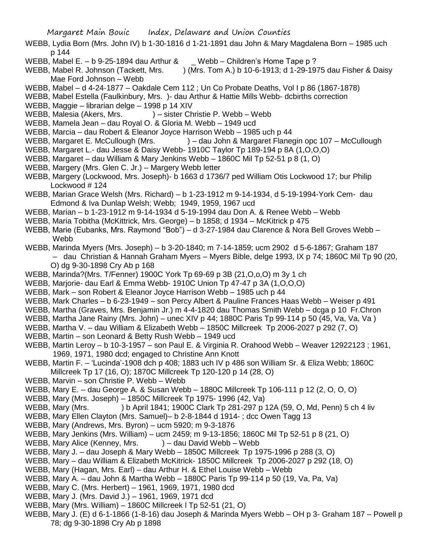- WEBB, Lydia Born (Mrs. John IV) b 1-30-1816 d 1-21-1891 dau John & Mary Magdalena Born 1985 uch p 144
- WEBB, Mabel E. b 9-25-1894 dau Arthur & \_ Webb Children's Home Tape p ?
- WEBB, Mabel R. Johnson (Tackett, Mrs. ) (Mrs. Tom A.) b 10-6-1913; d 1-29-1975 dau Fisher & Daisy Mae Ford Johnson – Webb
- WEBB, Mabel d 4-24-1877 Oakdale Cem 112 ; Un Co Probate Deaths, Vol I p 86 (1867-1878)
- WEBB, Mabel Estella (Faulkinbury, Mrs. )- dau Arthur & Hattie Mills Webb- dcbirths correction
- WEBB, Maggie librarian delge 1998 p 14 XIV
- WEBB, Malesia (Akers, Mrs. ) sister Christie P. Webb Webb
- WEBB, Mamela Jean dau Royal O. & Gloria M. Webb 1949 ucd
- WEBB, Marcia dau Robert & Eleanor Joyce Harrison Webb 1985 uch p 44
- WEBB, Margaret E. McCullough (Mrs. ) dau John & Margaret Flanegin opc 107 McCullough
- WEBB, Margaret L.- dau Jesse & Daisy Webb- 1910C Taylor Tp 189-194 p 8A (1,O,O,O)
- WEBB, Margaret dau William & Mary Jenkins Webb 1860C Mil Tp 52-51 p 8 (1, O)
- WEBB, Margery (Mrs. Glen C. Jr.) Margery Webb letter
- WEBB, Margery (Lockwood, Mrs. Joseph)- b 1663 d 1736/7 ped William Otis Lockwood 17; bur Philip Lockwood # 124
- WEBB, Marian Grace Welsh (Mrs. Richard) b 1-23-1912 m 9-14-1934, d 5-19-1994-York Cem- dau Edmond & Iva Dunlap Welsh; Webb; 1949, 1959, 1967 ucd
- WEBB, Marian b 1-23-1912 m 9-14-1934 d 5-19-1994 dau Don A. & Renee Webb Webb
- WEBB, Maria Tobitha (McKittrick, Mrs. George) b 1858; d 1934 McKitrick p 475
- WEBB, Marie (Eubanks, Mrs. Raymond "Bob") d 3-27-1984 dau Clarence & Nora Bell Groves Webb Webb
- WEBB, Marinda Myers (Mrs. Joseph) b 3-20-1840; m 7-14-1859; ucm 2902 d 5-6-1867; Graham 187 – dau Christian & Hannah Graham Myers – Myers Bible, delge 1993, IX p 74; 1860C Mil Tp 90 (20, O) dg 9-30-1898 Cry Ab p 168
- WEBB, Marinda?(Mrs. T/Fenner) 1900C York Tp 69-69 p 3B (21,O,o,O) m 3y 1 ch
- WEBB, Marjorie- dau Earl & Emma Webb- 1910C Union Tp 47-47 p 3A (1,O,O,O)
- WEBB, Mark son Robert & Eleanor Joyce Harrison Webb 1985 uch p 44
- WEBB, Mark Charles b 6-23-1949 son Percy Albert & Pauline Frances Haas Webb Weiser p 491
- WEBB, Martha (Graves, Mrs. Benjamin Jr.) m 4-4-1820 dau Thomas Smith Webb dcga p 10 Fr.Chron
- WEBB, Martha Jane Rainy (Mrs. John) unec XIV p 44; 1880C Paris Tp 99-114 p 50 (45, Va, Va, Va )
- WEBB, Martha V. dau William & Elizabeth Webb 1850C Millcreek Tp 2006-2027 p 292 (7, O)
- WEBB, Martin son Leonard & Betty Rush Webb 1949 ucd
- WEBB, Martin Leroy b 10-3-1957 son Paul E. & Virginia R. Orahood Webb Weaver 12922123 ; 1961, 1969, 1971, 1980 dcd; engaged to Christine Ann Knott
- WEBB, Martin F. 'Lucinda'-1908 dch p 408; 1883 uch IV p 486 son William Sr. & Eliza Webb; 1860C Millcreek Tp 17 (16, O); 1870C Millcreek Tp 120-120 p 14 (28, O)
- WEBB, Marvin son Christie P. Webb Webb
- WEBB, Mary E. dau George A. & Susan Webb 1880C Millcreek Tp 106-111 p 12 (2, O, O, O)
- WEBB, Mary (Mrs. Joseph) 1850C Millcreek Tp 1975- 1996 (42, Va)
- WEBB, Mary (Mrs. ) b April 1841; 1900C Clark Tp 281-297 p 12A (59, O, Md, Penn) 5 ch 4 liv
- WEBB, Mary Ellen Clayton (Mrs. Samuel)– b 2-8-1844 d 1914- ; dcc Owen Tagg 13
- WEBB, Mary (Andrews, Mrs. Byron) ucm 5920; m 9-3-1876
- WEBB, Mary Jenkins (Mrs. William) ucm 2459; m 9-13-1856; 1860C Mil Tp 52-51 p 8 (21, O)
- WEBB, Mary Alice (Kenney, Mrs. ) dau David Webb Webb
- WEBB, Mary J. dau Joseph & Mary Webb 1850C Millcreek Tp 1975-1996 p 288 (3, O)
- WEBB, Mary dau William & Elizabeth McKitrick- 1850C Millcreek Tp 2006-2027 p 292 (18, O)
- WEBB, Mary (Hagan, Mrs. Earl) dau Arthur H. & Ethel Louise Webb Webb
- WEBB, Mary A. dau John & Martha Webb 1880C Paris Tp 99-114 p 50 (19, Va, Pa, Va)
- WEBB, Mary C. (Mrs. Herbert) 1961, 1969, 1971, 1980 dcd
- WEBB, Mary J. (Mrs. David J.) 1961, 1969, 1971 dcd
- WEBB, Mary (Mrs. William) 1860C Millcreek l Tp 52-51 (21, O)
- WEBB, Mary J. (E) d 6-1-1866 (1-8-16) dau Joseph & Marinda Myers Webb OH p 3- Graham 187 Powell p 78; dg 9-30-1898 Cry Ab p 1898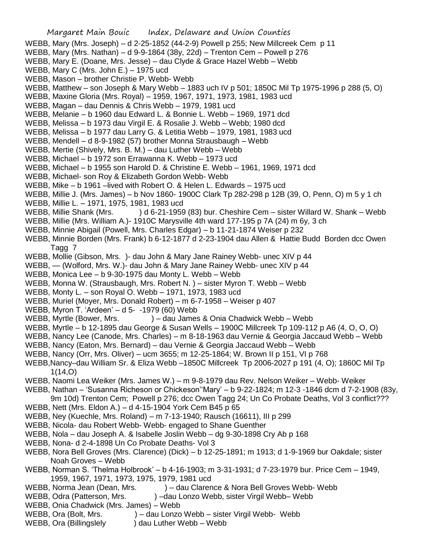Margaret Main Bouic Index, Delaware and Union Counties WEBB, Mary (Mrs. Joseph) – d 2-25-1852 (44-2-9) Powell p 255; New Millcreek Cem p 11 WEBB, Mary (Mrs. Nathan) – d 9-9-1864 (38y, 22d) – Trenton Cem – Powell p 276 WEBB, Mary E. (Doane, Mrs. Jesse) – dau Clyde & Grace Hazel Webb – Webb WEBB, Mary C (Mrs. John E.) – 1975 ucd WEBB, Mason – brother Christie P. Webb- Webb WEBB, Matthew – son Joseph & Mary Webb – 1883 uch IV p 501; 1850C Mil Tp 1975-1996 p 288 (5, O) WEBB, Maxine Gloria (Mrs. Royal) – 1959, 1967, 1971, 1973, 1981, 1983 ucd WEBB, Magan – dau Dennis & Chris Webb – 1979, 1981 ucd WEBB, Melanie – b 1960 dau Edward L. & Bonnie L. Webb – 1969, 1971 dcd WEBB, Melissa – b 1973 dau Virgil E. & Rosalie J. Webb – Webb; 1980 dcd WEBB, Melissa – b 1977 dau Larry G. & Letitia Webb – 1979, 1981, 1983 ucd WEBB, Mendell – d 8-9-1982 (57) brother Monna Strausbaugh – Webb WEBB, Mertie (Shively, Mrs. B. M.) – dau Luther Webb – Webb WEBB, Michael – b 1972 son Errawanna K. Webb – 1973 ucd WEBB, Michael – b 1955 son Harold D. & Christine E. Webb – 1961, 1969, 1971 dcd WEBB, Michael- son Roy & Elizabeth Gordon Webb- Webb WEBB, Mike – b 1961 –lived with Robert O. & Helen L. Edwards – 1975 ucd WEBB, Millie J. (Mrs. James) – b Nov 1860- 1900C Clark Tp 282-298 p 12B (39, O, Penn, O) m 5 y 1 ch WEBB, Millie L. – 1971, 1975, 1981, 1983 ucd WEBB, Millie Shank (Mrs. ) d 6-21-1959 (83) bur. Cheshire Cem – sister Willard W. Shank – Webb WEBB, Millie (Mrs. William A.)- 1910C Marysville 4th ward 177-195 p 7A (24) m 6y, 3 ch WEBB, Minnie Abigail (Powell, Mrs. Charles Edgar) – b 11-21-1874 Weiser p 232 WEBB, Minnie Borden (Mrs. Frank) b 6-12-1877 d 2-23-1904 dau Allen & Hattie Budd Borden dcc Owen Tagg 7 WEBB, Mollie (Gibson, Mrs. )- dau John & Mary Jane Rainey Webb- unec XIV p 44 WEBB, — (Wolford, Mrs. W.)- dau John & Mary Jane Rainey Webb- unec XIV p 44 WEBB, Monica Lee – b 9-30-1975 dau Monty L. Webb – Webb WEBB, Monna W. (Strausbaugh, Mrs. Robert N. ) – sister Myron T. Webb – Webb WEBB, Monty L. – son Royal O. Webb – 1971, 1973, 1983 ucd WEBB, Muriel (Moyer, Mrs. Donald Robert) – m 6-7-1958 – Weiser p 407 WEBB, Myron T. 'Ardeen' – d 5- -1979 (60) Webb WEBB, Myrtle (Bower, Mrs. ) – dau James & Onia Chadwick Webb – Webb WEBB, Myrtle – b 12-1895 dau George & Susan Wells – 1900C Millcreek Tp 109-112 p A6 (4, O, O, O) WEBB, Nancy Lee (Canode, Mrs. Charles) – m 8-18-1963 dau Vernie & Georgia Jaccaud Webb – Webb WEBB, Nancy (Eaton, Mrs. Bernard) – dau Vernie & Georgia Jaccaud Webb – Webb WEBB, Nancy (Orr, Mrs. Oliver) – ucm 3655; m 12-25-1864; W. Brown II p 151, VI p 768 WEBB,Nancy–dau William Sr. & Eliza Webb –1850C Millcreek Tp 2006-2027 p 191 (4, O); 1860C Mil Tp 1(14,O) WEBB, Naomi Lea Weiker (Mrs. James W.) – m 9-8-1979 dau Rev. Nelson Weiker – Webb- Weiker WEBB, Nathan – 'Susanna Richeson or Chickeson''Mary' – b 9-22-1824; m 12-3 -1846 dcm d 7-2-1908 (83y, 9m 10d) Trenton Cem; Powell p 276; dcc Owen Tagg 24; Un Co Probate Deaths, Vol 3 conflict??? WEBB, Nett (Mrs. Eldon A.) – d 4-15-1904 York Cem B45 p 65 WEBB, Ney (Kuechle, Mrs. Roland) – m 7-13-1940; Rausch (16611), III p 299 WEBB, Nicola- dau Robert Webb- Webb- engaged to Shane Guenther WEBB, Nola – dau Joseph A. & Isabelle Joslin Webb – dg 9-30-1898 Cry Ab p 168 WEBB, Nona- d 2-4-1898 Un Co Probate Deaths- Vol 3 WEBB, Nora Bell Groves (Mrs. Clarence) (Dick) – b 12-25-1891; m 1913; d 1-9-1969 bur Oakdale; sister Noah Groves – Webb WEBB, Norman S. 'Thelma Holbrook' – b 4-16-1903; m 3-31-1931; d 7-23-1979 bur. Price Cem – 1949, 1959, 1967, 1971, 1973, 1975, 1979, 1981 ucd WEBB, Norma Jean (Dean, Mrs. ) – dau Clarence & Nora Bell Groves Webb- Webb WEBB, Odra (Patterson, Mrs. ) –dau Lonzo Webb, sister Virgil Webb– Webb

- WEBB, Onia Chadwick (Mrs. James) Webb
- WEBB, Ora (Bolt, Mrs. ) dau Lonzo Webb sister Virgil Webb- Webb
- WEBB, Ora (Billingslely ) dau Luther Webb Webb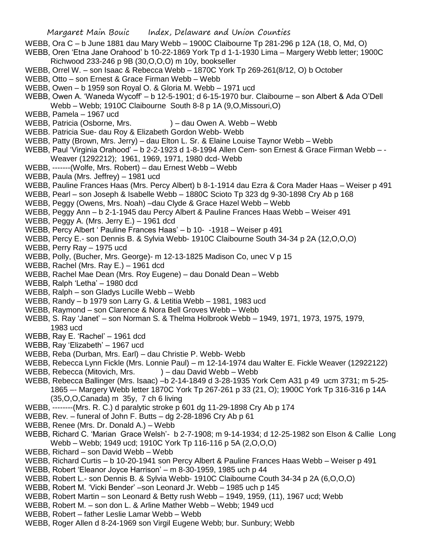- WEBB, Ora C b June 1881 dau Mary Webb 1900C Claibourne Tp 281-296 p 12A (18, O, Md, O)
- WEBB, Oren 'Etna Jane Orahood' b 10-22-1869 York Tp d 1-1-1930 Lima Margery Webb letter; 1900C Richwood 233-246 p 9B (30,O,O,O) m 10y, bookseller
- WEBB, Orrel W. son Isaac & Rebecca Webb 1870C York Tp 269-261(8/12, O) b October
- WEBB, Otto son Ernest & Grace Firman Webb Webb
- WEBB, Owen b 1959 son Royal O. & Gloria M. Webb 1971 ucd
- WEBB, Owen A. 'Waneda Wycoff' b 12-5-1901; d 6-15-1970 bur. Claibourne son Albert & Ada O'Dell Webb – Webb; 1910C Claibourne South 8-8 p 1A (9,O,Missouri,O)
- WEBB, Pamela 1967 ucd
- WEBB, Patricia (Osborne, Mrs. ) dau Owen A. Webb Webb
- WEBB. Patricia Sue- dau Roy & Elizabeth Gordon Webb- Webb
- WEBB, Patty (Brown, Mrs. Jerry) dau Elton L. Sr. & Elaine Louise Taynor Webb Webb
- WEBB, Paul 'Virginia Orahood' b 2-2-1923 d 1-8-1994 Allen Cem- son Ernest & Grace Firman Webb - Weaver (1292212); 1961, 1969, 1971, 1980 dcd- Webb
- WEBB, -------(Wolfe, Mrs. Robert) dau Ernest Webb Webb
- WEBB, Paula (Mrs. Jeffrey) 1981 ucd
- WEBB, Pauline Frances Haas (Mrs. Percy Albert) b 8-1-1914 dau Ezra & Cora Mader Haas Weiser p 491
- WEBB, Pearl son Joseph & Isabelle Webb 1880C Scioto Tp 323 dg 9-30-1898 Cry Ab p 168
- WEBB, Peggy (Owens, Mrs. Noah) –dau Clyde & Grace Hazel Webb Webb
- WEBB, Peggy Ann b 2-1-1945 dau Percy Albert & Pauline Frances Haas Webb Weiser 491
- WEBB, Peggy A. (Mrs. Jerry E.) 1961 dcd
- WEBB, Percy Albert ' Pauline Frances Haas' b 10- -1918 Weiser p 491
- WEBB, Percy E.- son Dennis B. & Sylvia Webb- 1910C Claibourne South 34-34 p 2A (12,O,O,O)
- WEBB, Perry Ray 1975 ucd
- WEBB, Polly, (Bucher, Mrs. George)- m 12-13-1825 Madison Co, unec V p 15
- WEBB, Rachel (Mrs. Ray E.) 1961 dcd
- WEBB, Rachel Mae Dean (Mrs. Roy Eugene) dau Donald Dean Webb
- WEBB, Ralph 'Letha' 1980 dcd
- WEBB, Ralph son Gladys Lucille Webb Webb
- WEBB, Randy b 1979 son Larry G. & Letitia Webb 1981, 1983 ucd
- WEBB, Raymond son Clarence & Nora Bell Groves Webb Webb
- WEBB, S. Ray 'Janet' son Norman S. & Thelma Holbrook Webb 1949, 1971, 1973, 1975, 1979, 1983 ucd
- WEBB, Ray E. 'Rachel' 1961 dcd
- WEBB, Ray 'Elizabeth' 1967 ucd
- WEBB, Reba (Durban, Mrs. Earl) dau Christie P. Webb- Webb
- WEBB, Rebecca Lynn Fickle (Mrs. Lonnie Paul) m 12-14-1974 dau Walter E. Fickle Weaver (12922122)
- WEBB, Rebecca (Mitovich, Mrs.  $) -$  dau David Webb Webb
- WEBB, Rebecca Ballinger (Mrs. Isaac) –b 2-14-1849 d 3-28-1935 York Cem A31 p 49 ucm 3731; m 5-25- 1865 –- Margery Webb letter 1870C York Tp 267-261 p 33 (21, O); 1900C York Tp 316-316 p 14A (35,O,O,Canada) m 35y, 7 ch 6 living
- WEBB, --------(Mrs. R. C.) d paralytic stroke p 601 dg 11-29-1898 Cry Ab p 174
- WEBB, Rev. funeral of John F. Butts dg 2-28-1896 Cry Ab p 61
- WEBB, Renee (Mrs. Dr. Donald A.) Webb
- WEBB, Richard C. 'Marian Grace Welsh'- b 2-7-1908; m 9-14-1934; d 12-25-1982 son Elson & Callie Long Webb – Webb; 1949 ucd; 1910C York Tp 116-116 p 5A (2,O,O,O)
- WEBB, Richard son David Webb Webb
- WEBB, Richard Curtis b 10-20-1941 son Percy Albert & Pauline Frances Haas Webb Weiser p 491
- WEBB, Robert 'Eleanor Joyce Harrison' m 8-30-1959, 1985 uch p 44
- WEBB, Robert L.- son Dennis B. & Sylvia Webb- 1910C Claibourne Couth 34-34 p 2A (6,O,O,O)
- WEBB, Robert M. 'Vicki Bender' –son Leonard Jr. Webb 1985 uch p 145
- WEBB, Robert Martin son Leonard & Betty rush Webb 1949, 1959, (11), 1967 ucd; Webb
- WEBB, Robert M. son don L. & Arline Mather Webb Webb; 1949 ucd
- WEBB, Robert father Leslie Lamar Webb Webb
- WEBB, Roger Allen d 8-24-1969 son Virgil Eugene Webb; bur. Sunbury; Webb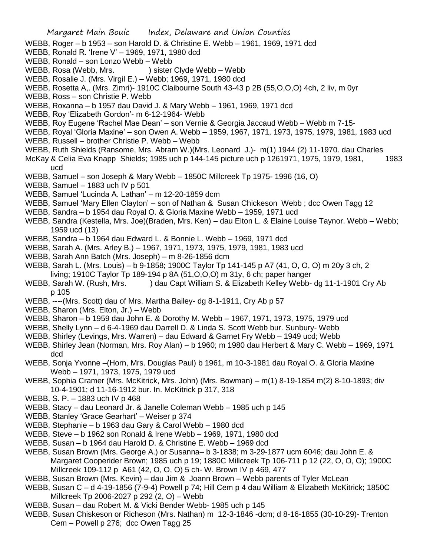- WEBB, Roger b 1953 son Harold D. & Christine E. Webb 1961, 1969, 1971 dcd
- WEBB, Ronald R. 'Irene V' 1969, 1971, 1980 dcd
- WEBB, Ronald son Lonzo Webb Webb
- WEBB, Rosa (Webb, Mrs. ) sister Clyde Webb Webb
- WEBB, Rosalie J. (Mrs. Virgil E.) Webb; 1969, 1971, 1980 dcd
- WEBB, Rosetta A,. (Mrs. Zimri)- 1910C Claibourne South 43-43 p 2B (55,O,O,O) 4ch, 2 liv, m 0yr
- WEBB, Ross son Christie P. Webb
- WEBB, Roxanna b 1957 dau David J. & Mary Webb 1961, 1969, 1971 dcd
- WEBB, Roy 'Elizabeth Gordon'- m 6-12-1964- Webb
- WEBB, Roy Eugene 'Rachel Mae Dean' son Vernie & Georgia Jaccaud Webb Webb m 7-15-
- WEBB, Royal 'Gloria Maxine' son Owen A. Webb 1959, 1967, 1971, 1973, 1975, 1979, 1981, 1983 ucd WEBB, Russell – brother Christie P. Webb – Webb
- WEBB, Ruth Shields (Ransome, Mrs. Abram W.)(Mrs. Leonard J.)- m(1) 1944 (2) 11-1970. dau Charles
- McKay & Celia Eva Knapp Shields; 1985 uch p 144-145 picture uch p 1261971, 1975, 1979, 1981, 1983 ucd
- WEBB, Samuel son Joseph & Mary Webb 1850C Millcreek Tp 1975- 1996 (16, O)
- WEBB, Samuel 1883 uch IV p 501
- WEBB, Samuel 'Lucinda A. Lathan' m 12-20-1859 dcm
- WEBB, Samuel 'Mary Ellen Clayton' son of Nathan & Susan Chickeson Webb ; dcc Owen Tagg 12
- WEBB, Sandra b 1954 dau Royal O. & Gloria Maxine Webb 1959, 1971 ucd
- WEBB, Sandra (Kestella, Mrs. Joe)(Braden, Mrs. Ken) dau Elton L. & Elaine Louise Taynor. Webb Webb; 1959 ucd (13)
- WEBB, Sandra b 1964 dau Edward L. & Bonnie L. Webb 1969, 1971 dcd
- WEBB, Sarah A. (Mrs. Arley B.) 1967, 1971, 1973, 1975, 1979, 1981, 1983 ucd
- WEBB, Sarah Ann Batch (Mrs. Joseph) m 8-26-1856 dcm
- WEBB, Sarah L. (Mrs. Louis) b 9-1858; 1900C Taylor Tp 141-145 p A7 (41, O, O, O) m 20y 3 ch, 2 living; 1910C Taylor Tp 189-194 p 8A (51,O,O,O) m 31y, 6 ch; paper hanger
- WEBB, Sarah W. (Rush, Mrs. ) dau Capt William S. & Elizabeth Kelley Webb- dg 11-1-1901 Cry Ab p 105
- WEBB, ----(Mrs. Scott) dau of Mrs. Martha Bailey- dg 8-1-1911, Cry Ab p 57
- WEBB, Sharon (Mrs. Elton, Jr.) Webb
- WEBB, Sharon b 1959 dau John E. & Dorothy M. Webb 1967, 1971, 1973, 1975, 1979 ucd
- WEBB, Shelly Lynn d 6-4-1969 dau Darrell D. & Linda S. Scott Webb bur. Sunbury- Webb
- WEBB, Shirley (Levings, Mrs. Warren) dau Edward & Garnet Fry Webb 1949 ucd; Webb
- WEBB, Shirley Jean (Norman, Mrs. Roy Alan) b 1960; m 1980 dau Herbert & Mary C. Webb 1969, 1971 dcd
- WEBB, Sonja Yvonne –(Horn, Mrs. Douglas Paul) b 1961, m 10-3-1981 dau Royal O. & Gloria Maxine Webb – 1971, 1973, 1975, 1979 ucd
- WEBB, Sophia Cramer (Mrs. McKitrick, Mrs. John) (Mrs. Bowman) m(1) 8-19-1854 m(2) 8-10-1893; div 10-4-1901; d 11-16-1912 bur. In. McKitrick p 317, 318
- WEBB, S. P. 1883 uch IV p 468
- WEBB, Stacy dau Leonard Jr. & Janelle Coleman Webb 1985 uch p 145
- WEBB, Stanley 'Grace Gearhart' Weiser p 374
- WEBB, Stephanie b 1963 dau Gary & Carol Webb 1980 dcd
- WEBB, Steve b 1962 son Ronald & Irene Webb 1969, 1971, 1980 dcd
- WEBB, Susan b 1964 dau Harold D. & Christine E. Webb 1969 dcd
- WEBB, Susan Brown (Mrs. George A.) or Susanna– b 3-1838; m 3-29-1877 ucm 6046; dau John E. & Margaret Cooperider Brown; 1985 uch p 19; 1880C Millcreek Tp 106-711 p 12 (22, O, O, O); 1900C Millcreek 109-112 p A61 (42, O, O, O) 5 ch- W. Brown IV p 469, 477
- WEBB, Susan Brown (Mrs. Kevin) dau Jim & Joann Brown Webb parents of Tyler McLean
- WEBB, Susan C d 4-19-1856 (7-9-4) Powell p 74; Hill Cem p 4 dau William & Elizabeth McKitrick; 1850C Millcreek Tp 2006-2027 p 292 (2, O) – Webb
- WEBB, Susan dau Robert M. & Vicki Bender Webb- 1985 uch p 145
- WEBB, Susan Chiskeson or Richeson (Mrs. Nathan) m 12-3-1846 -dcm; d 8-16-1855 (30-10-29)- Trenton Cem – Powell p 276; dcc Owen Tagg 25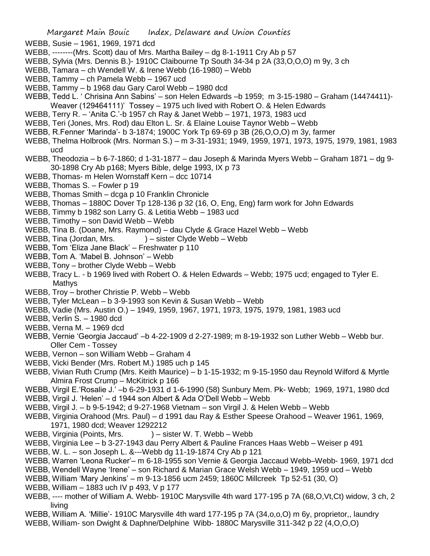WEBB, Susie – 1961, 1969, 1971 dcd

- WEBB, --------(Mrs. Scott) dau of Mrs. Martha Bailey dg 8-1-1911 Cry Ab p 57
- WEBB, Sylvia (Mrs. Dennis B.)- 1910C Claibourne Tp South 34-34 p 2A (33,O,O,O) m 9y, 3 ch
- WEBB, Tamara ch Wendell W. & Irene Webb (16-1980) Webb
- WEBB, Tammy ch Pamela Webb 1967 ucd
- WEBB, Tammy b 1968 dau Gary Carol Webb 1980 dcd
- WEBB, Tedd L. ' Chrisina Ann Sabins' son Helen Edwards –b 1959; m 3-15-1980 Graham (14474411)- Weaver (129464111)' Tossey – 1975 uch lived with Robert O. & Helen Edwards
- WEBB, Terry R. 'Anita C.'-b 1957 ch Ray & Janet Webb 1971, 1973, 1983 ucd
- WEBB, Teri (Jones, Mrs. Rod) dau Elton L. Sr. & Elaine Louise Taynor Webb Webb
- WEBB, R.Fenner 'Marinda'- b 3-1874; 1900C York Tp 69-69 p 3B (26,O,O,O) m 3y, farmer
- WEBB, Thelma Holbrook (Mrs. Norman S.) m 3-31-1931; 1949, 1959, 1971, 1973, 1975, 1979, 1981, 1983 ucd
- WEBB, Theodozia b 6-7-1860; d 1-31-1877 dau Joseph & Marinda Myers Webb Graham 1871 dg 9- 30-1898 Cry Ab p168; Myers Bible, delge 1993, IX p 73
- WEBB, Thomas- m Helen Wornstaff Kern dcc 10714
- WEBB, Thomas S. Fowler p 19
- WEBB, Thomas Smith dcga p 10 Franklin Chronicle
- WEBB, Thomas 1880C Dover Tp 128-136 p 32 (16, O, Eng, Eng) farm work for John Edwards
- WEBB, Timmy b 1982 son Larry G. & Letitia Webb 1983 ucd
- WEBB, Timothy son David Webb Webb
- WEBB, Tina B. (Doane, Mrs. Raymond) dau Clyde & Grace Hazel Webb Webb
- WEBB, Tina (Jordan, Mrs. ) sister Clyde Webb Webb
- WEBB, Tom 'Eliza Jane Black' Freshwater p 110
- WEBB, Tom A. 'Mabel B. Johnson' Webb
- WEBB, Tony brother Clyde Webb Webb
- WEBB, Tracy L. b 1969 lived with Robert O. & Helen Edwards Webb; 1975 ucd; engaged to Tyler E. **Mathys**
- WEBB, Troy brother Christie P. Webb Webb
- WEBB, Tyler McLean b 3-9-1993 son Kevin & Susan Webb Webb
- WEBB, Vadie (Mrs. Austin O.) 1949, 1959, 1967, 1971, 1973, 1975, 1979, 1981, 1983 ucd
- WEBB, Verlin S. 1980 dcd
- WEBB, Verna M. 1969 dcd
- WEBB, Vernie 'Georgia Jaccaud' –b 4-22-1909 d 2-27-1989; m 8-19-1932 son Luther Webb Webb bur. Oller Cem - Tossey
- WEBB, Vernon son William Webb Graham 4
- WEBB, Vicki Bender (Mrs. Robert M.) 1985 uch p 145
- WEBB, Vivian Ruth Crump (Mrs. Keith Maurice) b 1-15-1932; m 9-15-1950 dau Reynold Wilford & Myrtle Almira Frost Crump – McKitrick p 166
- WEBB, Virgil E.'Rosalie J.' –b 6-29-1931 d 1-6-1990 (58) Sunbury Mem. Pk- Webb; 1969, 1971, 1980 dcd
- WEBB, Virgil J. 'Helen' d 1944 son Albert & Ada O'Dell Webb Webb
- WEBB, Virgil J. b 9-5-1942; d 9-27-1968 Vietnam son Virgil J. & Helen Webb Webb
- WEBB, Virginia Orahood (Mrs. Paul) d 1991 dau Ray & Esther Speese Orahood Weaver 1961, 1969, 1971, 1980 dcd; Weaver 1292212
- WEBB, Virginia (Points, Mrs. ) sister W. T. Webb Webb
- WEBB, Virginia Lee b 3-27-1943 dau Perry Albert & Pauline Frances Haas Webb Weiser p 491
- WEBB, W. L. son Joseph L. &---Webb dg 11-19-1874 Cry Ab p 121
- WEBB, Warren 'Leona Rucker'– m 6-18-1955 son Vernie & Georgia Jaccaud Webb–Webb- 1969, 1971 dcd
- WEBB, Wendell Wayne 'Irene' son Richard & Marian Grace Welsh Webb 1949, 1959 ucd Webb
- WEBB, William 'Mary Jenkins' m 9-13-1856 ucm 2459; 1860C Millcreek Tp 52-51 (30, O)
- WEBB, William 1883 uch IV p 493, V p 177
- WEBB, ---- mother of William A. Webb- 1910C Marysville 4th ward 177-195 p 7A (68,O,Vt,Ct) widow, 3 ch, 2 living
- WEBB, William A. 'Millie'- 1910C Marysville 4th ward 177-195 p 7A (34,o,o,O) m 6y, proprietor,, laundry
- WEBB, William- son Dwight & Daphne/Delphine Wibb- 1880C Marysville 311-342 p 22 (4,O,O,O)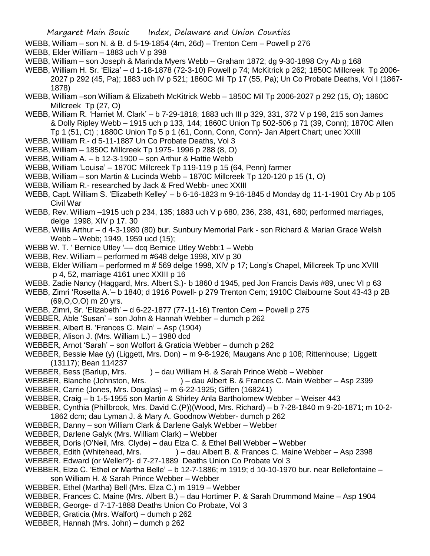- WEBB, William son N. & B. d 5-19-1854 (4m, 26d) Trenton Cem Powell p 276
- WEBB, Elder William 1883 uch V p 398
- WEBB, William son Joseph & Marinda Myers Webb Graham 1872; dg 9-30-1898 Cry Ab p 168
- WEBB, William H. Sr. 'Eliza' d 1-18-1878 (72-3-10) Powell p 74; McKitrick p 262; 1850C Millcreek Tp 2006- 2027 p 292 (45, Pa); 1883 uch IV p 521; 1860C Mil Tp 17 (55, Pa); Un Co Probate Deaths, Vol I (1867- 1878)
- WEBB, William –son William & Elizabeth McKitrick Webb 1850C Mil Tp 2006-2027 p 292 (15, O); 1860C Millcreek Tp (27, O)
- WEBB, William R. 'Harriet M. Clark' b 7-29-1818; 1883 uch III p 329, 331, 372 V p 198, 215 son James & Dolly Ripley Webb – 1915 uch p 133, 144; 1860C Union Tp 502-506 p 71 (39, Conn); 1870C Allen Tp 1 (51, Ct) ; 1880C Union Tp 5 p 1 (61, Conn, Conn, Conn)- Jan Alpert Chart; unec XXIII
- WEBB, William R.- d 5-11-1887 Un Co Probate Deaths, Vol 3
- WEBB, William 1850C Millcreek Tp 1975- 1996 p 288 (8, O)
- WEBB, William A. b 12-3-1900 son Arthur & Hattie Webb
- WEBB, William 'Louisa' 1870C Millcreek Tp 119-119 p 15 (64, Penn) farmer
- WEBB, William son Martin & Lucinda Webb 1870C Millcreek Tp 120-120 p 15 (1, O)
- WEBB, William R.- researched by Jack & Fred Webb- unec XXIII
- WEBB, Capt. William S. 'Elizabeth Kelley' b 6-16-1823 m 9-16-1845 d Monday dg 11-1-1901 Cry Ab p 105 Civil War
- WEBB, Rev. William –1915 uch p 234, 135; 1883 uch V p 680, 236, 238, 431, 680; performed marriages, delge 1998, XIV p 17. 30
- WEBB, Willis Arthur d 4-3-1980 (80) bur. Sunbury Memorial Park son Richard & Marian Grace Welsh Webb – Webb; 1949, 1959 ucd (15);
- WEBB W. T. 'Bernice Utley '— dcq Bernice Utley Webb:1 Webb
- WEBB, Rev. William performed m #648 delge 1998, XIV p 30
- WEBB, Elder William performed m # 569 delge 1998, XIV p 17; Long's Chapel, Millcreek Tp unc XVIII p 4, 52, marriage 4161 unec XXIII p 16
- WEBB. Zadie Nancy (Haggard, Mrs. Albert S.)- b 1860 d 1945, ped Jon Francis Davis #89, unec VI p 63
- WEBB, Zimri 'Rosetta A.'– b 1840; d 1916 Powell- p 279 Trenton Cem; 1910C Claibourne Sout 43-43 p 2B (69,O,O,O) m 20 yrs.
- WEBB, Zimri, Sr. 'Elizabeth' d 6-22-1877 (77-11-16) Trenton Cem Powell p 275
- WEBBER, Able 'Susan' son John & Hannah Webber dumch p 262
- WEBBER, Albert B. 'Frances C. Main' Asp (1904)
- WEBBER, Alison J. (Mrs. William L.) 1980 dcd
- WEBBER, Arnot 'Sarah' son Wolfort & Graticia Webber dumch p 262
- WEBBER, Bessie Mae (y) (Liggett, Mrs. Don) m 9-8-1926; Maugans Anc p 108; Rittenhouse; Liggett (13117); Bean 114237
- WEBBER, Bess (Barlup, Mrs. ) dau William H. & Sarah Prince Webb Webber
- WEBBER, Blanche (Johnston, Mrs. ) dau Albert B. & Frances C. Main Webber Asp 2399
- WEBBER, Carrie (Jones, Mrs. Douglas) m 6-22-1925; Giffen (168241)
- WEBBER, Craig b 1-5-1955 son Martin & Shirley Anla Bartholomew Webber Weiser 443
- WEBBER, Cynthia (Phillbrook, Mrs. David C.(P))(Wood, Mrs. Richard) b 7-28-1840 m 9-20-1871; m 10-2- 1862 dcm; dau Lyman J. & Mary A. Goodnow Webber- dumch p 262
- WEBBER, Danny son William Clark & Darlene Galyk Webber Webber
- WEBBER, Darlene Galyk (Mrs. William Clark) Webber
- WEBBER, Doris (O'Neil, Mrs. Clyde) dau Elza C. & Ethel Bell Webber Webber
- WEBBER, Edith (Whitehead, Mrs. ) dau Albert B. & Frances C. Maine Webber Asp 2398
- WEBBER. Edward (or Weller?)- d 7-27-1889 Deaths Union Co Probate Vol 3
- WEBBER, Elza C. 'Ethel or Martha Belle' b 12-7-1886; m 1919; d 10-10-1970 bur. near Bellefontaine son William H. & Sarah Prince Webber – Webber
- WEBBER, Ethel (Martha) Bell (Mrs. Elza C.) m 1919 Webber
- WEBBER, Frances C. Maine (Mrs. Albert B.) dau Hortimer P. & Sarah Drummond Maine Asp 1904
- WEBBER, George- d 7-17-1888 Deaths Union Co Probate, Vol 3
- WEBBER, Graticia (Mrs. Walfort) dumch p 262
- WEBBER, Hannah (Mrs. John) dumch p 262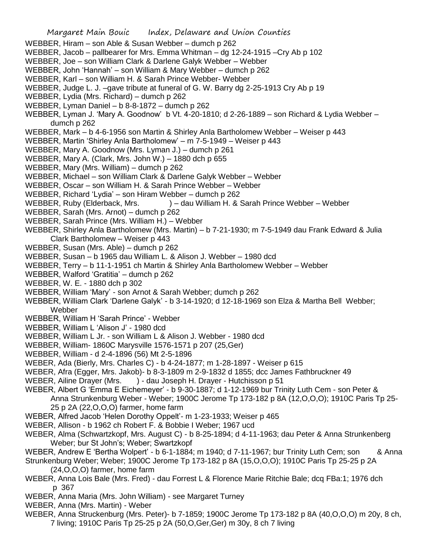- Margaret Main Bouic Index, Delaware and Union Counties WEBBER, Hiram – son Able & Susan Webber – dumch p 262 WEBBER, Jacob – pallbearer for Mrs. Emma Whitman – dg 12-24-1915 –Cry Ab p 102 WEBBER, Joe – son William Clark & Darlene Galyk Webber – Webber WEBBER, John 'Hannah' – son William & Mary Webber – dumch p 262 WEBBER, Karl – son William H. & Sarah Prince Webber- Webber WEBBER, Judge L. J. –gave tribute at funeral of G. W. Barry dg 2-25-1913 Cry Ab p 19 WEBBER, Lydia (Mrs. Richard) – dumch p 262 WEBBER, Lyman Daniel – b 8-8-1872 – dumch p 262 WEBBER, Lyman J. 'Mary A. Goodnow' b Vt. 4-20-1810; d 2-26-1889 – son Richard & Lydia Webber – dumch p 262 WEBBER, Mark – b 4-6-1956 son Martin & Shirley Anla Bartholomew Webber – Weiser p 443 WEBBER, Martin 'Shirley Anla Bartholomew' – m 7-5-1949 – Weiser p 443 WEBBER, Mary A. Goodnow (Mrs. Lyman J.) – dumch p 261 WEBBER, Mary A. (Clark, Mrs. John W.) – 1880 dch p 655 WEBBER, Mary (Mrs. William) – dumch p 262 WEBBER, Michael – son William Clark & Darlene Galyk Webber – Webber WEBBER, Oscar – son William H. & Sarah Prince Webber – Webber WEBBER, Richard 'Lydia' – son Hiram Webber – dumch p 262 WEBBER, Ruby (Elderback, Mrs. ) – dau William H. & Sarah Prince Webber – Webber WEBBER, Sarah (Mrs. Arnot) – dumch p 262 WEBBER, Sarah Prince (Mrs. William H.) – Webber WEBBER, Shirley Anla Bartholomew (Mrs. Martin) – b 7-21-1930; m 7-5-1949 dau Frank Edward & Julia Clark Bartholomew – Weiser p 443 WEBBER, Susan (Mrs. Able) – dumch p 262 WEBBER, Susan – b 1965 dau William L. & Alison J. Webber – 1980 dcd WEBBER, Terry – b 11-1-1951 ch Martin & Shirley Anla Bartholomew Webber – Webber WEBBER, Walford 'Gratitia' – dumch p 262 WEBBER, W. E. - 1880 dch p 302 WEBBER, William 'Mary' - son Arnot & Sarah Webber; dumch p 262 WEBBER, William Clark 'Darlene Galyk' - b 3-14-1920; d 12-18-1969 son Elza & Martha Bell Webber; Webber WEBBER, William H 'Sarah Prince' - Webber WEBBER, William L 'Alison J' - 1980 dcd WEBBER, William L Jr. - son William L & Alison J. Webber - 1980 dcd WEBBER, William- 1860C Marysville 1576-1571 p 207 (25,Ger) WEBBER, William - d 2-4-1896 (56) Mt 2-5-1896 WEBER, Ada (Bierly, Mrs. Charles C) - b 4-24-1877; m 1-28-1897 - Weiser p 615 WEBER, Afra (Egger, Mrs. Jakob)- b 8-3-1809 m 2-9-1832 d 1855; dcc James Fathbruckner 49 WEBER, Ailine Drayer (Mrs. ) - dau Joseph H. Drayer - Hutchisson p 51 WEBER, Albert G 'Emma E Eichemeyer' - b 9-30-1887; d 1-12-1969 bur Trinity Luth Cem - son Peter & Anna Strunkenburg Weber - Weber; 1900C Jerome Tp 173-182 p 8A (12,O,O,O); 1910C Paris Tp 25- 25 p 2A (22,O,O,O) farmer, home farm WEBER, Alfred Jacob 'Helen Dorothy Oppelt'- m 1-23-1933; Weiser p 465 WEBER, Allison - b 1962 ch Robert F. & Bobbie I Weber; 1967 ucd WEBER, Alma (Schwartzkopf, Mrs. August C) - b 8-25-1894; d 4-11-1963; dau Peter & Anna Strunkenberg Weber; bur St John's; Weber; Swartzkopf
	- WEBER, Andrew E 'Bertha Wolpert' b 6-1-1884; m 1940; d 7-11-1967; bur Trinity Luth Cem; son & Anna

Strunkenburg Weber; Weber; 1900C Jerome Tp 173-182 p 8A (15,O,O,O); 1910C Paris Tp 25-25 p 2A (24,O,O,O) farmer, home farm

- WEBER, Anna Lois Bale (Mrs. Fred) dau Forrest L & Florence Marie Ritchie Bale; dcq FBa:1; 1976 dch p 367
- WEBER, Anna Maria (Mrs. John William) see Margaret Turney
- WEBER, Anna (Mrs. Martin) Weber
- WEBER, Anna Struckenburg (Mrs. Peter)- b 7-1859; 1900C Jerome Tp 173-182 p 8A (40,O,O,O) m 20y, 8 ch, 7 living; 1910C Paris Tp 25-25 p 2A (50,O,Ger,Ger) m 30y, 8 ch 7 living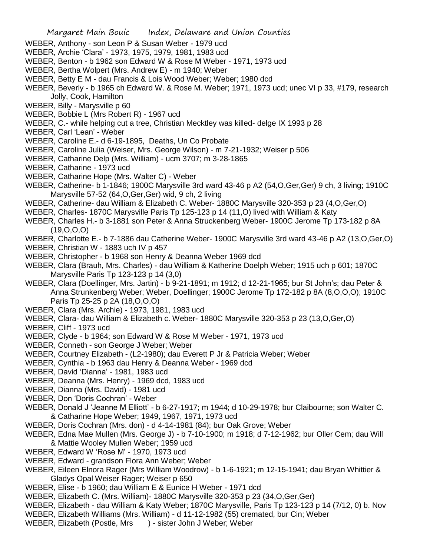- WEBER, Anthony son Leon P & Susan Weber 1979 ucd
- WEBER, Archie 'Clara' 1973, 1975, 1979, 1981, 1983 ucd
- WEBER, Benton b 1962 son Edward W & Rose M Weber 1971, 1973 ucd
- WEBER, Bertha Wolpert (Mrs. Andrew E) m 1940; Weber
- WEBER, Betty E M dau Francis & Lois Wood Weber; Weber; 1980 dcd
- WEBER, Beverly b 1965 ch Edward W. & Rose M. Weber; 1971, 1973 ucd; unec VI p 33, #179, research Jolly, Cook, Hamilton
- WEBER, Billy Marysville p 60
- WEBER, Bobbie L (Mrs Robert R) 1967 ucd
- WEBER, C.- while helping cut a tree, Christian Mecktley was killed- delge IX 1993 p 28
- WEBER, Carl 'Lean' Weber
- WEBER, Caroline E.- d 6-19-1895, Deaths, Un Co Probate
- WEBER, Caroline Julia (Weiser, Mrs. George Wilson) m 7-21-1932; Weiser p 506
- WEBER, Catharine Delp (Mrs. William) ucm 3707; m 3-28-1865
- WEBER, Catharine 1973 ucd
- WEBER, Catharine Hope (Mrs. Walter C) Weber
- WEBER, Catherine- b 1-1846; 1900C Marysville 3rd ward 43-46 p A2 (54,O,Ger,Ger) 9 ch, 3 living; 1910C Marysville 57-52 (64,O,Ger,Ger) wid, 9 ch, 2 living
- WEBER, Catherine- dau William & Elizabeth C. Weber- 1880C Marysville 320-353 p 23 (4,O,Ger,O)
- WEBER, Charles- 1870C Marysville Paris Tp 125-123 p 14 (11,O) lived with William & Katy
- WEBER, Charles H.- b 3-1881 son Peter & Anna Struckenberg Weber- 1900C Jerome Tp 173-182 p 8A  $(19,0,0,0)$
- WEBER, Charlotte E.- b 7-1886 dau Catherine Weber- 1900C Marysville 3rd ward 43-46 p A2 (13,O,Ger,O)
- WEBER, Christian W 1883 uch IV p 457
- WEBER, Christopher b 1968 son Henry & Deanna Weber 1969 dcd
- WEBER, Clara (Brauh, Mrs. Charles) dau William & Katherine Doelph Weber; 1915 uch p 601; 1870C Marysville Paris Tp 123-123 p 14 (3,0)
- WEBER, Clara (Doellinger, Mrs. Jartin) b 9-21-1891; m 1912; d 12-21-1965; bur St John's; dau Peter & Anna Strunkenberg Weber; Weber, Doellinger; 1900C Jerome Tp 172-182 p 8A (8,O,O,O); 1910C Paris Tp 25-25 p 2A (18,O,O,O)
- WEBER, Clara (Mrs. Archie) 1973, 1981, 1983 ucd
- WEBER, Clara- dau William & Elizabeth c. Weber- 1880C Marysville 320-353 p 23 (13,O,Ger,O)
- WEBER, Cliff 1973 ucd
- WEBER, Clyde b 1964; son Edward W & Rose M Weber 1971, 1973 ucd
- WEBER, Conneth son George J Weber; Weber
- WEBER, Courtney Elizabeth (L2-1980); dau Everett P Jr & Patricia Weber; Weber
- WEBER, Cynthia b 1963 dau Henry & Deanna Weber 1969 dcd
- WEBER, David 'Dianna' 1981, 1983 ucd
- WEBER, Deanna (Mrs. Henry) 1969 dcd, 1983 ucd
- WEBER, Dianna (Mrs. David) 1981 ucd
- WEBER, Don 'Doris Cochran' Weber
- WEBER, Donald J 'Jeanne M Elliott' b 6-27-1917; m 1944; d 10-29-1978; bur Claibourne; son Walter C. & Catharine Hope Weber; 1949, 1967, 1971, 1973 ucd
- WEBER, Doris Cochran (Mrs. don) d 4-14-1981 (84); bur Oak Grove; Weber
- WEBER, Edna Mae Mullen (Mrs. George J) b 7-10-1900; m 1918; d 7-12-1962; bur Oller Cem; dau Will & Mattie Wooley Mullen Weber; 1959 ucd
- WEBER, Edward W 'Rose M' 1970, 1973 ucd
- WEBER, Edward grandson Flora Ann Weber; Weber
- WEBER, Eileen Elnora Rager (Mrs William Woodrow) b 1-6-1921; m 12-15-1941; dau Bryan Whittier & Gladys Opal Weiser Rager; Weiser p 650
- WEBER, Elise b 1960; dau William E & Eunice H Weber 1971 dcd
- WEBER, Elizabeth C. (Mrs. William)- 1880C Marysville 320-353 p 23 (34,O,Ger,Ger)
- WEBER, Elizabeth dau William & Katy Weber; 1870C Marysville, Paris Tp 123-123 p 14 (7/12, 0) b. Nov
- WEBER, Elizabeth Williams (Mrs. William) d 11-12-1982 (55) cremated, bur Cin; Weber
- WEBER, Elizabeth (Postle, Mrs ) sister John J Weber; Weber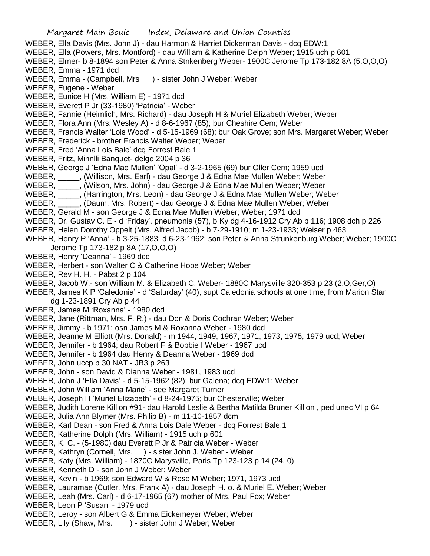WEBER, Ella Davis (Mrs. John J) - dau Harmon & Harriet Dickerman Davis - dcq EDW:1 WEBER, Ella (Powers, Mrs. Montford) - dau William & Katherine Delph Weber; 1915 uch p 601 WEBER, Elmer- b 8-1894 son Peter & Anna Stnkenberg Weber- 1900C Jerome Tp 173-182 8A (5,O,O,O) WEBER, Emma - 1971 dcd WEBER, Emma - (Campbell, Mrs ) - sister John J Weber; Weber WEBER, Eugene - Weber WEBER, Eunice H (Mrs. William E) - 1971 dcd WEBER, Everett P Jr (33-1980) 'Patricia' - Weber WEBER, Fannie (Heimlich, Mrs. Richard) - dau Joseph H & Muriel Elizabeth Weber; Weber WEBER, Flora Ann (Mrs. Wesley A) - d 8-6-1967 (85); bur Cheshire Cem; Weber WEBER, Francis Walter 'Lois Wood' - d 5-15-1969 (68); bur Oak Grove; son Mrs. Margaret Weber; Weber WEBER, Frederick - brother Francis Walter Weber; Weber WEBER, Fred 'Anna Lois Bale' dcq Forrest Bale 1 WEBER, Fritz, Minnlli Banquet- delge 2004 p 36 WEBER, George J 'Edna Mae Mullen' 'Opal' - d 3-2-1965 (69) bur Oller Cem; 1959 ucd WEBER, \_\_\_\_\_, (Willison, Mrs. Earl) - dau George J & Edna Mae Mullen Weber; Weber WEBER, \_\_\_\_\_, (Wilson, Mrs. John) - dau George J & Edna Mae Mullen Weber; Weber WEBER, \_\_\_\_\_, (Harrington, Mrs. Leon) - dau George J & Edna Mae Mullen Weber; Weber WEBER, \_\_\_\_\_, (Daum, Mrs. Robert) - dau George J & Edna Mae Mullen Weber; Weber WEBER, Gerald M - son George J & Edna Mae Mullen Weber; Weber; 1971 dcd WEBER, Dr. Gustav C. E - d 'Friday', pneumonia (57), b Ky dg 4-16-1912 Cry Ab p 116; 1908 dch p 226 WEBER, Helen Dorothy Oppelt (Mrs. Alfred Jacob) - b 7-29-1910; m 1-23-1933; Weiser p 463 WEBER, Henry P 'Anna' - b 3-25-1883; d 6-23-1962; son Peter & Anna Strunkenburg Weber; Weber; 1900C Jerome Tp 173-182 p 8A (17,O,O,O) WEBER, Henry 'Deanna' - 1969 dcd WEBER, Herbert - son Walter C & Catherine Hope Weber; Weber WEBER, Rev H. H. - Pabst 2 p 104 WEBER, Jacob W.- son William M. & Elizabeth C. Weber- 1880C Marysville 320-353 p 23 (2,O,Ger,O) WEBER, James K P 'Caledonia' - d 'Saturday' (40), supt Caledonia schools at one time, from Marion Star dg 1-23-1891 Cry Ab p 44 WEBER, James M 'Roxanna' - 1980 dcd WEBER, Jane (Rittman, Mrs. F. R.) - dau Don & Doris Cochran Weber; Weber WEBER, Jimmy - b 1971; osn James M & Roxanna Weber - 1980 dcd WEBER, Jeanne M Elliott (Mrs. Donald) - m 1944, 1949, 1967, 1971, 1973, 1975, 1979 ucd; Weber WEBER, Jennifer - b 1964; dau Robert F & Bobbie I Weber - 1967 ucd WEBER, Jennifer - b 1964 dau Henry & Deanna Weber - 1969 dcd WEBER, John uccp p 30 NAT - JB3 p 263 WEBER, John - son David & Dianna Weber - 1981, 1983 ucd WEBER, John J 'Ella Davis' - d 5-15-1962 (82); bur Galena; dcq EDW:1; Weber WEBER, John William 'Anna Marie' - see Margaret Turner WEBER, Joseph H 'Muriel Elizabeth' - d 8-24-1975; bur Chesterville; Weber WEBER, Judith Lorene Killion #91- dau Harold Leslie & Bertha Matilda Bruner Killion , ped unec VI p 64 WEBER, Julia Ann Blymer (Mrs. Philip B) - m 11-10-1857 dcm WEBER, Karl Dean - son Fred & Anna Lois Dale Weber - dcq Forrest Bale:1 WEBER, Katherine Dolph (Mrs. William) - 1915 uch p 601 WEBER, K. C. - (5-1980) dau Everett P Jr & Patricia Weber - Weber WEBER, Kathryn (Cornell, Mrs. ) - sister John J. Weber - Weber WEBER, Katy (Mrs. William) - 1870C Marysville, Paris Tp 123-123 p 14 (24, 0) WEBER, Kenneth D - son John J Weber; Weber WEBER, Kevin - b 1969; son Edward W & Rose M Weber; 1971, 1973 ucd WEBER, Lauramae (Cutler, Mrs. Frank A) - dau Joseph H. o. & Muriel E. Weber; Weber WEBER, Leah (Mrs. Carl) - d 6-17-1965 (67) mother of Mrs. Paul Fox; Weber WEBER, Leon P 'Susan' - 1979 ucd WEBER, Leroy - son Albert G & Emma Eickemeyer Weber; Weber WEBER, Lily (Shaw, Mrs. ) - sister John J Weber; Weber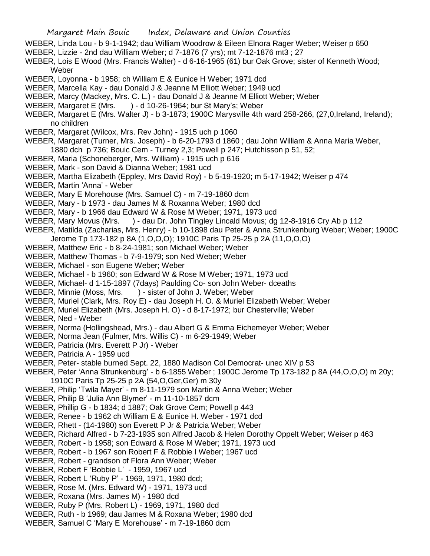- WEBER, Linda Lou b 9-1-1942; dau William Woodrow & Eileen Elnora Rager Weber; Weiser p 650
- WEBER, Lizzie 2nd dau William Weber; d 7-1876 (7 yrs); mt 7-12-1876 mt3 ; 27
- WEBER, Lois E Wood (Mrs. Francis Walter) d 6-16-1965 (61) bur Oak Grove; sister of Kenneth Wood; Weber
- WEBER, Loyonna b 1958; ch William E & Eunice H Weber; 1971 dcd
- WEBER, Marcella Kay dau Donald J & Jeanne M Elliott Weber; 1949 ucd
- WEBER, Marcy (Mackey, Mrs. C. L.) dau Donald J & Jeanne M Elliott Weber; Weber
- WEBER, Margaret E (Mrs. ) d 10-26-1964; bur St Mary's; Weber
- WEBER, Margaret E (Mrs. Walter J) b 3-1873; 1900C Marysville 4th ward 258-266, (27,0,Ireland, Ireland); no children
- WEBER, Margaret (Wilcox, Mrs. Rev John) 1915 uch p 1060
- WEBER, Margaret (Turner, Mrs. Joseph) b 6-20-1793 d 1860 ; dau John William & Anna Maria Weber, 1880 dch p 736; Bouic Cem - Turney 2,3; Powell p 247; Hutchisson p 51, 52;
- WEBER, Maria (Schoneberger, Mrs. William) 1915 uch p 616
- WEBER, Mark son David & Dianna Weber; 1981 ucd
- WEBER, Martha Elizabeth (Eppley, Mrs David Roy) b 5-19-1920; m 5-17-1942; Weiser p 474
- WEBER, Martin 'Anna' Weber
- WEBER, Mary E Morehouse (Mrs. Samuel C) m 7-19-1860 dcm
- WEBER, Mary b 1973 dau James M & Roxanna Weber; 1980 dcd
- WEBER, Mary b 1966 dau Edward W & Rose M Weber; 1971, 1973 ucd
- WEBER, Mary Movus (Mrs. ) dau Dr. John Tingley Lincald Movus; dg 12-8-1916 Cry Ab p 112
- WEBER, Matilda (Zacharias, Mrs. Henry) b 10-1898 dau Peter & Anna Strunkenburg Weber; Weber; 1900C
- Jerome Tp 173-182 p 8A (1,O,O,O); 1910C Paris Tp 25-25 p 2A (11,O,O,O)
- WEBER, Matthew Eric b 8-24-1981; son Michael Weber; Weber
- WEBER, Matthew Thomas b 7-9-1979; son Ned Weber; Weber
- WEBER, Michael son Eugene Weber; Weber
- WEBER, Michael b 1960; son Edward W & Rose M Weber; 1971, 1973 ucd
- WEBER, Michael- d 1-15-1897 (7days) Paulding Co- son John Weber- dceaths
- WEBER, Minnie (Moss, Mrs. ) sister of John J. Weber; Weber
- WEBER, Muriel (Clark, Mrs. Roy E) dau Joseph H. O. & Muriel Elizabeth Weber; Weber
- WEBER, Muriel Elizabeth (Mrs. Joseph H. O) d 8-17-1972; bur Chesterville; Weber
- WEBER, Ned Weber
- WEBER, Norma (Hollingshead, Mrs.) dau Albert G & Emma Eichemeyer Weber; Weber
- WEBER, Norma Jean (Fulmer, Mrs. Willis C) m 6-29-1949; Weber
- WEBER, Patricia (Mrs. Everett P Jr) Weber
- WEBER, Patricia A 1959 ucd
- WEBER, Peter- stable burned Sept. 22, 1880 Madison Col Democrat- unec XIV p 53
- WEBER, Peter 'Anna Strunkenburg' b 6-1855 Weber ; 1900C Jerome Tp 173-182 p 8A (44,O,O,O) m 20y; 1910C Paris Tp 25-25 p 2A (54,O,Ger,Ger) m 30y
- WEBER, Philip 'Twila Mayer' m 8-11-1979 son Martin & Anna Weber; Weber
- WEBER, Philip B 'Julia Ann Blymer' m 11-10-1857 dcm
- WEBER, Phillip G b 1834; d 1887; Oak Grove Cem; Powell p 443
- WEBER, Renee b 1962 ch William E & Eunice H. Weber 1971 dcd
- WEBER, Rhett (14-1980) son Everett P Jr & Patricia Weber; Weber
- WEBER, Richard Alfred b 7-23-1935 son Alfred Jacob & Helen Dorothy Oppelt Weber; Weiser p 463
- WEBER, Robert b 1958; son Edward & Rose M Weber; 1971, 1973 ucd
- WEBER, Robert b 1967 son Robert F & Robbie I Weber; 1967 ucd
- WEBER, Robert grandson of Flora Ann Weber; Weber
- WEBER, Robert F 'Bobbie L' 1959, 1967 ucd
- WEBER, Robert L 'Ruby P' 1969, 1971, 1980 dcd;
- WEBER, Rose M. (Mrs. Edward W) 1971, 1973 ucd
- WEBER, Roxana (Mrs. James M) 1980 dcd
- WEBER, Ruby P (Mrs. Robert L) 1969, 1971, 1980 dcd
- WEBER, Ruth b 1969; dau James M & Roxana Weber; 1980 dcd
- WEBER, Samuel C 'Mary E Morehouse' m 7-19-1860 dcm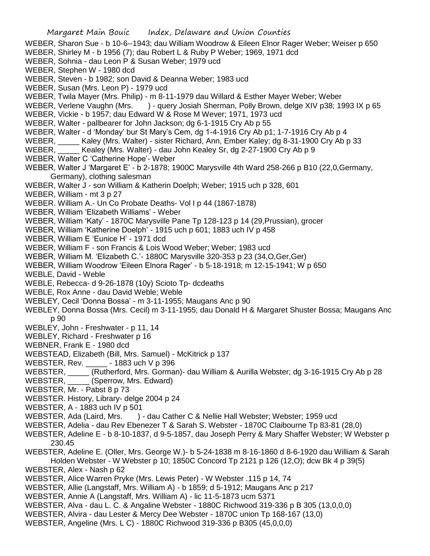- WEBER, Stephen W 1980 dcd
- WEBER, Steven b 1982; son David & Deanna Weber; 1983 ucd
- WEBER, Susan (Mrs. Leon P) 1979 ucd
- WEBER, Twila Mayer (Mrs. Philip) m 8-11-1979 dau Willard & Esther Mayer Weber; Weber
- WEBER, Verlene Vaughn (Mrs. ) query Josiah Sherman, Polly Brown, delge XIV p38; 1993 IX p 65
- WEBER, Vickie b 1957; dau Edward W & Rose M Wever; 1971, 1973 ucd
- WEBER, Walter pallbearer for John Jackson; dg 6-1-1915 Cry Ab p 55
- WEBER, Walter d 'Monday' bur St Mary's Cem, dg 1-4-1916 Cry Ab p1; 1-7-1916 Cry Ab p 4
- WEBER, \_\_\_\_\_ Kaley (Mrs. Walter) sister Richard, Ann, Ember Kaley; dg 8-31-1900 Cry Ab p 33
- WEBER, Kealey (Mrs. Walter) dau John Kealey Sr, dg 2-27-1900 Cry Ab p 9
- WEBER, Walter C 'Catherine Hope'- Weber
- WEBER, Walter J 'Margaret E' b 2-1878; 1900C Marysville 4th Ward 258-266 p B10 (22,0,Germany, Germany), clothing salesman
- WEBER, Walter J son William & Katherin Doelph; Weber; 1915 uch p 328, 601
- WEBER, William mt 3 p 27
- WEBER. William A.- Un Co Probate Deaths- Vol I p 44 (1867-1878)
- WEBER, William 'Elizabeth Williams' Weber
- WEBER, William 'Katy' 1870C Marysville Pane Tp 128-123 p 14 (29,Prussian), grocer
- WEBER, William 'Katherine Doelph' 1915 uch p 601; 1883 uch IV p 458
- WEBER, William E 'Eunice H' 1971 dcd
- WEBER, William F son Francis & Lois Wood Weber; Weber; 1983 ucd
- WEBER, William M. 'Elizabeth C.'- 1880C Marysville 320-353 p 23 (34,O,Ger,Ger)
- WEBER, William Woodrow 'Eileen Elnora Rager' b 5-18-1918; m 12-15-1941; W p 650
- WEBLE, David Weble
- WEBLE, Rebecca- d 9-26-1878 (10y) Scioto Tp- dcdeaths
- WEBLE, Rox Anne dau David Weble; Weble
- WEBLEY, Cecil 'Donna Bossa' m 3-11-1955; Maugans Anc p 90
- WEBLEY, Donna Bossa (Mrs. Cecil) m 3-11-1955; dau Donald H & Margaret Shuster Bossa; Maugans Anc p 90
- WEBLEY, John Freshwater p 11, 14
- WEBLEY, Richard Freshwater p 16
- WEBNER, Frank E 1980 dcd
- WEBSTEAD, Elizabeth (Bill, Mrs. Samuel) McKitrick p 137
- WEBSTER, Rev. \_\_\_\_\_ 1883 uch V p 396
- WEBSTER, \_\_\_\_\_ (Rutherford, Mrs. Gorman)- dau William & Aurilla Webster; dg 3-16-1915 Cry Ab p 28
- WEBSTER, \_\_\_\_\_ (Sperrow, Mrs. Edward)
- WEBSTER, Mr. Pabst 8 p 73
- WEBSTER. History, Library- delge 2004 p 24
- WEBSTER, A 1883 uch IV p 501
- WEBSTER, Ada (Laird, Mrs. ) dau Cather C & Nellie Hall Webster; Webster; 1959 ucd
- WEBSTER, Adelia dau Rev Ebenezer T & Sarah S. Webster 1870C Claibourne Tp 83-81 (28,0)
- WEBSTER, Adeline E b 8-10-1837, d 9-5-1857, dau Joseph Perry & Mary Shaffer Webster; W Webster p 230.45
- WEBSTER, Adeline E. (Oller, Mrs. George W.)- b 5-24-1838 m 8-16-1860 d 8-6-1920 dau William & Sarah Holden Webster - W Webster p 10; 1850C Concord Tp 2121 p 126 (12,O); dcw Bk 4 p 39(5)
- WEBSTER, Alex Nash p 62
- WEBSTER, Alice Warren Pryke (Mrs. Lewis Peter) W Webster .115 p 14, 74
- WEBSTER, Allie (Langstaff, Mrs. William A) b 1859; d 5-1912; Maugans Anc p 217
- WEBSTER, Annie A (Langstaff, Mrs. William A) lic 11-5-1873 ucm 5371
- WEBSTER, Alva dau L. C. & Angaline Webster 1880C Richwood 319-336 p B 305 (13,0,0,0)
- WEBSTER, Alvira dau Lester & Mercy Dee Webster 1870C union Tp 168-167 (13,0)
- WEBSTER, Angeline (Mrs. L C) 1880C Richwood 319-336 p B305 (45,0,0,0)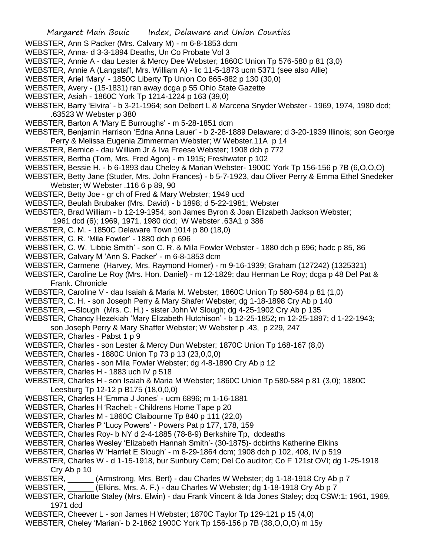- WEBSTER, Ann S Packer (Mrs. Calvary M) m 6-8-1853 dcm
- WEBSTER, Anna- d 3-3-1894 Deaths, Un Co Probate Vol 3
- WEBSTER, Annie A dau Lester & Mercy Dee Webster; 1860C Union Tp 576-580 p 81 (3,0)
- WEBSTER, Annie A (Langstaff, Mrs. William A) lic 11-5-1873 ucm 5371 (see also Allie)
- WEBSTER, Ariel 'Mary' 1850C Liberty Tp Union Co 865-882 p 130 (30,0)
- WEBSTER, Avery (15-1831) ran away dcga p 55 Ohio State Gazette
- WEBSTER, Asiah 1860C York Tp 1214-1224 p 163 (39,0)
- WEBSTER, Barry 'Elvira' b 3-21-1964; son Delbert L & Marcena Snyder Webster 1969, 1974, 1980 dcd; .63523 W Webster p 380
- WEBSTER, Barton A 'Mary E Burroughs' m 5-28-1851 dcm
- WEBSTER, Benjamin Harrison 'Edna Anna Lauer' b 2-28-1889 Delaware; d 3-20-1939 Illinois; son George Perry & Melissa Eugenia Zimmerman Webster; W Webster.11A p 14
- WEBSTER, Bernice dau William Jr & Iva Freese Webster; 1908 dch p 772
- WEBSTER, Bertha (Tom, Mrs. Fred Agon) m 1915; Freshwater p 102
- WEBSTER, Bessie H. b 6-1893 dau Cheley & Marian Webster- 1900C York Tp 156-156 p 7B (6,O,O,O)
- WEBSTER, Betty Jane (Studer, Mrs. John Frances) b 5-7-1923, dau Oliver Perry & Emma Ethel Snedeker Webster; W Webster .116 6 p 89, 90
- WEBSTER, Betty Joe gr ch of Fred & Mary Webster; 1949 ucd
- WEBSTER, Beulah Brubaker (Mrs. David) b 1898; d 5-22-1981; Webster
- WEBSTER, Brad William b 12-19-1954; son James Byron & Joan Elizabeth Jackson Webster;
- 1961 dcd (6); 1969, 1971, 1980 dcd; W Webster .63A1 p 386
- WEBSTER, C. M. 1850C Delaware Town 1014 p 80 (18,0)
- WEBSTER, C. R. 'Mila Fowler' 1880 dch p 696
- WEBSTER, C. W. 'Libbie Smith' son C. R. & Mila Fowler Webster 1880 dch p 696; hadc p 85, 86
- WEBSTER, Calvary M 'Ann S. Packer' m 6-8-1853 dcm
- WEBSTER, Carmene (Harvey, Mrs. Raymond Homer) m 9-16-1939; Graham (127242) (1325321)
- WEBSTER, Caroline Le Roy (Mrs. Hon. Daniel) m 12-1829; dau Herman Le Roy; dcga p 48 Del Pat & Frank. Chronicle
- WEBSTER, Caroline V dau Isaiah & Maria M. Webster; 1860C Union Tp 580-584 p 81 (1,0)
- WEBSTER, C. H. son Joseph Perry & Mary Shafer Webster; dg 1-18-1898 Cry Ab p 140
- WEBSTER, —Slough (Mrs. C. H.) sister John W Slough; dg 4-25-1902 Cry Ab p 135
- WEBSTER, Chancy Hezekiah 'Mary Elizabeth Hutchison' b 12-25-1852; m 12-25-1897; d 1-22-1943; son Joseph Perry & Mary Shaffer Webster; W Webster p .43, p 229, 247
- WEBSTER, Charles Pabst 1 p 9
- WEBSTER, Charles son Lester & Mercy Dun Webster; 1870C Union Tp 168-167 (8,0)
- WEBSTER, Charles 1880C Union Tp 73 p 13 (23,0,0,0)
- WEBSTER, Charles son Mila Fowler Webster; dg 4-8-1890 Cry Ab p 12
- WEBSTER, Charles H 1883 uch IV p 518
- WEBSTER, Charles H son Isaiah & Maria M Webster; 1860C Union Tp 580-584 p 81 (3,0); 1880C Leesburg Tp 12-12 p B175 (18,0,0,0)
- WEBSTER, Charles H 'Emma J Jones' ucm 6896; m 1-16-1881
- WEBSTER, Charles H 'Rachel; Childrens Home Tape p 20
- WEBSTER, Charles M 1860C Claibourne Tp 840 p 111 (22,0)
- WEBSTER, Charles P 'Lucy Powers' Powers Pat p 177, 178, 159
- WEBSTER, Charles Roy- b NY d 2-4-1885 (78-8-9) Berkshire Tp, dcdeaths
- WEBSTER, Charles Wesley 'Elizabeth Hannah Smith'- (30-1875)- dcbirths Katherine Elkins
- WEBSTER, Charles W 'Harriet E Slough' m 8-29-1864 dcm; 1908 dch p 102, 408, IV p 519
- WEBSTER, Charles W d 1-15-1918, bur Sunbury Cem; Del Co auditor; Co F 121st OVI; dg 1-25-1918 Cry Ab p 10
- WEBSTER, \_\_\_\_\_\_ (Armstrong, Mrs. Bert) dau Charles W Webster; dg 1-18-1918 Cry Ab p 7
- WEBSTER, (Elkins, Mrs. A. F.) dau Charles W Webster; dg 1-18-1918 Cry Ab p 7
- WEBSTER, Charlotte Staley (Mrs. Elwin) dau Frank Vincent & Ida Jones Staley; dcq CSW:1; 1961, 1969, 1971 dcd
- WEBSTER, Cheever L son James H Webster; 1870C Taylor Tp 129-121 p 15 (4,0)
- WEBSTER, Cheley 'Marian'- b 2-1862 1900C York Tp 156-156 p 7B (38,O,O,O) m 15y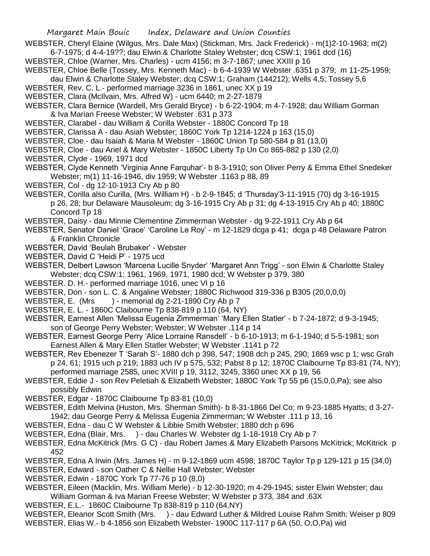WEBSTER, Cheryl Elaine (Wilgus, Mrs. Dale Max) (Stickman, Mrs. Jack Frederick) - m(1)2-10-1963; m(2) 6-7-1975; d 4-4-19??; dau Elwin & Charlotte Staley Webster; dcq CSW:1; 1961 dcd (16)

- WEBSTER, Chloe (Warner, Mrs. Charles) ucm 4156; m 3-7-1867; unec XXIII p 16
- WEBSTER, Chloe Belle (Tossey, Mrs. Kenneth Mac) b 6-4-1939 W Webster .6351 p 379; m 11-25-1959; dau Elwin & Charlotte Staley Webster; dcq CSW:1; Graham (144212); Wells 4,5; Tossey 5,6
- WEBSTER, Rev. C. L.- performed marriage 3236 in 1861, unec XX p 19
- WEBSTER, Clara (McIlvain, Mrs. Alfred W) ucm 6440; m 2-27-1879
- WEBSTER, Clara Bernice (Wardell, Mrs Gerald Bryce) b 6-22-1904; m 4-7-1928; dau William Gorman & Iva Marian Freese Webster; W Webster .631 p 373
- WEBSTER, Clarabel dau William & Corilla Webster 1880C Concord Tp 18
- WEBSTER, Clarissa A dau Asiah Webster; 1860C York Tp 1214-1224 p 163 (15,0)
- WEBSTER, Cloe dau Isaiah & Maria M Webster 1860C Union Tp 580-584 p 81 (13,0)
- WEBSTER, Cloe dau Ariel & Mary Webster 1850C Liberty Tp Un Co 865-882 p 130 (2,0)
- WEBSTER, Clyde 1969, 1971 dcd
- WEBSTER, Clyde Kenneth 'Virginia Anne Farquhar'- b 8-3-1910; son Oliver Perry & Emma Ethel Snedeker Webster; m(1) 11-16-1946, div 1959; W Webster .1163 p 88, 89
- WEBSTER, Col dg 12-10-1913 Cry Ab p 80
- WEBSTER, Corilla also Curilla, (Mrs. William H) b 2-9-1845; d 'Thursday'3-11-1915 (70) dg 3-16-1915 p 26, 28; bur Delaware Mausoleum; dg 3-16-1915 Cry Ab p 31; dg 4-13-1915 Cry Ab p 40; 1880C Concord Tp 18
- WEBSTER, Daisy dau Minnie Clementine Zimmerman Webster dg 9-22-1911 Cry Ab p 64
- WEBSTER, Senator Daniel 'Grace' 'Caroline Le Roy' m 12-1829 dcga p 41; dcga p 48 Delaware Patron & Franklin Chronicle
- WEBSTER, David 'Beulah Brubaker' Webster
- WEBSTER, David C 'Heidi P' 1975 ucd
- WEBSTER, Delbert Lawson 'Marcena Lucille Snyder' 'Margaret Ann Trigg' son Elwin & Charlotte Staley Webster; dcq CSW:1; 1961, 1969, 1971, 1980 dcd; W Webster p 379, 380
- WEBSTER. D. H.- performed marriage 1016, unec VI p 16
- WEBSTER, Don son L. C. & Angaline Webster; 1880C Richwood 319-336 p B305 (20,0,0,0)
- WEBSTER, E. (Mrs ) memorial dg 2-21-1890 Cry Ab p 7
- WEBSTER, E. L. 1860C Claibourne Tp 838-819 p 110 (64, NY)
- WEBSTER, Earnest Allen 'Melissa Eugenia Zimmerman' 'Mary Ellen Statler' b 7-24-1872; d 9-3-1945; son of George Perry Webster; Webster; W Webster .114 p 14
- WEBSTER, Earnest George Perry 'Alice Lorraine Ransdell' b 6-10-1913; m 6-1-1940; d 5-5-1981; son Earnest Allen & Mary Ellen Statler Webster; W Webster .1141 p 72
- WEBSTER, Rev Ebenezer T 'Sarah S'- 1880 dch p 398, 547; 1908 dch p 245, 290; 1869 wsc p 1; wsc Grah p 24, 61; 1915 uch p 219; 1883 uch IV p 575, 532; Pabst 8 p 12; 1870C Claibourne Tp 83-81 (74, NY); performed marriage 2585, unec XVIII p 19, 3112, 3245, 3360 unec XX p 19, 56
- WEBSTER, Eddie J son Rev Peletiah & Elizabeth Webster; 1880C York Tp 55 p6 (15,0,0,Pa); see also possibly Edwin
- WEBSTER, Edgar 1870C Claibourne Tp 83-81 (10,0)
- WEBSTER, Edith Melvina (Huston, Mrs. Sherman Smith)- b 8-31-1866 Del Co; m 9-23-1885 Hyatts; d 3-27- 1942; dau George Perry & Melissa Eugenia Zimmerman; W Webster .111 p 13, 16
- WEBSTER, Edna dau C W Webster & Libbie Smith Webster; 1880 dch p 696
- WEBSTER, Edna (Blair, Mrs. ) dau Charles W. Webster dg 1-18-1918 Cry Ab p 7
- WEBSTER, Edna McKitrick (Mrs. G C) dau Robert James & Mary Elizabeth Parsons McKitrick; McKitrick p 452
- WEBSTER, Edna A Irwin (Mrs. James H) m 9-12-1869 ucm 4598; 1870C Taylor Tp p 129-121 p 15 (34,0)
- WEBSTER, Edward son Oather C & Nellie Hall Webster; Webster
- WEBSTER, Edwin 1870C York Tp 77-76 p 10 (8,0)
- WEBSTER, Eileen (Macklin, Mrs. William Merle) b 12-30-1920; m 4-29-1945; sister Elwin Webster; dau William Gorman & Iva Marian Freese Webster; W Webster p 373, 384 and .63X
- WEBSTER, E.L.- 1860C Claibourne Tp 838-819 p 110 (64,NY)
- WEBSTER, Eleanor Scott Smith (Mrs. ) dau Edward Luther & Mildred Louise Rahm Smith; Weiser p 809
- WEBSTER, Elias W.- b 4-1856 son Elizabeth Webster- 1900C 117-117 p 6A (50, O,O,Pa) wid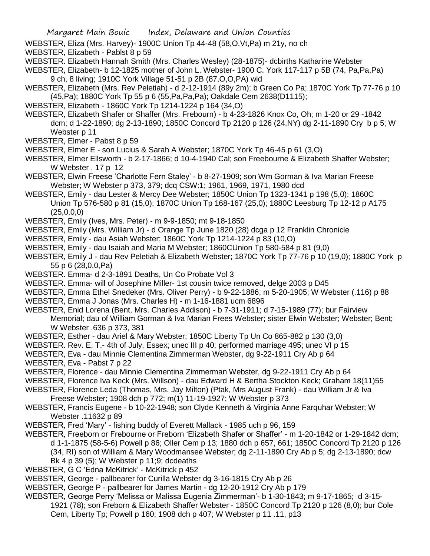- WEBSTER, Eliza (Mrs. Harvey)- 1900C Union Tp 44-48 (58,O,Vt,Pa) m 21y, no ch
- WEBSTER, Elizabeth Pablst 8 p 59
- WEBSTER. Elizabeth Hannah Smith (Mrs. Charles Wesley) (28-1875)- dcbirths Katharine Webster

WEBSTER, Elizabeth- b 12-1825 mother of John L. Webster- 1900 C. York 117-117 p 5B (74, Pa,Pa,Pa) 9 ch, 8 living; 1910C York Village 51-51 p 2B (87,O,O,PA) wid

- WEBSTER, Elizabeth (Mrs. Rev Peletiah) d 2-12-1914 (89y 2m); b Green Co Pa; 1870C York Tp 77-76 p 10 (45,Pa); 1880C York Tp 55 p 6 (55,Pa,Pa,Pa); Oakdale Cem 2638(D1115);
- WEBSTER, Elizabeth 1860C York Tp 1214-1224 p 164 (34,O)
- WEBSTER, Elizabeth Shafer or Shaffer (Mrs. Frebourn) b 4-23-1826 Knox Co, Oh; m 1-20 or 29 -1842 dcm; d 1-22-1890; dg 2-13-1890; 1850C Concord Tp 2120 p 126 (24,NY) dg 2-11-1890 Cry b p 5; W Webster p 11
- WEBSTER, Elmer Pabst 8 p 59
- WEBSTER, Elmer E son Lucius & Sarah A Webster; 1870C York Tp 46-45 p 61 (3,O)
- WEBSTER, Elmer Ellsworth b 2-17-1866; d 10-4-1940 Cal; son Freebourne & Elizabeth Shaffer Webster; W Webster . 17 p 12
- WEBSTER, Elwin Freese 'Charlotte Fern Staley' b 8-27-1909; son Wm Gorman & Iva Marian Freese Webster; W Webster p 373, 379; dcq CSW:1; 1961, 1969, 1971, 1980 dcd
- WEBSTER, Emily dau Lester & Mercy Dee Webster; 1850C Union Tp 1323-1341 p 198 (5,0); 1860C Union Tp 576-580 p 81 (15,0); 1870C Union Tp 168-167 (25,0); 1880C Leesburg Tp 12-12 p A175  $(25,0,0,0)$
- WEBSTER, Emily (Ives, Mrs. Peter) m 9-9-1850; mt 9-18-1850
- WEBSTER, Emily (Mrs. William Jr) d Orange Tp June 1820 (28) dcga p 12 Franklin Chronicle
- WEBSTER, Emily dau Asiah Webster; 1860C York Tp 1214-1224 p 83 (10,O)
- WEBSTER, Emily dau Isaiah and Maria M Webster; 1860CUnion Tp 580-584 p 81 (9,0)
- WEBSTER, Emily J dau Rev Peletiah & Elizabeth Webster; 1870C York Tp 77-76 p 10 (19,0); 1880C York p 55 p 6 (28,0,0,Pa)
- WEBSTER. Emma- d 2-3-1891 Deaths, Un Co Probate Vol 3
- WEBSTER. Emma- will of Josephine Miller- 1st cousin twice removed, delge 2003 p D45
- WEBSTER, Emma Ethel Snedeker (Mrs. Oliver Perry) b 9-22-1886; m 5-20-1905; W Webster (.116) p 88
- WEBSTER, Emma J Jonas (Mrs. Charles H) m 1-16-1881 ucm 6896
- WEBSTER, Enid Lorena (Bent, Mrs. Charles Addison) b 7-31-1911; d 7-15-1989 (77); bur Fairview Memorial; dau of William Gorman & Iva Marian Frees Webster; sister Elwin Webster; Webster; Bent; W Webster .636 p 373, 381
- WEBSTER, Esther dau Ariel & Mary Webster; 1850C Liberty Tp Un Co 865-882 p 130 (3,0)
- WEBSTER. Rev. E. T.- 4th of July, Essex; unec III p 40; performed marriage 495; unec VI p 15
- WEBSTER, Eva dau Minnie Clementina Zimmerman Webster, dg 9-22-1911 Cry Ab p 64
- WEBSTER, Eva Pabst 7 p 22
- WEBSTER, Florence dau Minnie Clementina Zimmerman Webster, dg 9-22-1911 Cry Ab p 64
- WEBSTER, Florence Iva Keck (Mrs. Willson) dau Edward H & Bertha Stockton Keck; Graham 18(11)55
- WEBSTER, Florence Leda (Thomas, Mrs. Jay Milton) (Ptak, Mrs August Frank) dau William Jr & Iva
- Freese Webster; 1908 dch p 772; m(1) 11-19-1927; W Webster p 373
- WEBSTER, Francis Eugene b 10-22-1948; son Clyde Kenneth & Virginia Anne Farquhar Webster; W Webster .11632 p 89
- WEBSTER, Fred 'Mary' fishing buddy of Everett Mallack 1985 uch p 96, 159
- WEBSTER, Freeborn or Frebourne or Freborn 'Elizabeth Shafer or Shaffer' m 1-20-1842 or 1-29-1842 dcm; d 1-1-1875 (58-5-6) Powell p 86; Oller Cem p 13; 1880 dch p 657, 661; 1850C Concord Tp 2120 p 126 (34, RI) son of William & Mary Woodmansee Webster; dg 2-11-1890 Cry Ab p 5; dg 2-13-1890; dcw Bk 4 p 39 (5); W Webster p 11;9; dcdeaths
- WEBSTER, G C 'Edna McKitrick' McKitrick p 452
- WEBSTER, George pallbearer for Curilla Webster dg 3-16-1815 Cry Ab p 26
- WEBSTER, George P pallbearer for James Martin dg 12-20-1912 Cry Ab p 179
- WEBSTER, George Perry 'Melissa or Malissa Eugenia Zimmerman'- b 1-30-1843; m 9-17-1865; d 3-15- 1921 (78); son Freborn & Elizabeth Shaffer Webster - 1850C Concord Tp 2120 p 126 (8,0); bur Cole Cem, Liberty Tp; Powell p 160; 1908 dch p 407; W Webster p 11 .11, p13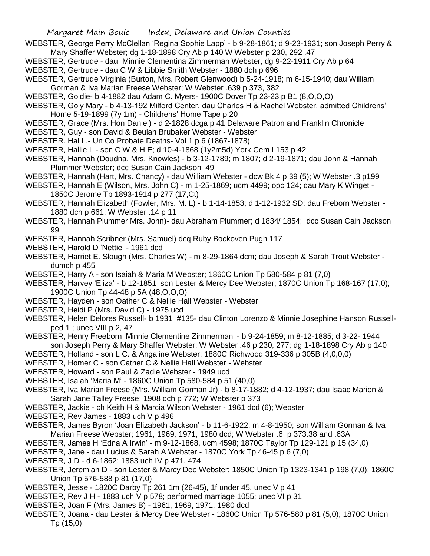WEBSTER, George Perry McClellan 'Regina Sophie Lapp' - b 9-28-1861; d 9-23-1931; son Joseph Perry & Mary Shaffer Webster; dg 1-18-1898 Cry Ab p 140 W Webster p 230, 292 .47

- WEBSTER, Gertrude dau Minnie Clementina Zimmerman Webster, dg 9-22-1911 Cry Ab p 64 WEBSTER, Gertrude - dau C W & Libbie Smith Webster - 1880 dch p 696
- WEBSTER, Gertrude Virginia (Burton, Mrs. Robert Glenwood) b 5-24-1918; m 6-15-1940; dau William Gorman & Iva Marian Freese Webster; W Webster .639 p 373, 382
- WEBSTER, Goldie- b 4-1882 dau Adam C. Myers- 1900C Dover Tp 23-23 p B1 (8,O,O,O)
- WEBSTER, Goly Mary b 4-13-192 Milford Center, dau Charles H & Rachel Webster, admitted Childrens' Home 5-19-1899 (7y 1m) - Childrens' Home Tape p 20
- WEBSTER, Grace (Mrs. Hon Daniel) d 2-1828 dcga p 41 Delaware Patron and Franklin Chronicle
- WEBSTER, Guy son David & Beulah Brubaker Webster Webster
- WEBSTER. Hal L.- Un Co Probate Deaths- Vol 1 p 6 (1867-1878)
- WEBSTER, Hallie L son C W & H E; d 10-4-1868 (1y2m5d) York Cem L153 p 42
- WEBSTER, Hannah (Doudna, Mrs. Knowles) b 3-12-1789; m 1807; d 2-19-1871; dau John & Hannah Plummer Webster; dcc Susan Cain Jackson 49
- WEBSTER, Hannah (Hart, Mrs. Chancy) dau William Webster dcw Bk 4 p 39 (5); W Webster .3 p199
- WEBSTER, Hannah E (Wilson, Mrs. John C) m 1-25-1869; ucm 4499; opc 124; dau Mary K Winget 1850C Jerome Tp 1893-1914 p 277 (17,Ct)
- WEBSTER, Hannah Elizabeth (Fowler, Mrs. M. L) b 1-14-1853; d 1-12-1932 SD; dau Freborn Webster 1880 dch p 661; W Webster .14 p 11
- WEBSTER, Hannah Plummer Mrs. John)- dau Abraham Plummer; d 1834/ 1854; dcc Susan Cain Jackson 99
- WEBSTER, Hannah Scribner (Mrs. Samuel) dcq Ruby Bockoven Pugh 117
- WEBSTER, Harold D 'Nettie' 1961 dcd
- WEBSTER, Harriet E. Slough (Mrs. Charles W) m 8-29-1864 dcm; dau Joseph & Sarah Trout Webster dumch p 455
- WEBSTER, Harry A son Isaiah & Maria M Webster; 1860C Union Tp 580-584 p 81 (7,0)
- WEBSTER, Harvey 'Eliza' b 12-1851 son Lester & Mercy Dee Webster; 1870C Union Tp 168-167 (17,0); 1900C Union Tp 44-48 p 5A (48,O,O,O)
- WEBSTER, Hayden son Oather C & Nellie Hall Webster Webster
- WEBSTER, Heidi P (Mrs. David C) 1975 ucd
- WEBSTER, Helen Delores Russell- b 1931 #135- dau Clinton Lorenzo & Minnie Josephine Hanson Russellped 1 ; unec VIII p 2, 47
- WEBSTER, Henry Freeborn 'Minnie Clementine Zimmerman' b 9-24-1859; m 8-12-1885; d 3-22- 1944 son Joseph Perry & Mary Shaffer Webster; W Webster .46 p 230, 277; dg 1-18-1898 Cry Ab p 140
- WEBSTER, Holland son L C. & Angaline Webster; 1880C Richwood 319-336 p 305B (4,0,0,0)
- WEBSTER, Homer C son Cather C & Nellie Hall Webster Webster
- WEBSTER, Howard son Paul & Zadie Webster 1949 ucd
- WEBSTER, Isaiah 'Maria M' 1860C Union Tp 580-584 p 51 (40,0)
- WEBSTER, Iva Marian Freese (Mrs. William Gorman Jr) b 8-17-1882; d 4-12-1937; dau Isaac Marion & Sarah Jane Talley Freese; 1908 dch p 772; W Webster p 373
- WEBSTER, Jackie ch Keith H & Marcia Wilson Webster 1961 dcd (6); Webster
- WEBSTER, Rev James 1883 uch V p 496
- WEBSTER, James Byron 'Joan Elizabeth Jackson' b 11-6-1922; m 4-8-1950; son William Gorman & Iva Marian Freese Webster; 1961, 1969, 1971, 1980 dcd; W Webster .6 p 373.38 and .63A
- WEBSTER, James H 'Edna A Irwin' m 9-12-1868, ucm 4598; 1870C Taylor Tp 129-121 p 15 (34,0)
- WEBSTER, Jane dau Lucius & Sarah A Webster 1870C York Tp 46-45 p 6 (7,0)
- WEBSTER, J D d 6-1862; 1883 uch IV p 471, 474
- WEBSTER, Jeremiah D son Lester & Marcy Dee Webster; 1850C Union Tp 1323-1341 p 198 (7,0); 1860C Union Tp 576-588 p 81 (17,0)
- WEBSTER, Jesse 1820C Darby Tp 261 1m (26-45), 1f under 45, unec V p 41
- WEBSTER, Rev J H 1883 uch V p 578; performed marriage 1055; unec VI p 31
- WEBSTER, Joan F (Mrs. James B) 1961, 1969, 1971, 1980 dcd
- WEBSTER, Joana dau Lester & Mercy Dee Webster 1860C Union Tp 576-580 p 81 (5,0); 1870C Union Tp (15,0)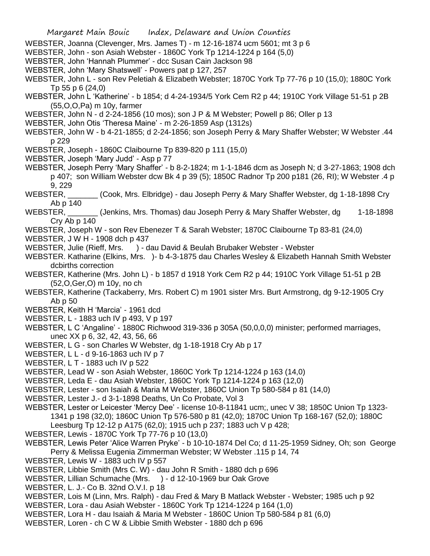Margaret Main Bouic Index, Delaware and Union Counties WEBSTER, Joanna (Clevenger, Mrs. James T) - m 12-16-1874 ucm 5601; mt 3 p 6 WEBSTER, John - son Asiah Webster - 1860C York Tp 1214-1224 p 164 (5,0) WEBSTER, John 'Hannah Plummer' - dcc Susan Cain Jackson 98 WEBSTER, John 'Mary Shatswell' - Powers pat p 127, 257 WEBSTER, John L - son Rev Peletiah & Elizabeth Webster; 1870C York Tp 77-76 p 10 (15,0); 1880C York Tp 55 p 6 (24,0) WEBSTER, John L 'Katherine' - b 1854; d 4-24-1934/5 York Cem R2 p 44; 1910C York Village 51-51 p 2B (55,O,O,Pa) m 10y, farmer WEBSTER, John N - d 2-24-1856 (10 mos); son J P & M Webster; Powell p 86; Oller p 13 WEBSTER, John Otis 'Theresa Maine' - m 2-26-1859 Asp (1312s) WEBSTER, John W - b 4-21-1855; d 2-24-1856; son Joseph Perry & Mary Shaffer Webster; W Webster .44 p 229 WEBSTER, Joseph - 1860C Claibourne Tp 839-820 p 111 (15,0) WEBSTER, Joseph 'Mary Judd' - Asp p 77 WEBSTER, Joseph Perry 'Mary Shaffer' - b 8-2-1824; m 1-1-1846 dcm as Joseph N; d 3-27-1863; 1908 dch p 407; son William Webster dcw Bk 4 p 39 (5); 1850C Radnor Tp 200 p181 (26, RI); W Webster .4 p 9, 229 WEBSTER,  $\qquad \qquad$  (Cook, Mrs. Elbridge) - dau Joseph Perry & Mary Shaffer Webster, dg 1-18-1898 Cry Ab p 140 WEBSTER, \_\_\_\_\_\_\_ (Jenkins, Mrs. Thomas) dau Joseph Perry & Mary Shaffer Webster, dg 1-18-1898 Cry Ab p 140 WEBSTER, Joseph W - son Rev Ebenezer T & Sarah Webster; 1870C Claibourne Tp 83-81 (24,0) WEBSTER, J W H - 1908 dch p 437 WEBSTER, Julie (Rieff, Mrs. ) - dau David & Beulah Brubaker Webster - Webster WEBSTER. Katharine (Elkins, Mrs. )- b 4-3-1875 dau Charles Wesley & Elizabeth Hannah Smith Webster dcbirths correction WEBSTER, Katherine (Mrs. John L) - b 1857 d 1918 York Cem R2 p 44; 1910C York Village 51-51 p 2B (52,O,Ger,O) m 10y, no ch WEBSTER, Katherine (Tackaberry, Mrs. Robert C) m 1901 sister Mrs. Burt Armstrong, dg 9-12-1905 Cry Ab p 50 WEBSTER, Keith H 'Marcia' - 1961 dcd WEBSTER, L - 1883 uch IV p 493, V p 197 WEBSTER, L C 'Angaline' - 1880C Richwood 319-336 p 305A (50,0,0,0) minister; performed marriages, unec XX p 6, 32, 42, 43, 56, 66 WEBSTER, L G - son Charles W Webster, dg 1-18-1918 Cry Ab p 17 WEBSTER, L L - d 9-16-1863 uch IV p 7 WEBSTER, L T - 1883 uch IV p 522 WEBSTER, Lead W - son Asiah Webster, 1860C York Tp 1214-1224 p 163 (14,0) WEBSTER, Leda E - dau Asiah Webster, 1860C York Tp 1214-1224 p 163 (12,0) WEBSTER, Lester - son Isaiah & Maria M Webster, 1860C Union Tp 580-584 p 81 (14,0) WEBSTER, Lester J.- d 3-1-1898 Deaths, Un Co Probate, Vol 3 WEBSTER, Lester or Leicester 'Mercy Dee' - license 10-8-11841 ucm;, unec V 38; 1850C Union Tp 1323- 1341 p 198 (32,0); 1860C Union Tp 576-580 p 81 (42,0); 1870C Union Tp 168-167 (52,0); 1880C Leesburg Tp 12-12 p A175 (62,0); 1915 uch p 237; 1883 uch V p 428; WEBSTER, Lewis - 1870C York Tp 77-76 p 10 (13,0) WEBSTER, Lewis Peter 'Alice Warren Pryke' - b 10-10-1874 Del Co; d 11-25-1959 Sidney, Oh; son George Perry & Melissa Eugenia Zimmerman Webster; W Webster .115 p 14, 74 WEBSTER, Lewis W - 1883 uch IV p 557 WEBSTER, Libbie Smith (Mrs C. W) - dau John R Smith - 1880 dch p 696 WEBSTER, Lillian Schumache (Mrs. ) - d 12-10-1969 bur Oak Grove WEBSTER, L. J.- Co B. 32nd O.V.I. p 18 WEBSTER, Lois M (Linn, Mrs. Ralph) - dau Fred & Mary B Matlack Webster - Webster; 1985 uch p 92 WEBSTER, Lora - dau Asiah Webster - 1860C York Tp 1214-1224 p 164 (1,0) WEBSTER, Lora H - dau Isaiah & Maria M Webster - 1860C Union Tp 580-584 p 81 (6,0) WEBSTER, Loren - ch C W & Libbie Smith Webster - 1880 dch p 696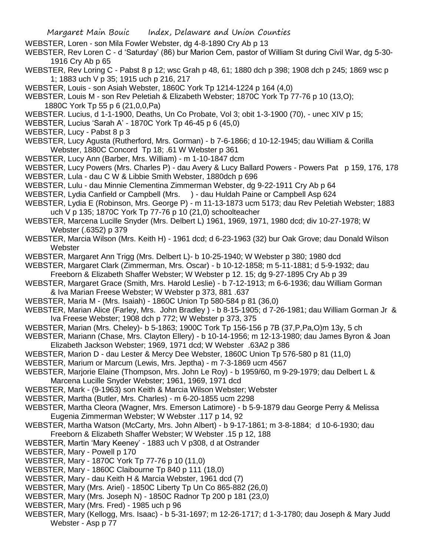- WEBSTER, Loren son Mila Fowler Webster, dg 4-8-1890 Cry Ab p 13
- WEBSTER, Rev Loren C d 'Saturday' (86) bur Marion Cem, pastor of William St during Civil War, dg 5-30- 1916 Cry Ab p 65
- WEBSTER, Rev Loring C Pabst 8 p 12; wsc Grah p 48, 61; 1880 dch p 398; 1908 dch p 245; 1869 wsc p 1; 1883 uch V p 35; 1915 uch p 216, 217
- WEBSTER, Louis son Asiah Webster, 1860C York Tp 1214-1224 p 164 (4,0)
- WEBSTER, Louis M son Rev Peletiah & Elizabeth Webster; 1870C York Tp 77-76 p 10 (13,O); 1880C York Tp 55 p 6 (21,0,0,Pa)
- WEBSTER. Lucius, d 1-1-1900, Deaths, Un Co Probate, Vol 3; obit 1-3-1900 (70), unec XIV p 15;
- WEBSTER, Lucius 'Sarah A' 1870C York Tp 46-45 p 6 (45,0)
- WEBSTER, Lucy Pabst 8 p 3
- WEBSTER, Lucy Agusta (Rutherford, Mrs. Gorman) b 7-6-1866; d 10-12-1945; dau William & Corilla Webster, 1880C Concord Tp 18; .61 W Webster p 361
- WEBSTER, Lucy Ann (Barber, Mrs. William) m 1-10-1847 dcm
- WEBSTER, Lucy Powers (Mrs. Charles P) dau Avery & Lucy Ballard Powers Powers Pat p 159, 176, 178
- WEBSTER, Lula dau C W & Libbie Smith Webster, 1880dch p 696
- WEBSTER, Lulu dau Minnie Clementina Zimmerman Webster, dg 9-22-1911 Cry Ab p 64
- WEBSTER, Lydia Canfield or Campbell (Mrs. ) dau Huldah Paine or Campbell Asp 624
- WEBSTER, Lydia E (Robinson, Mrs. George P) m 11-13-1873 ucm 5173; dau Rev Peletiah Webster; 1883 uch V p 135; 1870C York Tp 77-76 p 10 (21,0) schoolteacher
- WEBSTER, Marcena Lucille Snyder (Mrs. Delbert L) 1961, 1969, 1971, 1980 dcd; div 10-27-1978; W Webster (.6352) p 379
- WEBSTER, Marcia Wilson (Mrs. Keith H) 1961 dcd; d 6-23-1963 (32) bur Oak Grove; dau Donald Wilson **Webster**
- WEBSTER, Margaret Ann Trigg (Mrs. Delbert L)- b 10-25-1940; W Webster p 380; 1980 dcd
- WEBSTER, Margaret Clark (Zimmerman, Mrs. Oscar) b 10-12-1858; m 5-11-1881; d 5-9-1932; dau Freeborn & Elizabeth Shaffer Webster; W Webster p 12. 15; dg 9-27-1895 Cry Ab p 39
- WEBSTER, Margaret Grace (Smith, Mrs. Harold Leslie) b 7-12-1913; m 6-6-1936; dau William Gorman & Iva Marian Freese Webster; W Webster p 373, 881 .637
- WEBSTER, Maria M (Mrs. Isaiah) 1860C Union Tp 580-584 p 81 (36,0)
- WEBSTER, Marian Alice (Farley, Mrs. John Bradley ) b 8-15-1905; d 7-26-1981; dau William Gorman Jr & Iva Freese Webster; 1908 dch p 772; W Webster p 373, 375
- WEBSTER, Marian (Mrs. Cheley)- b 5-1863; 1900C Tork Tp 156-156 p 7B (37,P,Pa,O)m 13y, 5 ch
- WEBSTER, Mariann (Chase, Mrs. Clayton Ellery) b 10-14-1956; m 12-13-1980; dau James Byron & Joan Elizabeth Jackson Webster; 1969, 1971 dcd; W Webster .63A2 p 386
- WEBSTER, Marion D dau Lester & Mercy Dee Webster, 1860C Union Tp 576-580 p 81 (11,0)
- WEBSTER, Marium or Marcum (Lewis, Mrs. Jeptha) m 7-3-1869 ucm 4567
- WEBSTER, Marjorie Elaine (Thompson, Mrs. John Le Roy) b 1959/60, m 9-29-1979; dau Delbert L & Marcena Lucille Snyder Webster; 1961, 1969, 1971 dcd
- WEBSTER, Mark (9-1963) son Keith & Marcia Wilson Webster; Webster
- WEBSTER, Martha (Butler, Mrs. Charles) m 6-20-1855 ucm 2298
- WEBSTER, Martha Cleora (Wagner, Mrs. Emerson Latimore) b 5-9-1879 dau George Perry & Melissa Eugenia Zimmerman Webster; W Webster .117 p 14, 92
- WEBSTER, Martha Watson (McCarty, Mrs. John Albert) b 9-17-1861; m 3-8-1884; d 10-6-1930; dau Freeborn & Elizabeth Shaffer Webster; W Webster .15 p 12, 188
- WEBSTER, Martin 'Mary Keeney' 1883 uch V p308, d at Ostrander
- WEBSTER, Mary Powell p 170
- WEBSTER, Mary 1870C York Tp 77-76 p 10 (11,0)
- WEBSTER, Mary 1860C Claibourne Tp 840 p 111 (18,0)
- WEBSTER, Mary dau Keith H & Marcia Webster, 1961 dcd (7)
- WEBSTER, Mary (Mrs. Ariel) 1850C Liberty Tp Un Co 865-882 (26,0)
- WEBSTER, Mary (Mrs. Joseph N) 1850C Radnor Tp 200 p 181 (23,0)
- WEBSTER, Mary (Mrs. Fred) 1985 uch p 96
- WEBSTER, Mary (Kellogg, Mrs. Isaac) b 5-31-1697; m 12-26-1717; d 1-3-1780; dau Joseph & Mary Judd Webster - Asp p 77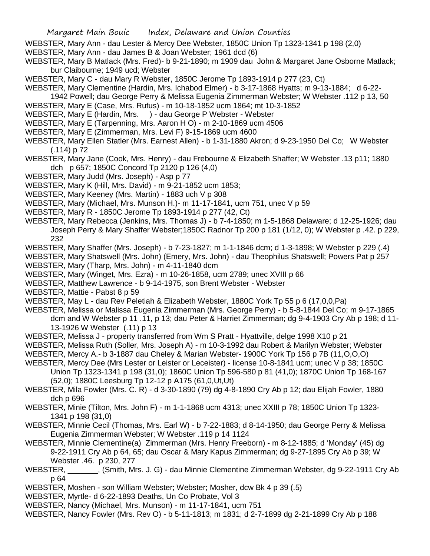- WEBSTER, Mary Ann dau Lester & Mercy Dee Webster, 1850C Union Tp 1323-1341 p 198 (2,0)
- WEBSTER, Mary Ann dau James B & Joan Webster; 1961 dcd (6)
- WEBSTER, Mary B Matlack (Mrs. Fred)- b 9-21-1890; m 1909 dau John & Margaret Jane Osborne Matlack; bur Claibourne; 1949 ucd; Webster
- WEBSTER, Mary C dau Mary R Webster, 1850C Jerome Tp 1893-1914 p 277 (23, Ct)
- WEBSTER, Mary Clementine (Hardin, Mrs. Ichabod Elmer) b 3-17-1868 Hyatts; m 9-13-1884; d 6-22-
- 1942 Powell; dau George Perry & Melissa Eugenia Zimmerman Webster; W Webster .112 p 13, 50 WEBSTER, Mary E (Case, Mrs. Rufus) - m 10-18-1852 ucm 1864; mt 10-3-1852
- WEBSTER, Mary E (Hardin, Mrs. ) dau George P Webster Webster
- WEBSTER, Mary E (Tarpenning, Mrs. Aaron H O) m 2-10-1869 ucm 4506
- WEBSTER, Mary E (Zimmerman, Mrs. Levi F) 9-15-1869 ucm 4600
- WEBSTER, Mary Ellen Statler (Mrs. Earnest Allen) b 1-31-1880 Akron; d 9-23-1950 Del Co; W Webster (.114) p 72
- WEBSTER, Mary Jane (Cook, Mrs. Henry) dau Frebourne & Elizabeth Shaffer; W Webster .13 p11; 1880 dch p 657; 1850C Concord Tp 2120 p 126 (4,0)
- WEBSTER, Mary Judd (Mrs. Joseph) Asp p 77
- WEBSTER, Mary K (Hill, Mrs. David) m 9-21-1852 ucm 1853;
- WEBSTER, Mary Keeney (Mrs. Martin) 1883 uch V p 308
- WEBSTER, Mary (Michael, Mrs. Munson H.)- m 11-17-1841, ucm 751, unec V p 59
- WEBSTER, Mary R 1850C Jerome Tp 1893-1914 p 277 (42, Ct)
- WEBSTER, Mary Rebecca (Jenkins, Mrs. Thomas J) b 7-4-1850; m 1-5-1868 Delaware; d 12-25-1926; dau Joseph Perry & Mary Shaffer Webster;1850C Radnor Tp 200 p 181 (1/12, 0); W Webster p .42. p 229, 232
- WEBSTER, Mary Shaffer (Mrs. Joseph) b 7-23-1827; m 1-1-1846 dcm; d 1-3-1898; W Webster p 229 (.4)
- WEBSTER, Mary Shatswell (Mrs. John) (Emery, Mrs. John) dau Theophilus Shatswell; Powers Pat p 257
- WEBSTER, Mary (Tharp, Mrs. John) m 4-11-1840 dcm
- WEBSTER, Mary (Winget, Mrs. Ezra) m 10-26-1858, ucm 2789; unec XVIII p 66
- WEBSTER, Matthew Lawrence b 9-14-1975, son Brent Webster Webster
- WEBSTER, Mattie Pabst 8 p 59
- WEBSTER, May L dau Rev Peletiah & Elizabeth Webster, 1880C York Tp 55 p 6 (17,0,0,Pa)
- WEBSTER, Melissa or Malissa Eugenia Zimmerman (Mrs. George Perry) b 5-8-1844 Del Co; m 9-17-1865 dcm and W Webster p 11 .11, p 13; dau Peter & Harriet Zimmerman; dg 9-4-1903 Cry Ab p 198; d 11- 13-1926 W Webster (.11) p 13
- WEBSTER, Melissa J property transferred from Wm S Pratt Hyattville, delge 1998 X10 p 21
- WEBSTER, Melissa Ruth (Soller, Mrs. Joseph A) m 10-3-1992 dau Robert & Marilyn Webster; Webster
- WEBSTER, Mercy A.- b 3-1887 dau Cheley & Marian Webster- 1900C York Tp 156 p 7B (11,O,O,O)
- WEBSTER, Mercy Dee (Mrs Lester or Leister or Leceister) license 10-8-1841 ucm; unec V p 38; 1850C Union Tp 1323-1341 p 198 (31,0); 1860C Union Tp 596-580 p 81 (41,0); 1870C Union Tp 168-167 (52,0); 1880C Leesburg Tp 12-12 p A175 (61,0,Ut,Ut)
- WEBSTER, Mila Fowler (Mrs. C. R) d 3-30-1890 (79) dg 4-8-1890 Cry Ab p 12; dau Elijah Fowler, 1880 dch p 696
- WEBSTER, Minie (Tilton, Mrs. John F) m 1-1-1868 ucm 4313; unec XXIII p 78; 1850C Union Tp 1323- 1341 p 198 (31,0)
- WEBSTER, Minnie Cecil (Thomas, Mrs. Earl W) b 7-22-1883; d 8-14-1950; dau George Perry & Melissa Eugenia Zimmerman Webster; W Webster .119 p 14 1124
- WEBSTER, Minnie Clementine(a) Zimmerman (Mrs. Henry Freeborn) m 8-12-1885; d 'Monday' (45) dg 9-22-1911 Cry Ab p 64, 65; dau Oscar & Mary Kapus Zimmerman; dg 9-27-1895 Cry Ab p 39; W Webster .46. p 230, 277
- WEBSTER, \_\_\_\_\_\_\_, (Smith, Mrs. J. G) dau Minnie Clementine Zimmerman Webster, dg 9-22-1911 Cry Ab p 64
- WEBSTER, Moshen son William Webster; Webster; Mosher, dcw Bk 4 p 39 (.5)
- WEBSTER, Myrtle- d 6-22-1893 Deaths, Un Co Probate, Vol 3
- WEBSTER, Nancy (Michael, Mrs. Munson) m 11-17-1841, ucm 751
- WEBSTER, Nancy Fowler (Mrs. Rev O) b 5-11-1813; m 1831; d 2-7-1899 dg 2-21-1899 Cry Ab p 188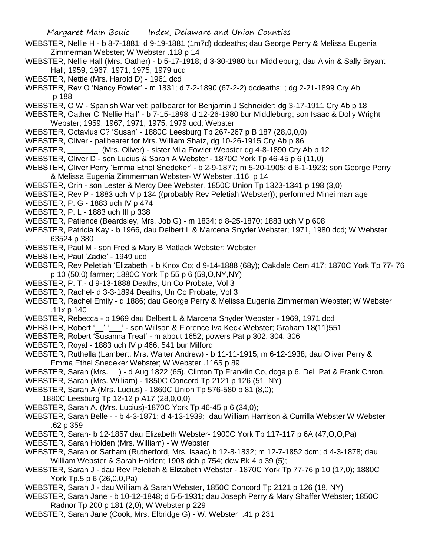Margaret Main Bouic Index, Delaware and Union Counties WEBSTER, Nellie H - b 8-7-1881; d 9-19-1881 (1m7d) dcdeaths; dau George Perry & Melissa Eugenia Zimmerman Webster; W Webster .118 p 14 WEBSTER, Nellie Hall (Mrs. Oather) - b 5-17-1918; d 3-30-1980 bur Middleburg; dau Alvin & Sally Bryant Hall; 1959, 1967, 1971, 1975, 1979 ucd WEBSTER, Nettie (Mrs. Harold D) - 1961 dcd WEBSTER, Rev O 'Nancy Fowler' - m 1831; d 7-2-1890 (67-2-2) dcdeaths; ; dg 2-21-1899 Cry Ab p 188 WEBSTER, O W - Spanish War vet; pallbearer for Benjamin J Schneider; dg 3-17-1911 Cry Ab p 18 WEBSTER, Oather C 'Nellie Hall' - b 7-15-1898; d 12-26-1980 bur Middleburg; son Isaac & Dolly Wright Webster; 1959, 1967, 1971, 1975, 1979 ucd; Webster WEBSTER, Octavius C? 'Susan' - 1880C Leesburg Tp 267-267 p B 187 (28,0,0,0) WEBSTER, Oliver - pallbearer for Mrs. William Shatz, dg 10-26-1915 Cry Ab p 86 WEBSTER, \_\_\_\_\_\_\_, (Mrs. Oliver) - sister Mila Fowler Webster dg 4-8-1890 Cry Ab p 12 WEBSTER, Oliver D - son Lucius & Sarah A Webster - 1870C York Tp 46-45 p 6 (11,0) WEBSTER, Oliver Perry 'Emma Ethel Snedeker' - b 2-9-1877; m 5-20-1905; d 6-1-1923; son George Perry & Melissa Eugenia Zimmerman Webster- W Webster .116 p 14 WEBSTER, Orin - son Lester & Mercy Dee Webster, 1850C Union Tp 1323-1341 p 198 (3,0) WEBSTER, Rev P - 1883 uch V p 134 ((probably Rev Peletiah Webster)); performed Minei marriage WEBSTER, P. G - 1883 uch IV p 474 WEBSTER, P. L - 1883 uch III p 338 WEBSTER, Patience (Beardsley, Mrs. Job G) - m 1834; d 8-25-1870; 1883 uch V p 608 WEBSTER, Patricia Kay - b 1966, dau Delbert L & Marcena Snyder Webster; 1971, 1980 dcd; W Webster . 63524 p 380 WEBSTER, Paul M - son Fred & Mary B Matlack Webster; Webster WEBSTER, Paul 'Zadie' - 1949 ucd WEBSTER, Rev Peletiah 'Elizabeth' - b Knox Co; d 9-14-1888 (68y); Oakdale Cem 417; 1870C York Tp 77- 76 p 10 (50,0) farmer; 1880C York Tp 55 p 6 (59,O,NY,NY) WEBSTER, P. T.- d 9-13-1888 Deaths, Un Co Probate, Vol 3 WEBSTER, Rachel- d 3-3-1894 Deaths, Un Co Probate, Vol 3 WEBSTER, Rachel Emily - d 1886; dau George Perry & Melissa Eugenia Zimmerman Webster; W Webster .11x p 140 WEBSTER, Rebecca - b 1969 dau Delbert L & Marcena Snyder Webster - 1969, 1971 dcd WEBSTER, Robert '\_\_' '\_\_\_' - son Willson & Florence Iva Keck Webster; Graham 18(11)551 WEBSTER, Robert 'Susanna Treat' - m about 1652; powers Pat p 302, 304, 306 WEBSTER, Royal - 1883 uch IV p 466, 541 bur Milford WEBSTER, Ruthella (Lambert, Mrs. Walter Andrew) - b 11-11-1915; m 6-12-1938; dau Oliver Perry & Emma Ethel Snedeker Webster; W Webster .1165 p 89 WEBSTER, Sarah (Mrs. ) - d Aug 1822 (65), Clinton Tp Franklin Co, dcga p 6, Del Pat & Frank Chron. WEBSTER, Sarah (Mrs. William) - 1850C Concord Tp 2121 p 126 (51, NY) WEBSTER, Sarah A (Mrs. Lucius) - 1860C Union Tp 576-580 p 81 (8,0); 1880C Leesburg Tp 12-12 p A17 (28,0,0,0) WEBSTER, Sarah A. (Mrs. Lucius)-1870C York Tp 46-45 p 6 (34,0); WEBSTER, Sarah Belle - - b 4-3-1871; d 4-13-1939; dau William Harrison & Currilla Webster W Webster .62 p 359 WEBSTER, Sarah- b 12-1857 dau Elizabeth Webster- 1900C York Tp 117-117 p 6A (47,O,O,Pa) WEBSTER, Sarah Holden (Mrs. William) - W Webster WEBSTER, Sarah or Sarham (Rutherford, Mrs. Isaac) b 12-8-1832; m 12-7-1852 dcm; d 4-3-1878; dau William Webster & Sarah Holden; 1908 dch p 754; dcw Bk 4 p 39 (5); WEBSTER, Sarah J - dau Rev Peletiah & Elizabeth Webster - 1870C York Tp 77-76 p 10 (17,0); 1880C York Tp.5 p 6 (26,0,0,Pa) WEBSTER, Sarah J - dau William & Sarah Webster, 1850C Concord Tp 2121 p 126 (18, NY) WEBSTER, Sarah Jane - b 10-12-1848; d 5-5-1931; dau Joseph Perry & Mary Shaffer Webster; 1850C Radnor Tp 200 p 181 (2,0); W Webster p 229 WEBSTER, Sarah Jane (Cook, Mrs. Elbridge G) - W. Webster .41 p 231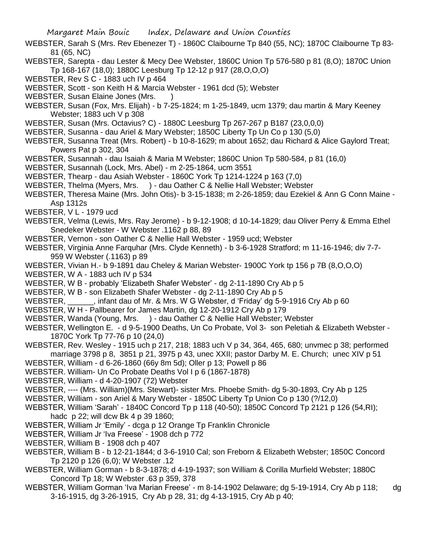- WEBSTER, Sarah S (Mrs. Rev Ebenezer T) 1860C Claibourne Tp 840 (55, NC); 1870C Claibourne Tp 83- 81 (65, NC)
- WEBSTER, Sarepta dau Lester & Mecy Dee Webster, 1860C Union Tp 576-580 p 81 (8,O); 1870C Union Tp 168-167 (18,0); 1880C Leesburg Tp 12-12 p 917 (28,O,O,O)
- WEBSTER, Rev S C 1883 uch IV p 464
- WEBSTER, Scott son Keith H & Marcia Webster 1961 dcd (5); Webster
- WEBSTER, Susan Elaine Jones (Mrs.
- WEBSTER, Susan (Fox, Mrs. Elijah) b 7-25-1824; m 1-25-1849, ucm 1379; dau martin & Mary Keeney Webster; 1883 uch V p 308
- WEBSTER, Susan (Mrs. Octavius? C) 1880C Leesburg Tp 267-267 p B187 (23,0,0,0)
- WEBSTER, Susanna dau Ariel & Mary Webster; 1850C Liberty Tp Un Co p 130 (5,0)
- WEBSTER, Susanna Treat (Mrs. Robert) b 10-8-1629; m about 1652; dau Richard & Alice Gaylord Treat; Powers Pat p 302, 304
- WEBSTER, Susannah dau Isaiah & Maria M Webster; 1860C Union Tp 580-584, p 81 (16,0)
- WEBSTER, Susannah (Lock, Mrs. Abel) m 2-25-1864, ucm 3551
- WEBSTER, Thearp dau Asiah Webster 1860C York Tp 1214-1224 p 163 (7,0)
- WEBSTER, Thelma (Myers, Mrs. ) dau Oather C & Nellie Hall Webster; Webster
- WEBSTER, Theresa Maine (Mrs. John Otis)- b 3-15-1838; m 2-26-1859; dau Ezekiel & Ann G Conn Maine Asp 1312s
- WEBSTER, V L 1979 ucd
- WEBSTER, Velma (Lewis, Mrs. Ray Jerome) b 9-12-1908; d 10-14-1829; dau Oliver Perry & Emma Ethel Snedeker Webster - W Webster .1162 p 88, 89
- WEBSTER, Vernon son Oather C & Nellie Hall Webster 1959 ucd; Webster
- WEBSTER, Virginia Anne Farquhar (Mrs. Clyde Kenneth) b 3-6-1928 Stratford; m 11-16-1946; div 7-7- 959 W Webster (.1163) p 89
- WEBSTER, Vivian H.- b 9-1891 dau Cheley & Marian Webster- 1900C York tp 156 p 7B (8,O,O,O)
- WEBSTER, W A 1883 uch IV p 534
- WEBSTER, W B probably 'Elizabeth Shafer Webster' dg 2-11-1890 Cry Ab p 5
- WEBSTER, W B son Elizabeth Shafer Webster dg 2-11-1890 Cry Ab p 5
- WEBSTER, \_\_\_\_\_\_, infant dau of Mr. & Mrs. W G Webster, d 'Friday' dg 5-9-1916 Cry Ab p 60
- WEBSTER, W H Pallbearer for James Martin, dg 12-20-1912 Cry Ab p 179
- WEBSTER, Wanda (Young, Mrs. ) dau Oather C & Nellie Hall Webster; Webster
- WEBSTER, Wellington E. d 9-5-1900 Deaths, Un Co Probate, Vol 3- son Peletiah & Elizabeth Webster 1870C York Tp 77-76 p 10 (24,0)
- WEBSTER, Rev. Wesley 1915 uch p 217, 218; 1883 uch V p 34, 364, 465, 680; unvmec p 38; performed marriage 3798 p 8, 3851 p 21, 3975 p 43, unec XXII; pastor Darby M. E. Church; unec XIV p 51
- WEBSTER, William d 6-26-1860 (66y 8m 5d); Oller p 13; Powell p 86
- WEBSTER. William- Un Co Probate Deaths Vol I p 6 (1867-1878)
- WEBSTER, William d 4-20-1907 (72) Webster
- WEBSTER, ---- (Mrs. William)(Mrs. Stewart)- sister Mrs. Phoebe Smith- dg 5-30-1893, Cry Ab p 125
- WEBSTER, William son Ariel & Mary Webster 1850C Liberty Tp Union Co p 130 (?/12,0)
- WEBSTER, William 'Sarah' 1840C Concord Tp p 118 (40-50); 1850C Concord Tp 2121 p 126 (54,RI); hadc p 22; will dcw Bk 4 p 39 1860;
- WEBSTER, William Jr 'Emily' dcga p 12 Orange Tp Franklin Chronicle
- WEBSTER, William Jr 'Iva Freese' 1908 dch p 772
- WEBSTER, William B 1908 dch p 407
- WEBSTER, William B b 12-21-1844; d 3-6-1910 Cal; son Freborn & Elizabeth Webster; 1850C Concord Tp 2120 p 126 (6,0); W Webster .12
- WEBSTER, William Gorman b 8-3-1878; d 4-19-1937; son William & Corilla Murfield Webster; 1880C Concord Tp 18; W Webster .63 p 359, 378
- WEBSTER, William Gorman 'Iva Marian Freese' m 8-14-1902 Delaware; dg 5-19-1914, Cry Ab p 118; dg 3-16-1915, dg 3-26-1915, Cry Ab p 28, 31; dg 4-13-1915, Cry Ab p 40;